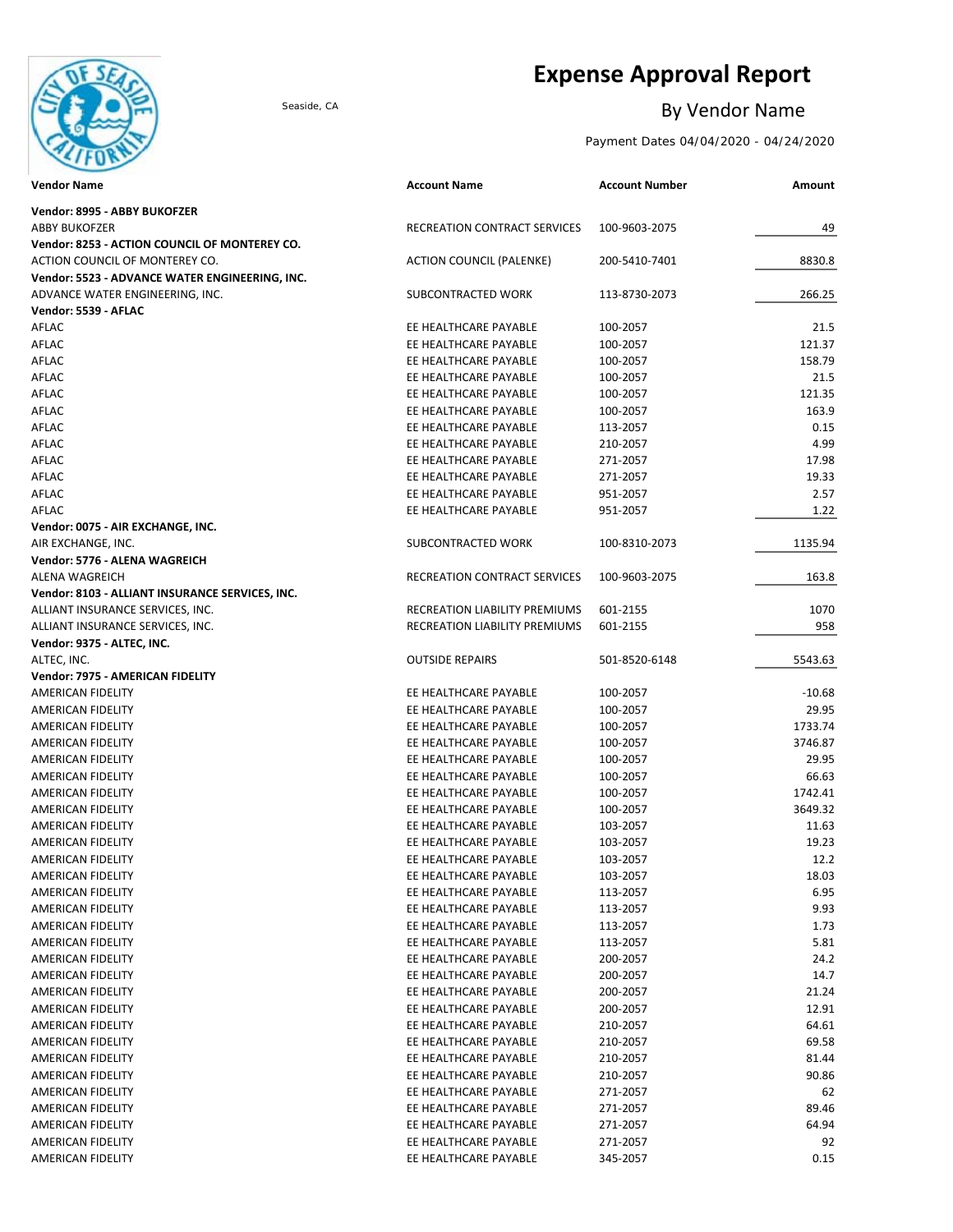

# **Expense Approval Report**

## Seaside, CA By Vendor Name

Payment Dates 04/04/2020 - 04/24/2020

| <b>Vendor Name</b>                              | <b>Account Name</b>                 | <b>Account Number</b> | Amount   |
|-------------------------------------------------|-------------------------------------|-----------------------|----------|
| Vendor: 8995 - ABBY BUKOFZER                    |                                     |                       |          |
| <b>ABBY BUKOFZER</b>                            | RECREATION CONTRACT SERVICES        | 100-9603-2075         | 49       |
| Vendor: 8253 - ACTION COUNCIL OF MONTEREY CO.   |                                     |                       |          |
| ACTION COUNCIL OF MONTEREY CO.                  | <b>ACTION COUNCIL (PALENKE)</b>     | 200-5410-7401         | 8830.8   |
| Vendor: 5523 - ADVANCE WATER ENGINEERING, INC.  |                                     |                       |          |
| ADVANCE WATER ENGINEERING, INC.                 | SUBCONTRACTED WORK                  | 113-8730-2073         | 266.25   |
| Vendor: 5539 - AFLAC                            |                                     |                       |          |
| AFLAC                                           | EE HEALTHCARE PAYABLE               | 100-2057              | 21.5     |
| AFLAC                                           | EE HEALTHCARE PAYABLE               | 100-2057              | 121.37   |
| AFLAC                                           | EE HEALTHCARE PAYABLE               | 100-2057              | 158.79   |
| AFLAC                                           | EE HEALTHCARE PAYABLE               | 100-2057              | 21.5     |
| AFLAC                                           | EE HEALTHCARE PAYABLE               | 100-2057              | 121.35   |
| AFLAC                                           | EE HEALTHCARE PAYABLE               | 100-2057              | 163.9    |
| AFLAC                                           | EE HEALTHCARE PAYABLE               | 113-2057              | 0.15     |
| AFLAC                                           | EE HEALTHCARE PAYABLE               | 210-2057              | 4.99     |
| AFLAC                                           | EE HEALTHCARE PAYABLE               | 271-2057              | 17.98    |
| AFLAC                                           | EE HEALTHCARE PAYABLE               | 271-2057              | 19.33    |
| AFLAC                                           | EE HEALTHCARE PAYABLE               | 951-2057              | 2.57     |
| AFLAC                                           | EE HEALTHCARE PAYABLE               | 951-2057              | 1.22     |
| Vendor: 0075 - AIR EXCHANGE, INC.               |                                     |                       |          |
| AIR EXCHANGE, INC.                              | SUBCONTRACTED WORK                  | 100-8310-2073         | 1135.94  |
| Vendor: 5776 - ALENA WAGREICH                   |                                     |                       |          |
| <b>ALENA WAGREICH</b>                           | <b>RECREATION CONTRACT SERVICES</b> | 100-9603-2075         | 163.8    |
| Vendor: 8103 - ALLIANT INSURANCE SERVICES, INC. |                                     |                       |          |
| ALLIANT INSURANCE SERVICES, INC.                | RECREATION LIABILITY PREMIUMS       | 601-2155              | 1070     |
| ALLIANT INSURANCE SERVICES, INC.                | RECREATION LIABILITY PREMIUMS       | 601-2155              | 958      |
| Vendor: 9375 - ALTEC, INC.                      |                                     |                       |          |
| ALTEC, INC.                                     | <b>OUTSIDE REPAIRS</b>              | 501-8520-6148         | 5543.63  |
| Vendor: 7975 - AMERICAN FIDELITY                |                                     |                       |          |
| AMERICAN FIDELITY                               | EE HEALTHCARE PAYABLE               | 100-2057              | $-10.68$ |
| AMERICAN FIDELITY                               | EE HEALTHCARE PAYABLE               | 100-2057              | 29.95    |
| AMERICAN FIDELITY                               | EE HEALTHCARE PAYABLE               | 100-2057              | 1733.74  |
| AMERICAN FIDELITY                               | EE HEALTHCARE PAYABLE               | 100-2057              | 3746.87  |
| AMERICAN FIDELITY                               | EE HEALTHCARE PAYABLE               | 100-2057              | 29.95    |
| <b>AMERICAN FIDELITY</b>                        | EE HEALTHCARE PAYABLE               | 100-2057              | 66.63    |
| AMERICAN FIDELITY                               | EE HEALTHCARE PAYABLE               | 100-2057              | 1742.41  |
| AMERICAN FIDELITY                               | EE HEALTHCARE PAYABLE               | 100-2057              | 3649.32  |
| AMERICAN FIDELITY                               | EE HEALTHCARE PAYABLE               | 103-2057              | 11.63    |
| AMERICAN FIDELITY                               | EE HEALTHCARE PAYABLE               | 103-2057              | 19.23    |
| AMERICAN FIDELITY                               | EE HEALTHCARE PAYABLE               | 103-2057              | 12.2     |
| AMERICAN FIDELITY                               | EE HEALTHCARE PAYABLE               | 103-2057              | 18.03    |
| AMERICAN FIDELITY                               | EE HEALTHCARE PAYABLE               | 113-2057              | 6.95     |
| AMERICAN FIDELITY                               | EE HEALTHCARE PAYABLE               | 113-2057              | 9.93     |
| AMERICAN FIDELITY                               | EE HEALTHCARE PAYABLE               | 113-2057              | 1.73     |
| AMERICAN FIDELITY                               | EE HEALTHCARE PAYABLE               | 113-2057              | 5.81     |
| AMERICAN FIDELITY                               | EE HEALTHCARE PAYABLE               | 200-2057              | 24.2     |
| AMERICAN FIDELITY                               | EE HEALTHCARE PAYABLE               | 200-2057              | 14.7     |
| AMERICAN FIDELITY                               | EE HEALTHCARE PAYABLE               | 200-2057              | 21.24    |
| AMERICAN FIDELITY                               | EE HEALTHCARE PAYABLE               | 200-2057              | 12.91    |
| AMERICAN FIDELITY                               | EE HEALTHCARE PAYABLE               | 210-2057              | 64.61    |
| AMERICAN FIDELITY                               | EE HEALTHCARE PAYABLE               | 210-2057              | 69.58    |
| AMERICAN FIDELITY                               | EE HEALTHCARE PAYABLE               | 210-2057              | 81.44    |
| AMERICAN FIDELITY                               | EE HEALTHCARE PAYABLE               | 210-2057              | 90.86    |
| AMERICAN FIDELITY                               | EE HEALTHCARE PAYABLE               | 271-2057              | 62       |
| AMERICAN FIDELITY                               | EE HEALTHCARE PAYABLE               | 271-2057              | 89.46    |
| AMERICAN FIDELITY                               | EE HEALTHCARE PAYABLE               | 271-2057              | 64.94    |
| AMERICAN FIDELITY                               | EE HEALTHCARE PAYABLE               | 271-2057              | 92       |
| AMERICAN FIDELITY                               | EE HEALTHCARE PAYABLE               | 345-2057              | 0.15     |
|                                                 |                                     |                       |          |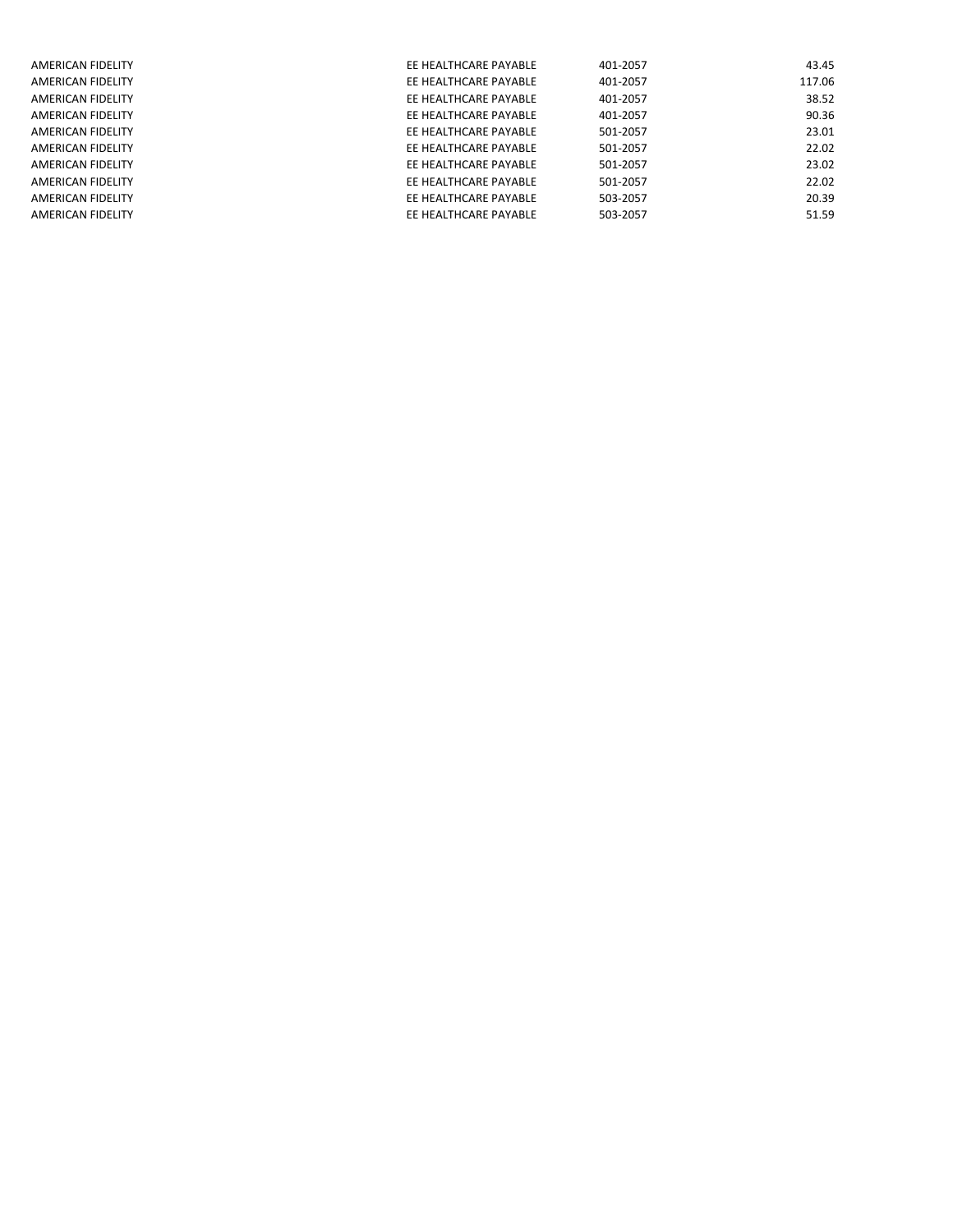| AMERICAN FIDELITY | EE HEALTHCARE PAYABLE | 401-2057 | 43.45  |
|-------------------|-----------------------|----------|--------|
| AMERICAN FIDELITY | EE HEALTHCARE PAYABLE | 401-2057 | 117.06 |
| AMERICAN FIDELITY | EE HEALTHCARE PAYABLE | 401-2057 | 38.52  |
| AMERICAN FIDELITY | EE HEALTHCARE PAYABLE | 401-2057 | 90.36  |
| AMERICAN FIDELITY | EE HEALTHCARE PAYABLE | 501-2057 | 23.01  |
| AMERICAN FIDELITY | EE HEALTHCARE PAYABLE | 501-2057 | 22.02  |
| AMERICAN FIDELITY | EE HEALTHCARE PAYABLE | 501-2057 | 23.02  |
| AMERICAN FIDELITY | EE HEALTHCARE PAYABLE | 501-2057 | 22.02  |
| AMERICAN FIDELITY | EE HEALTHCARE PAYABLE | 503-2057 | 20.39  |
| AMERICAN FIDELITY | EE HEALTHCARE PAYABLE | 503-2057 | 51.59  |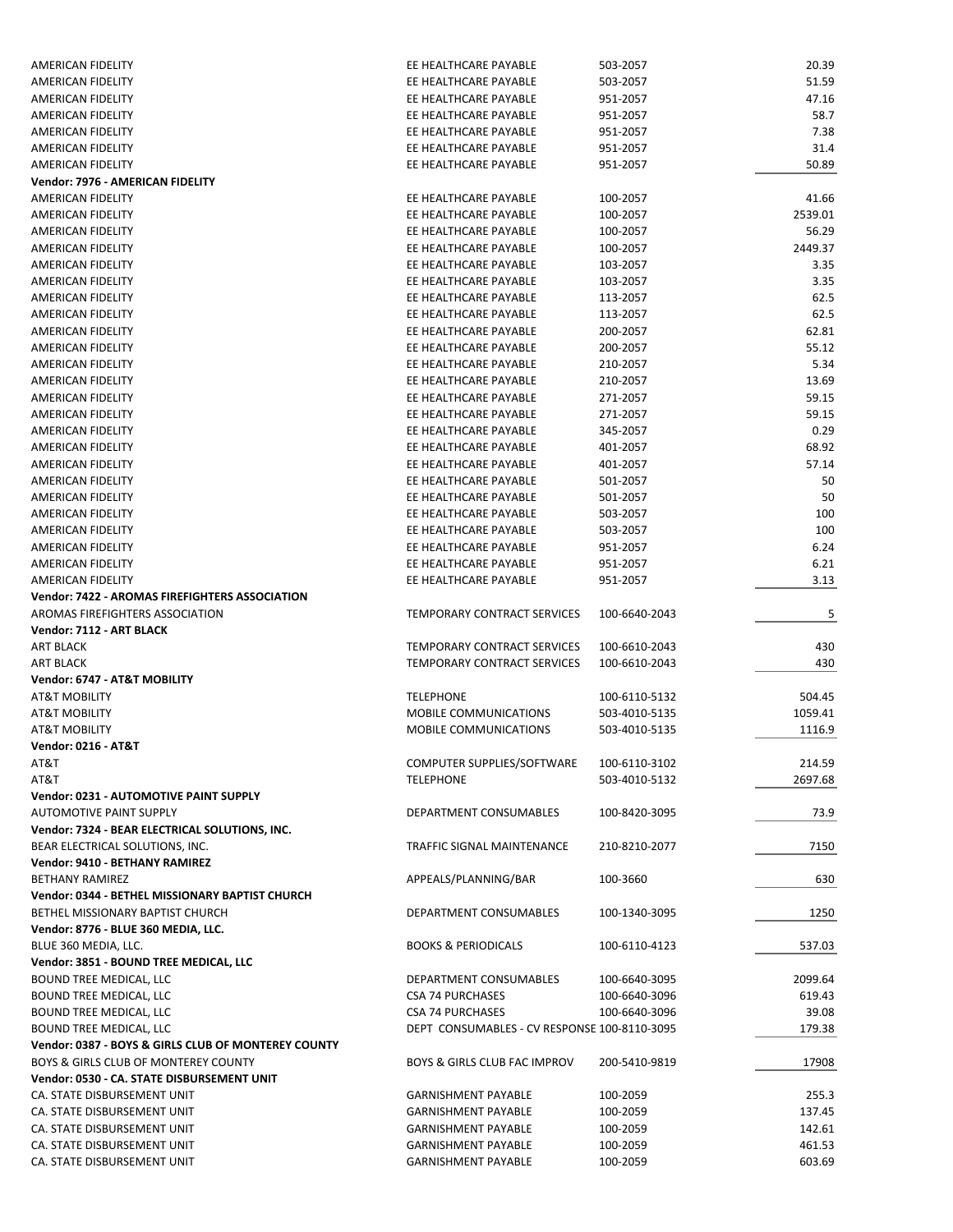| AMERICAN FIDELITY                                   | EE HEALTHCARE PAYABLE                        | 503-2057      | 20.39   |
|-----------------------------------------------------|----------------------------------------------|---------------|---------|
| AMERICAN FIDELITY                                   | EE HEALTHCARE PAYABLE                        | 503-2057      | 51.59   |
| AMERICAN FIDELITY                                   | EE HEALTHCARE PAYABLE                        | 951-2057      | 47.16   |
| AMERICAN FIDELITY                                   | EE HEALTHCARE PAYABLE                        | 951-2057      | 58.7    |
| AMERICAN FIDELITY                                   | EE HEALTHCARE PAYABLE                        | 951-2057      | 7.38    |
| AMERICAN FIDELITY                                   | EE HEALTHCARE PAYABLE                        | 951-2057      | 31.4    |
| AMERICAN FIDELITY                                   | EE HEALTHCARE PAYABLE                        | 951-2057      | 50.89   |
| Vendor: 7976 - AMERICAN FIDELITY                    |                                              |               |         |
|                                                     |                                              |               |         |
| AMERICAN FIDELITY                                   | EE HEALTHCARE PAYABLE                        | 100-2057      | 41.66   |
| AMERICAN FIDELITY                                   | EE HEALTHCARE PAYABLE                        | 100-2057      | 2539.01 |
| AMERICAN FIDELITY                                   | EE HEALTHCARE PAYABLE                        | 100-2057      | 56.29   |
| AMERICAN FIDELITY                                   | EE HEALTHCARE PAYABLE                        | 100-2057      | 2449.37 |
| AMERICAN FIDELITY                                   | EE HEALTHCARE PAYABLE                        | 103-2057      | 3.35    |
| AMERICAN FIDELITY                                   | EE HEALTHCARE PAYABLE                        | 103-2057      | 3.35    |
| AMERICAN FIDELITY                                   | EE HEALTHCARE PAYABLE                        | 113-2057      | 62.5    |
| AMERICAN FIDELITY                                   | EE HEALTHCARE PAYABLE                        | 113-2057      | 62.5    |
| AMERICAN FIDELITY                                   | EE HEALTHCARE PAYABLE                        | 200-2057      | 62.81   |
| AMERICAN FIDELITY                                   | EE HEALTHCARE PAYABLE                        | 200-2057      | 55.12   |
| AMERICAN FIDELITY                                   | EE HEALTHCARE PAYABLE                        | 210-2057      | 5.34    |
| AMERICAN FIDELITY                                   | EE HEALTHCARE PAYABLE                        | 210-2057      | 13.69   |
| AMERICAN FIDELITY                                   | EE HEALTHCARE PAYABLE                        | 271-2057      | 59.15   |
| AMERICAN FIDELITY                                   | EE HEALTHCARE PAYABLE                        | 271-2057      | 59.15   |
| AMERICAN FIDELITY                                   | EE HEALTHCARE PAYABLE                        | 345-2057      | 0.29    |
|                                                     | EE HEALTHCARE PAYABLE                        |               | 68.92   |
| AMERICAN FIDELITY                                   |                                              | 401-2057      |         |
| AMERICAN FIDELITY                                   | EE HEALTHCARE PAYABLE                        | 401-2057      | 57.14   |
| AMERICAN FIDELITY                                   | EE HEALTHCARE PAYABLE                        | 501-2057      | 50      |
| <b>AMERICAN FIDELITY</b>                            | EE HEALTHCARE PAYABLE                        | 501-2057      | 50      |
| AMERICAN FIDELITY                                   | EE HEALTHCARE PAYABLE                        | 503-2057      | 100     |
| AMERICAN FIDELITY                                   | EE HEALTHCARE PAYABLE                        | 503-2057      | 100     |
| AMERICAN FIDELITY                                   | EE HEALTHCARE PAYABLE                        | 951-2057      | 6.24    |
| AMERICAN FIDELITY                                   | EE HEALTHCARE PAYABLE                        | 951-2057      | 6.21    |
| AMERICAN FIDELITY                                   | EE HEALTHCARE PAYABLE                        | 951-2057      | 3.13    |
| Vendor: 7422 - AROMAS FIREFIGHTERS ASSOCIATION      |                                              |               |         |
| AROMAS FIREFIGHTERS ASSOCIATION                     | TEMPORARY CONTRACT SERVICES                  | 100-6640-2043 | 5       |
| Vendor: 7112 - ART BLACK                            |                                              |               |         |
| <b>ART BLACK</b>                                    | TEMPORARY CONTRACT SERVICES                  | 100-6610-2043 | 430     |
| <b>ART BLACK</b>                                    | TEMPORARY CONTRACT SERVICES                  | 100-6610-2043 | 430     |
| Vendor: 6747 - AT&T MOBILITY                        |                                              |               |         |
| AT&T MOBILITY                                       | <b>TELEPHONE</b>                             | 100-6110-5132 | 504.45  |
| <b>AT&amp;T MOBILITY</b>                            | MOBILE COMMUNICATIONS                        | 503-4010-5135 | 1059.41 |
| <b>AT&amp;T MOBILITY</b>                            | MOBILE COMMUNICATIONS                        | 503-4010-5135 | 1116.9  |
|                                                     |                                              |               |         |
| Vendor: 0216 - AT&T                                 |                                              |               |         |
| AT&T                                                | COMPUTER SUPPLIES/SOFTWARE                   | 100-6110-3102 | 214.59  |
| AT&T                                                | <b>TELEPHONE</b>                             | 503-4010-5132 | 2697.68 |
| Vendor: 0231 - AUTOMOTIVE PAINT SUPPLY              |                                              |               |         |
| <b>AUTOMOTIVE PAINT SUPPLY</b>                      | DEPARTMENT CONSUMABLES                       | 100-8420-3095 | 73.9    |
| Vendor: 7324 - BEAR ELECTRICAL SOLUTIONS, INC.      |                                              |               |         |
| BEAR ELECTRICAL SOLUTIONS, INC.                     | TRAFFIC SIGNAL MAINTENANCE                   | 210-8210-2077 | 7150    |
| Vendor: 9410 - BETHANY RAMIREZ                      |                                              |               |         |
| <b>BETHANY RAMIREZ</b>                              | APPEALS/PLANNING/BAR                         | 100-3660      | 630     |
| Vendor: 0344 - BETHEL MISSIONARY BAPTIST CHURCH     |                                              |               |         |
| BETHEL MISSIONARY BAPTIST CHURCH                    | DEPARTMENT CONSUMABLES                       | 100-1340-3095 | 1250    |
| Vendor: 8776 - BLUE 360 MEDIA, LLC.                 |                                              |               |         |
| BLUE 360 MEDIA, LLC.                                | <b>BOOKS &amp; PERIODICALS</b>               | 100-6110-4123 | 537.03  |
| Vendor: 3851 - BOUND TREE MEDICAL, LLC              |                                              |               |         |
| BOUND TREE MEDICAL, LLC                             | DEPARTMENT CONSUMABLES                       | 100-6640-3095 | 2099.64 |
|                                                     |                                              |               |         |
| BOUND TREE MEDICAL, LLC                             | <b>CSA 74 PURCHASES</b>                      | 100-6640-3096 | 619.43  |
| BOUND TREE MEDICAL, LLC                             | <b>CSA 74 PURCHASES</b>                      | 100-6640-3096 | 39.08   |
| BOUND TREE MEDICAL, LLC                             | DEPT CONSUMABLES - CV RESPONSE 100-8110-3095 |               | 179.38  |
| Vendor: 0387 - BOYS & GIRLS CLUB OF MONTEREY COUNTY |                                              |               |         |
| <b>BOYS &amp; GIRLS CLUB OF MONTEREY COUNTY</b>     | BOYS & GIRLS CLUB FAC IMPROV                 | 200-5410-9819 | 17908   |
| Vendor: 0530 - CA. STATE DISBURSEMENT UNIT          |                                              |               |         |
| CA. STATE DISBURSEMENT UNIT                         | <b>GARNISHMENT PAYABLE</b>                   | 100-2059      | 255.3   |
| CA. STATE DISBURSEMENT UNIT                         | <b>GARNISHMENT PAYABLE</b>                   | 100-2059      | 137.45  |
| CA. STATE DISBURSEMENT UNIT                         | <b>GARNISHMENT PAYABLE</b>                   | 100-2059      | 142.61  |
| CA. STATE DISBURSEMENT UNIT                         | <b>GARNISHMENT PAYABLE</b>                   | 100-2059      | 461.53  |
| CA. STATE DISBURSEMENT UNIT                         | <b>GARNISHMENT PAYABLE</b>                   | 100-2059      | 603.69  |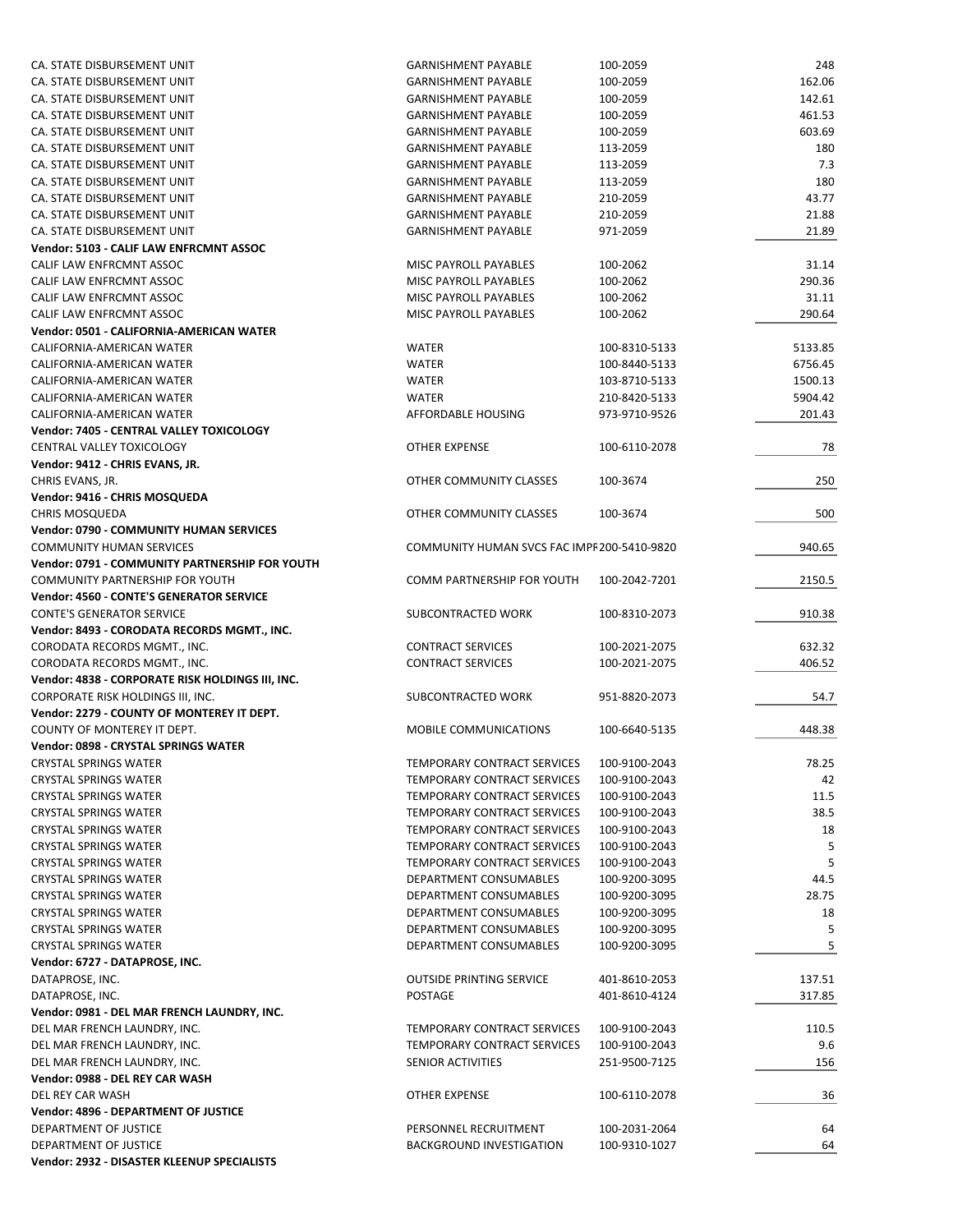| CA. STATE DISBURSEMENT UNIT                      | <b>GARNISHMENT PAYABLE</b>                  | 100-2059      | 248     |
|--------------------------------------------------|---------------------------------------------|---------------|---------|
| CA. STATE DISBURSEMENT UNIT                      | <b>GARNISHMENT PAYABLE</b>                  | 100-2059      | 162.06  |
| CA. STATE DISBURSEMENT UNIT                      | <b>GARNISHMENT PAYABLE</b>                  | 100-2059      | 142.61  |
| CA. STATE DISBURSEMENT UNIT                      | <b>GARNISHMENT PAYABLE</b>                  | 100-2059      | 461.53  |
| CA. STATE DISBURSEMENT UNIT                      | <b>GARNISHMENT PAYABLE</b>                  | 100-2059      | 603.69  |
| CA. STATE DISBURSEMENT UNIT                      | <b>GARNISHMENT PAYABLE</b>                  | 113-2059      | 180     |
| CA. STATE DISBURSEMENT UNIT                      | <b>GARNISHMENT PAYABLE</b>                  | 113-2059      | 7.3     |
| CA. STATE DISBURSEMENT UNIT                      | <b>GARNISHMENT PAYABLE</b>                  | 113-2059      | 180     |
| CA. STATE DISBURSEMENT UNIT                      | <b>GARNISHMENT PAYABLE</b>                  | 210-2059      | 43.77   |
| CA. STATE DISBURSEMENT UNIT                      | <b>GARNISHMENT PAYABLE</b>                  | 210-2059      | 21.88   |
| CA. STATE DISBURSEMENT UNIT                      | <b>GARNISHMENT PAYABLE</b>                  | 971-2059      | 21.89   |
| Vendor: 5103 - CALIF LAW ENFRCMNT ASSOC          |                                             |               |         |
| CALIF LAW ENFRCMNT ASSOC                         | MISC PAYROLL PAYABLES                       | 100-2062      | 31.14   |
| CALIF LAW ENFRCMNT ASSOC                         | MISC PAYROLL PAYABLES                       | 100-2062      | 290.36  |
| CALIF LAW ENFRCMNT ASSOC                         | MISC PAYROLL PAYABLES                       | 100-2062      | 31.11   |
| CALIF LAW ENFRCMNT ASSOC                         | MISC PAYROLL PAYABLES                       | 100-2062      | 290.64  |
| Vendor: 0501 - CALIFORNIA-AMERICAN WATER         |                                             |               |         |
| CALIFORNIA-AMERICAN WATER                        | WATER                                       | 100-8310-5133 | 5133.85 |
|                                                  |                                             |               | 6756.45 |
| CALIFORNIA-AMERICAN WATER                        | <b>WATER</b>                                | 100-8440-5133 |         |
| CALIFORNIA-AMERICAN WATER                        | <b>WATER</b>                                | 103-8710-5133 | 1500.13 |
| CALIFORNIA-AMERICAN WATER                        | <b>WATER</b>                                | 210-8420-5133 | 5904.42 |
| CALIFORNIA-AMERICAN WATER                        | AFFORDABLE HOUSING                          | 973-9710-9526 | 201.43  |
| Vendor: 7405 - CENTRAL VALLEY TOXICOLOGY         |                                             |               |         |
| CENTRAL VALLEY TOXICOLOGY                        | OTHER EXPENSE                               | 100-6110-2078 | 78      |
| Vendor: 9412 - CHRIS EVANS, JR.                  |                                             |               |         |
| CHRIS EVANS, JR.                                 | OTHER COMMUNITY CLASSES                     | 100-3674      | 250     |
| Vendor: 9416 - CHRIS MOSQUEDA                    |                                             |               |         |
| <b>CHRIS MOSQUEDA</b>                            | OTHER COMMUNITY CLASSES                     | 100-3674      | 500     |
| Vendor: 0790 - COMMUNITY HUMAN SERVICES          |                                             |               |         |
| <b>COMMUNITY HUMAN SERVICES</b>                  | COMMUNITY HUMAN SVCS FAC IMPF 200-5410-9820 |               | 940.65  |
| Vendor: 0791 - COMMUNITY PARTNERSHIP FOR YOUTH   |                                             |               |         |
| <b>COMMUNITY PARTNERSHIP FOR YOUTH</b>           | COMM PARTNERSHIP FOR YOUTH                  | 100-2042-7201 | 2150.5  |
| <b>Vendor: 4560 - CONTE'S GENERATOR SERVICE</b>  |                                             |               |         |
| <b>CONTE'S GENERATOR SERVICE</b>                 | SUBCONTRACTED WORK                          | 100-8310-2073 | 910.38  |
| Vendor: 8493 - CORODATA RECORDS MGMT., INC.      |                                             |               |         |
| CORODATA RECORDS MGMT., INC.                     | <b>CONTRACT SERVICES</b>                    | 100-2021-2075 | 632.32  |
| CORODATA RECORDS MGMT., INC.                     | <b>CONTRACT SERVICES</b>                    | 100-2021-2075 | 406.52  |
| Vendor: 4838 - CORPORATE RISK HOLDINGS III, INC. |                                             |               |         |
| CORPORATE RISK HOLDINGS III, INC.                | SUBCONTRACTED WORK                          | 951-8820-2073 | 54.7    |
| Vendor: 2279 - COUNTY OF MONTEREY IT DEPT.       |                                             |               |         |
| COUNTY OF MONTEREY IT DEPT.                      | <b>MOBILE COMMUNICATIONS</b>                | 100-6640-5135 | 448.38  |
| <b>Vendor: 0898 - CRYSTAL SPRINGS WATER</b>      |                                             |               |         |
| <b>CRYSTAL SPRINGS WATER</b>                     | TEMPORARY CONTRACT SERVICES                 | 100-9100-2043 | 78.25   |
| <b>CRYSTAL SPRINGS WATER</b>                     | TEMPORARY CONTRACT SERVICES                 | 100-9100-2043 | 42      |
| <b>CRYSTAL SPRINGS WATER</b>                     | TEMPORARY CONTRACT SERVICES                 | 100-9100-2043 | 11.5    |
| <b>CRYSTAL SPRINGS WATER</b>                     | TEMPORARY CONTRACT SERVICES                 | 100-9100-2043 | 38.5    |
| <b>CRYSTAL SPRINGS WATER</b>                     | TEMPORARY CONTRACT SERVICES                 | 100-9100-2043 | 18      |
| <b>CRYSTAL SPRINGS WATER</b>                     | TEMPORARY CONTRACT SERVICES                 | 100-9100-2043 | 5       |
| <b>CRYSTAL SPRINGS WATER</b>                     | TEMPORARY CONTRACT SERVICES                 | 100-9100-2043 | 5       |
| <b>CRYSTAL SPRINGS WATER</b>                     | DEPARTMENT CONSUMABLES                      | 100-9200-3095 | 44.5    |
| <b>CRYSTAL SPRINGS WATER</b>                     | DEPARTMENT CONSUMABLES                      | 100-9200-3095 | 28.75   |
| <b>CRYSTAL SPRINGS WATER</b>                     | DEPARTMENT CONSUMABLES                      | 100-9200-3095 | 18      |
| <b>CRYSTAL SPRINGS WATER</b>                     | DEPARTMENT CONSUMABLES                      | 100-9200-3095 | 5       |
| <b>CRYSTAL SPRINGS WATER</b>                     | DEPARTMENT CONSUMABLES                      | 100-9200-3095 | 5       |
| Vendor: 6727 - DATAPROSE, INC.                   |                                             |               |         |
| DATAPROSE, INC.                                  | <b>OUTSIDE PRINTING SERVICE</b>             | 401-8610-2053 | 137.51  |
| DATAPROSE, INC.                                  | POSTAGE                                     | 401-8610-4124 | 317.85  |
| Vendor: 0981 - DEL MAR FRENCH LAUNDRY, INC.      |                                             |               |         |
| DEL MAR FRENCH LAUNDRY, INC.                     | TEMPORARY CONTRACT SERVICES                 | 100-9100-2043 | 110.5   |
| DEL MAR FRENCH LAUNDRY, INC.                     | TEMPORARY CONTRACT SERVICES                 | 100-9100-2043 | 9.6     |
| DEL MAR FRENCH LAUNDRY, INC.                     | SENIOR ACTIVITIES                           | 251-9500-7125 | 156     |
| Vendor: 0988 - DEL REY CAR WASH                  |                                             |               |         |
| DEL REY CAR WASH                                 | OTHER EXPENSE                               | 100-6110-2078 | 36      |
| Vendor: 4896 - DEPARTMENT OF JUSTICE             |                                             |               |         |
| DEPARTMENT OF JUSTICE                            | PERSONNEL RECRUITMENT                       | 100-2031-2064 | 64      |
| DEPARTMENT OF JUSTICE                            | <b>BACKGROUND INVESTIGATION</b>             | 100-9310-1027 | 64      |
| Vendor: 2932 - DISASTER KLEENUP SPECIALISTS      |                                             |               |         |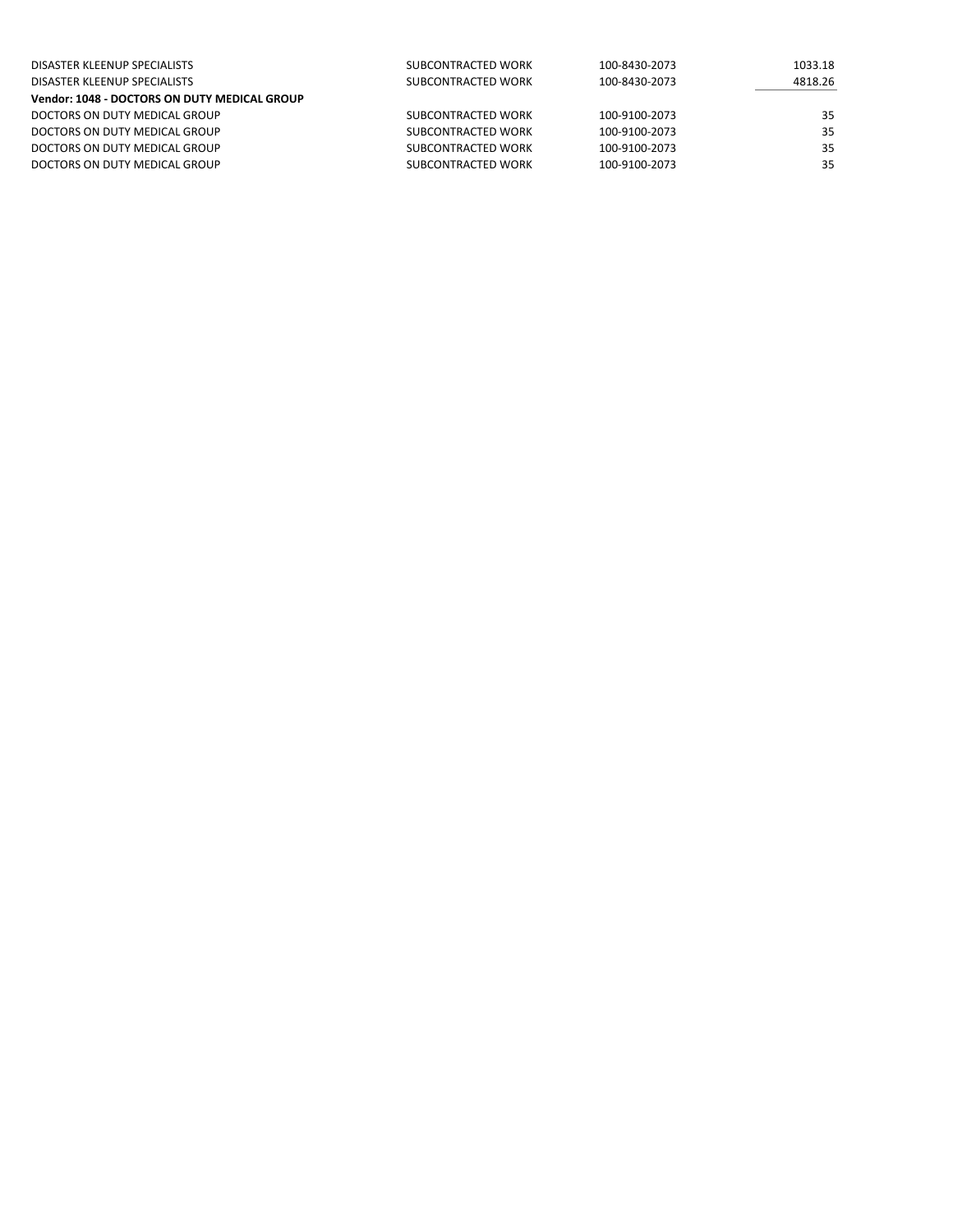| DISASTER KLEENUP SPECIALISTS                 | SUBCONTRACTED WORK | 100-8430-2073 | 1033.18 |
|----------------------------------------------|--------------------|---------------|---------|
| DISASTER KLEENUP SPECIALISTS                 | SUBCONTRACTED WORK | 100-8430-2073 | 4818.26 |
| Vendor: 1048 - DOCTORS ON DUTY MEDICAL GROUP |                    |               |         |
| DOCTORS ON DUTY MEDICAL GROUP                | SUBCONTRACTED WORK | 100-9100-2073 | 35      |
| DOCTORS ON DUTY MEDICAL GROUP                | SUBCONTRACTED WORK | 100-9100-2073 | 35      |
| DOCTORS ON DUTY MEDICAL GROUP                | SUBCONTRACTED WORK | 100-9100-2073 | 35      |
| DOCTORS ON DUTY MEDICAL GROUP                | SUBCONTRACTED WORK | 100-9100-2073 | 35      |
|                                              |                    |               |         |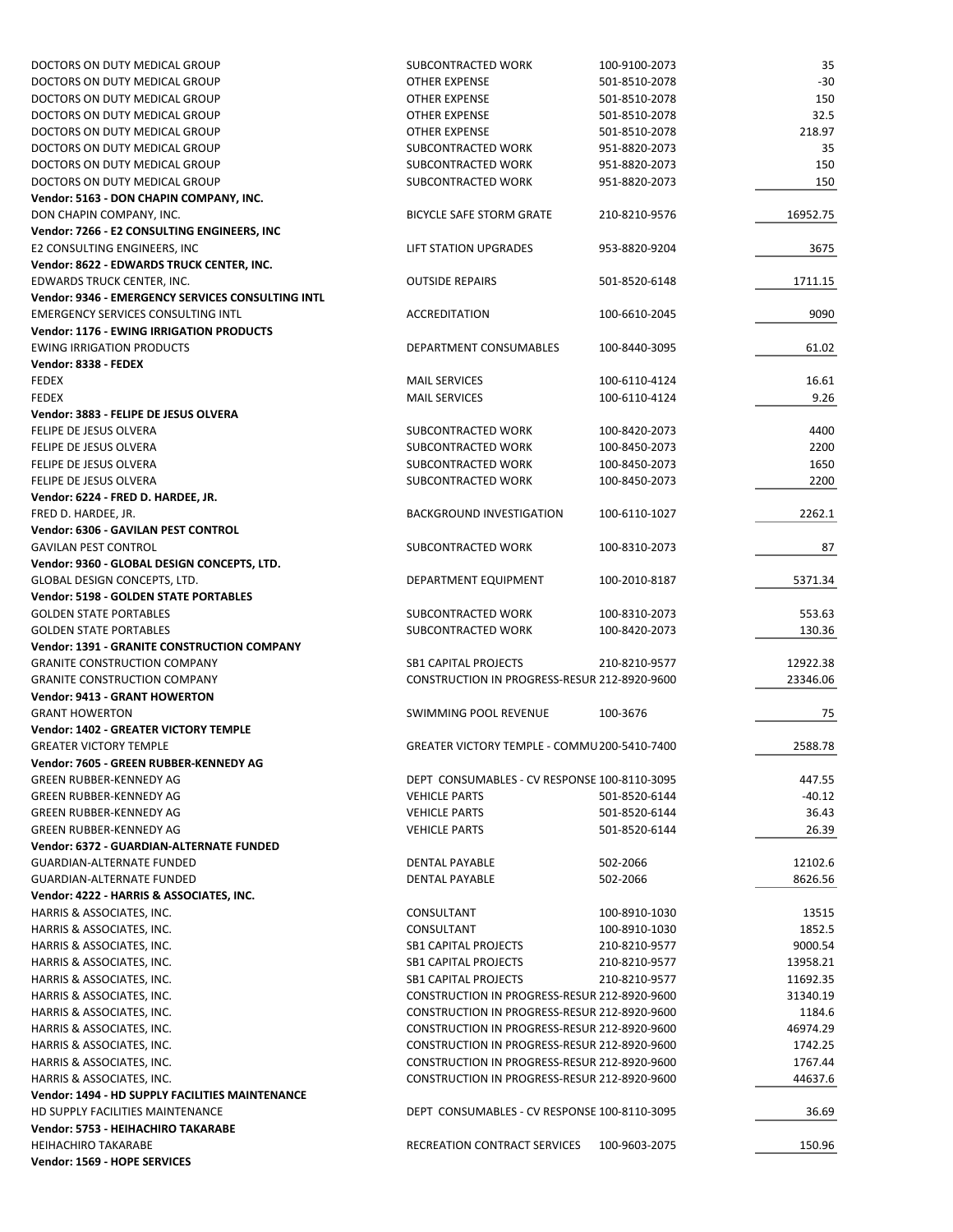| DOCTORS ON DUTY MEDICAL GROUP                     | SUBCONTRACTED WORK                           | 100-9100-2073 | 35       |
|---------------------------------------------------|----------------------------------------------|---------------|----------|
| DOCTORS ON DUTY MEDICAL GROUP                     | OTHER EXPENSE                                | 501-8510-2078 | $-30$    |
| DOCTORS ON DUTY MEDICAL GROUP                     | OTHER EXPENSE                                | 501-8510-2078 | 150      |
| DOCTORS ON DUTY MEDICAL GROUP                     | <b>OTHER EXPENSE</b>                         | 501-8510-2078 | 32.5     |
|                                                   |                                              |               |          |
| DOCTORS ON DUTY MEDICAL GROUP                     | OTHER EXPENSE                                | 501-8510-2078 | 218.97   |
| DOCTORS ON DUTY MEDICAL GROUP                     | SUBCONTRACTED WORK                           | 951-8820-2073 | 35       |
| DOCTORS ON DUTY MEDICAL GROUP                     | SUBCONTRACTED WORK                           | 951-8820-2073 | 150      |
| DOCTORS ON DUTY MEDICAL GROUP                     | SUBCONTRACTED WORK                           | 951-8820-2073 | 150      |
| Vendor: 5163 - DON CHAPIN COMPANY, INC.           |                                              |               |          |
| DON CHAPIN COMPANY, INC.                          | BICYCLE SAFE STORM GRATE                     | 210-8210-9576 | 16952.75 |
| Vendor: 7266 - E2 CONSULTING ENGINEERS, INC       |                                              |               |          |
| E2 CONSULTING ENGINEERS, INC                      | LIFT STATION UPGRADES                        | 953-8820-9204 | 3675     |
|                                                   |                                              |               |          |
| Vendor: 8622 - EDWARDS TRUCK CENTER, INC.         |                                              |               |          |
| EDWARDS TRUCK CENTER, INC.                        | <b>OUTSIDE REPAIRS</b>                       | 501-8520-6148 | 1711.15  |
| Vendor: 9346 - EMERGENCY SERVICES CONSULTING INTL |                                              |               |          |
| <b>EMERGENCY SERVICES CONSULTING INTL</b>         | ACCREDITATION                                | 100-6610-2045 | 9090     |
| <b>Vendor: 1176 - EWING IRRIGATION PRODUCTS</b>   |                                              |               |          |
| <b>EWING IRRIGATION PRODUCTS</b>                  | DEPARTMENT CONSUMABLES                       | 100-8440-3095 | 61.02    |
| Vendor: 8338 - FEDEX                              |                                              |               |          |
| <b>FEDEX</b>                                      |                                              | 100-6110-4124 | 16.61    |
|                                                   | <b>MAIL SERVICES</b>                         |               |          |
| <b>FEDEX</b>                                      | <b>MAIL SERVICES</b>                         | 100-6110-4124 | 9.26     |
| Vendor: 3883 - FELIPE DE JESUS OLVERA             |                                              |               |          |
| FELIPE DE JESUS OLVERA                            | SUBCONTRACTED WORK                           | 100-8420-2073 | 4400     |
| FELIPE DE JESUS OLVERA                            | SUBCONTRACTED WORK                           | 100-8450-2073 | 2200     |
| FELIPE DE JESUS OLVERA                            | SUBCONTRACTED WORK                           | 100-8450-2073 | 1650     |
| FELIPE DE JESUS OLVERA                            | SUBCONTRACTED WORK                           | 100-8450-2073 | 2200     |
| Vendor: 6224 - FRED D. HARDEE, JR.                |                                              |               |          |
|                                                   |                                              |               |          |
| FRED D. HARDEE, JR.                               | BACKGROUND INVESTIGATION                     | 100-6110-1027 | 2262.1   |
| Vendor: 6306 - GAVILAN PEST CONTROL               |                                              |               |          |
| <b>GAVILAN PEST CONTROL</b>                       | SUBCONTRACTED WORK                           | 100-8310-2073 | 87       |
| Vendor: 9360 - GLOBAL DESIGN CONCEPTS, LTD.       |                                              |               |          |
| GLOBAL DESIGN CONCEPTS, LTD.                      | DEPARTMENT EQUIPMENT                         | 100-2010-8187 | 5371.34  |
| <b>Vendor: 5198 - GOLDEN STATE PORTABLES</b>      |                                              |               |          |
| <b>GOLDEN STATE PORTABLES</b>                     | SUBCONTRACTED WORK                           | 100-8310-2073 | 553.63   |
| <b>GOLDEN STATE PORTABLES</b>                     | SUBCONTRACTED WORK                           |               |          |
|                                                   |                                              | 100-8420-2073 | 130.36   |
| Vendor: 1391 - GRANITE CONSTRUCTION COMPANY       |                                              |               |          |
| <b>GRANITE CONSTRUCTION COMPANY</b>               | <b>SB1 CAPITAL PROJECTS</b>                  | 210-8210-9577 | 12922.38 |
| <b>GRANITE CONSTRUCTION COMPANY</b>               | CONSTRUCTION IN PROGRESS-RESUR 212-8920-9600 |               | 23346.06 |
| <b>Vendor: 9413 - GRANT HOWERTON</b>              |                                              |               |          |
| <b>GRANT HOWERTON</b>                             | SWIMMING POOL REVENUE                        | 100-3676      | 75       |
| <b>Vendor: 1402 - GREATER VICTORY TEMPLE</b>      |                                              |               |          |
| <b>GREATER VICTORY TEMPLE</b>                     | GREATER VICTORY TEMPLE - COMMU 200-5410-7400 |               | 2588.78  |
|                                                   |                                              |               |          |
| Vendor: 7605 - GREEN RUBBER-KENNEDY AG            |                                              |               |          |
| GREEN RUBBER-KENNEDY AG                           | DEPT CONSUMABLES - CV RESPONSE 100-8110-3095 |               | 447.55   |
| <b>GREEN RUBBER-KENNEDY AG</b>                    | <b>VEHICLE PARTS</b>                         | 501-8520-6144 | -40.12   |
| <b>GREEN RUBBER-KENNEDY AG</b>                    | <b>VEHICLE PARTS</b>                         | 501-8520-6144 | 36.43    |
| <b>GREEN RUBBER-KENNEDY AG</b>                    | <b>VEHICLE PARTS</b>                         | 501-8520-6144 | 26.39    |
| <b>Vendor: 6372 - GUARDIAN-ALTERNATE FUNDED</b>   |                                              |               |          |
| <b>GUARDIAN-ALTERNATE FUNDED</b>                  | <b>DENTAL PAYABLE</b>                        | 502-2066      | 12102.6  |
|                                                   |                                              | 502-2066      |          |
| <b>GUARDIAN-ALTERNATE FUNDED</b>                  | <b>DENTAL PAYABLE</b>                        |               | 8626.56  |
| Vendor: 4222 - HARRIS & ASSOCIATES, INC.          |                                              |               |          |
| HARRIS & ASSOCIATES, INC.                         | CONSULTANT                                   | 100-8910-1030 | 13515    |
| HARRIS & ASSOCIATES, INC.                         | CONSULTANT                                   | 100-8910-1030 | 1852.5   |
| HARRIS & ASSOCIATES, INC.                         | <b>SB1 CAPITAL PROJECTS</b>                  | 210-8210-9577 | 9000.54  |
| HARRIS & ASSOCIATES, INC.                         | <b>SB1 CAPITAL PROJECTS</b>                  | 210-8210-9577 | 13958.21 |
| HARRIS & ASSOCIATES, INC.                         | <b>SB1 CAPITAL PROJECTS</b>                  | 210-8210-9577 | 11692.35 |
|                                                   |                                              |               |          |
| HARRIS & ASSOCIATES, INC.                         | CONSTRUCTION IN PROGRESS-RESUR 212-8920-9600 |               | 31340.19 |
| HARRIS & ASSOCIATES, INC.                         | CONSTRUCTION IN PROGRESS-RESUR 212-8920-9600 |               | 1184.6   |
| HARRIS & ASSOCIATES, INC.                         | CONSTRUCTION IN PROGRESS-RESUR 212-8920-9600 |               | 46974.29 |
| HARRIS & ASSOCIATES, INC.                         | CONSTRUCTION IN PROGRESS-RESUR 212-8920-9600 |               | 1742.25  |
| HARRIS & ASSOCIATES, INC.                         | CONSTRUCTION IN PROGRESS-RESUR 212-8920-9600 |               | 1767.44  |
| HARRIS & ASSOCIATES, INC.                         | CONSTRUCTION IN PROGRESS-RESUR 212-8920-9600 |               | 44637.6  |
| Vendor: 1494 - HD SUPPLY FACILITIES MAINTENANCE   |                                              |               |          |
| HD SUPPLY FACILITIES MAINTENANCE                  | DEPT CONSUMABLES - CV RESPONSE 100-8110-3095 |               | 36.69    |
|                                                   |                                              |               |          |
| Vendor: 5753 - HEIHACHIRO TAKARABE                |                                              |               |          |
| HEIHACHIRO TAKARABE                               | RECREATION CONTRACT SERVICES                 | 100-9603-2075 | 150.96   |
| Vendor: 1569 - HOPE SERVICES                      |                                              |               |          |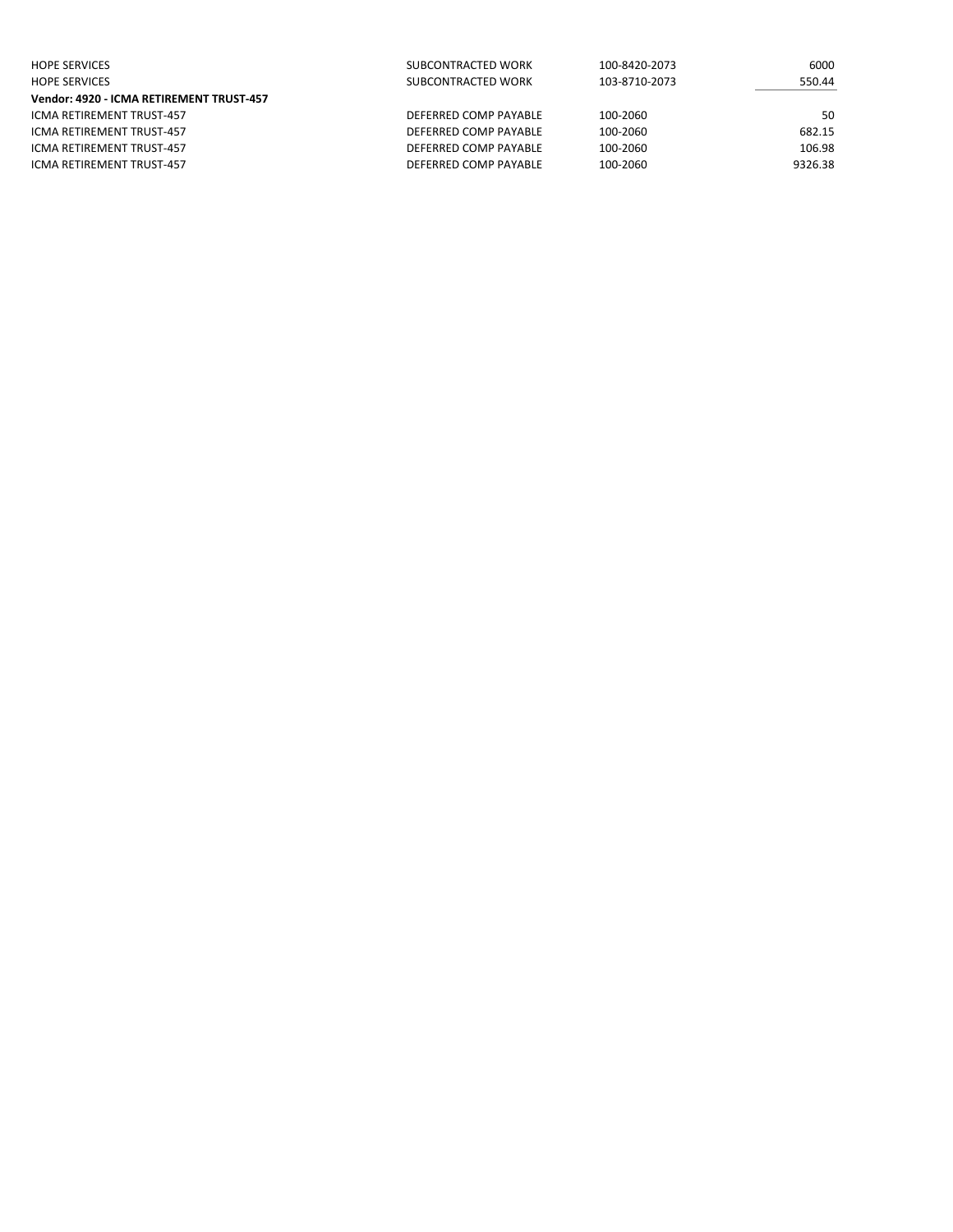| <b>HOPE SERVICES</b>                     | SUBCONTRACTED WORK    | 100-8420-2073 | 6000    |
|------------------------------------------|-----------------------|---------------|---------|
| <b>HOPE SERVICES</b>                     | SUBCONTRACTED WORK    | 103-8710-2073 | 550.44  |
| Vendor: 4920 - ICMA RETIREMENT TRUST-457 |                       |               |         |
| ICMA RETIREMENT TRUST-457                | DEFERRED COMP PAYABLE | 100-2060      | 50      |
| ICMA RETIREMENT TRUST-457                | DEFERRED COMP PAYABLE | 100-2060      | 682.15  |
| ICMA RETIREMENT TRUST-457                | DEFERRED COMP PAYABLE | 100-2060      | 106.98  |
| ICMA RETIREMENT TRUST-457                | DEFERRED COMP PAYABLE | 100-2060      | 9326.38 |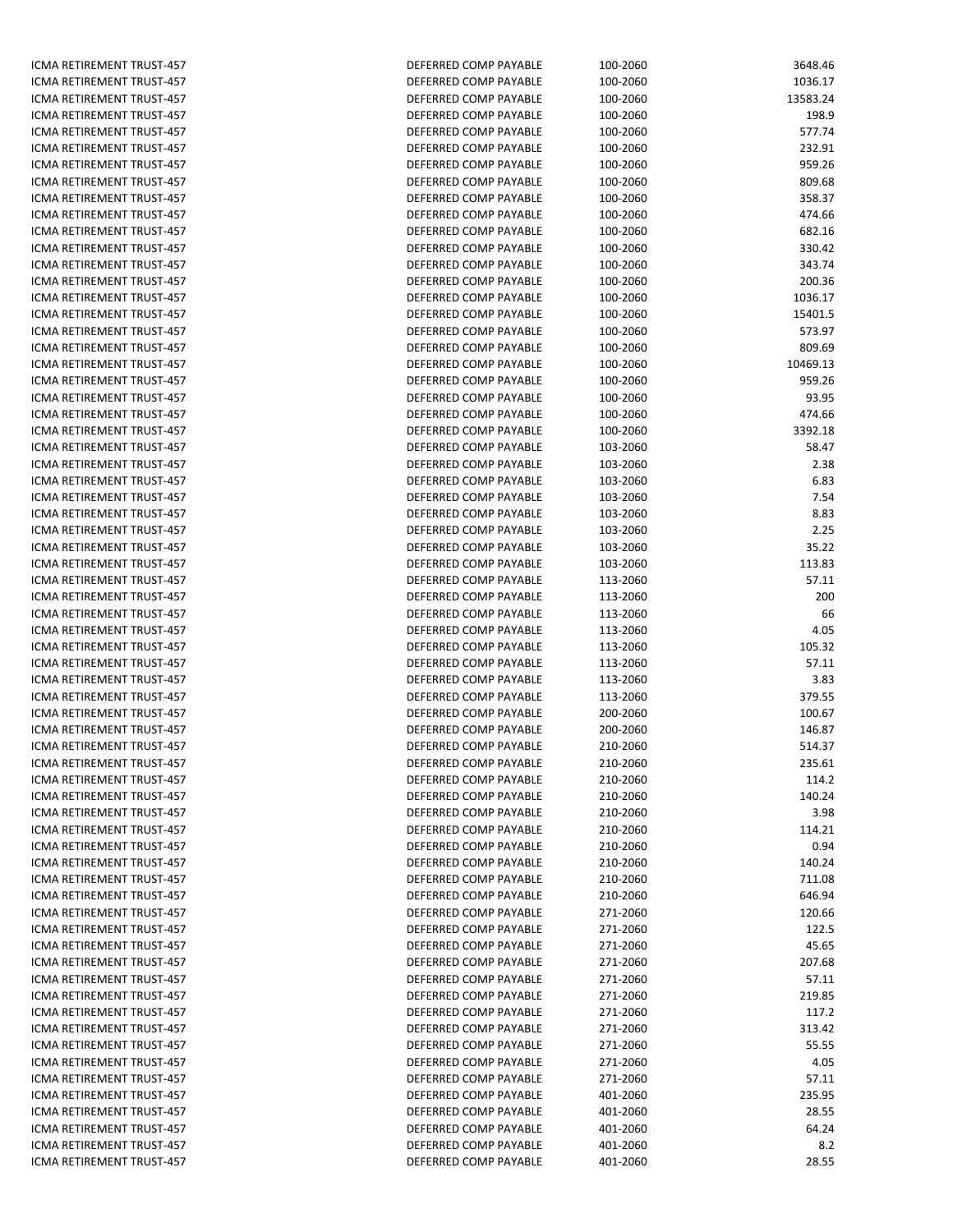ICMA RETIREMENT TRUST-457 ICMA RETIREMENT TRUST-457 ICMA RETIREMENT TRUST-457 ICMA RETIREMENT TRUST-457 ICMA RETIREMENT TRUST-457 ICMA RETIREMENT TRUST-457 ICMA RETIREMENT TRUST-457 ICMA RETIREMENT TRUST-457 ICMA RETIREMENT TRUST-457 ICMA RETIREMENT TRUST-457 ICMA RETIREMENT TRUST-457 ICMA RETIREMENT TRUST-457 ICMA RETIREMENT TRUST-457 ICMA RETIREMENT TRUST-457 ICMA RETIREMENT TRUST-457 ICMA RETIREMENT TRUST-457 ICMA RETIREMENT TRUST-457 ICMA RETIREMENT TRUST-457 ICMA RETIREMENT TRUST-457 ICMA RETIREMENT TRUST-457 ICMA RETIREMENT TRUST-457 ICMA RETIREMENT TRUST-457 ICMA RETIREMENT TRUST-457 ICMA RETIREMENT TRUST-457 ICMA RETIREMENT TRUST-457 ICMA RETIREMENT TRUST-457 ICMA RETIREMENT TRUST-457 ICMA RETIREMENT TRUST-457 ICMA RETIREMENT TRUST-457 ICMA RETIREMENT TRUST-457 ICMA RETIREMENT TRUST-457 ICMA RETIREMENT TRUST-457 ICMA RETIREMENT TRUST-457 ICMA RETIREMENT TRUST-457 ICMA RETIREMENT TRUST-457 ICMA RETIREMENT TRUST-457 ICMA RETIREMENT TRUST-457 ICMA RETIREMENT TRUST-457 ICMA RETIREMENT TRUST-457 ICMA RETIREMENT TRUST-457 ICMA RETIREMENT TRUST-457 ICMA RETIREMENT TRUST-457 ICMA RETIREMENT TRUST-457 ICMA RETIREMENT TRUST-457 ICMA RETIREMENT TRUST-457 ICMA RETIREMENT TRUST-457 ICMA RETIREMENT TRUST-457 ICMA RETIREMENT TRUST-457 ICMA RETIREMENT TRUST-457 ICMA RETIREMENT TRUST-457 ICMA RETIREMENT TRUST-457 ICMA RETIREMENT TRUST-457 ICMA RETIREMENT TRUST-457 ICMA RETIREMENT TRUST-457 ICMA RETIREMENT TRUST-457 ICMA RETIREMENT TRUST-457 ICMA RETIREMENT TRUST-457 ICMA RETIREMENT TRUST-457 ICMA RETIREMENT TRUST-457 ICMA RETIREMENT TRUST-457 ICMA RETIREMENT TRUST-457 ICMA RETIREMENT TRUST-457 ICMA RETIREMENT TRUST-457 ICMA RETIREMENT TRUST-457 ICMA RETIREMENT TRUST-457 ICMA RETIREMENT TRUST-457 ICMA RETIREMENT TRUST-457

| DEFERRED COMP PAYABLE                          | 100-2060             | 3648.46          |
|------------------------------------------------|----------------------|------------------|
| DEFERRED COMP PAYABLE                          | 100-2060             | 1036.17          |
| DEFERRED COMP PAYABLE                          | 100-2060             | 13583.24         |
| DEFERRED COMP PAYABLE                          | 100-2060             | 198.9            |
| DEFERRED COMP PAYABLE                          | 100-2060             | 577.74           |
| DEFERRED COMP PAYABLE                          | 100-2060             | 232.91           |
| DEFERRED COMP PAYABLE                          | 100-2060             | 959.26           |
| DEFERRED COMP PAYABLE                          | 100-2060             | 809.68           |
| DEFERRED COMP PAYABLE                          | 100-2060             | 358.37           |
| DEFERRED COMP PAYABLE                          | 100-2060             | 474.66           |
| DEFERRED COMP PAYABLE<br>DEFERRED COMP PAYABLE | 100-2060             | 682.16           |
| DEFERRED COMP PAYABLE                          | 100-2060<br>100-2060 | 330.42<br>343.74 |
| DEFERRED COMP PAYABLE                          | 100-2060             | 200.36           |
| DEFERRED COMP PAYABLE                          | 100-2060             | 1036.17          |
| DEFERRED COMP PAYABLE                          | 100-2060             | 15401.5          |
| DEFERRED COMP PAYABLE                          | 100-2060             | 573.97           |
| DEFERRED COMP PAYABLE                          | 100-2060             | 809.69           |
| DEFERRED COMP PAYABLE                          | 100-2060             | 10469.13         |
| DEFERRED COMP PAYABLE                          | 100-2060             | 959.26           |
| DEFERRED COMP PAYABLE                          | 100-2060             | 93.95            |
| DEFERRED COMP PAYABLE                          | 100-2060             | 474.66           |
| DEFERRED COMP PAYABLE                          | 100-2060             | 3392.18          |
| DEFERRED COMP PAYABLE                          | 103-2060             | 58.47            |
| DEFERRED COMP PAYABLE                          | 103-2060             | 2.38             |
| DEFERRED COMP PAYABLE                          | 103-2060             | 6.83             |
| DEFERRED COMP PAYABLE                          | 103-2060             | 7.54             |
| DEFERRED COMP PAYABLE                          | 103-2060             | 8.83             |
| DEFERRED COMP PAYABLE                          | 103-2060             | 2.25             |
| DEFERRED COMP PAYABLE                          | 103-2060             | 35.22            |
| DEFERRED COMP PAYABLE                          | 103-2060             | 113.83           |
| DEFERRED COMP PAYABLE                          | 113-2060             | 57.11            |
| DEFERRED COMP PAYABLE<br>DEFERRED COMP PAYABLE | 113-2060<br>113-2060 | 200<br>66        |
| DEFERRED COMP PAYABLE                          | 113-2060             | 4.05             |
| DEFERRED COMP PAYABLE                          | 113-2060             | 105.32           |
| DEFERRED COMP PAYABLE                          | 113-2060             | 57.11            |
| DEFERRED COMP PAYABLE                          | 113-2060             | 3.83             |
| DEFERRED COMP PAYABLE                          | 113-2060             | 379.55           |
| DEFERRED COMP PAYABLE                          | 200-2060             | 100.67           |
| DEFERRED COMP PAYABLE                          | 200-2060             | 146.87           |
| DEFERRED COMP PAYABLE                          | 210-2060             | 514.37           |
| DEFERRED COMP PAYABLE                          | 210-2060             | 235.61           |
| DEFERRED COMP PAYABLE                          | 210-2060             | 114.2            |
| DEFERRED COMP PAYABLE                          | 210-2060             | 140.24           |
| DEFERRED COMP PAYABLE                          | 210-2060             | 3.98             |
| DEFERRED COMP PAYABLE                          | 210-2060             | 114.21           |
| DEFERRED COMP PAYABLE                          | 210-2060             | 0.94             |
| DEFERRED COMP PAYABLE                          | 210-2060             | 140.24           |
| DEFERRED COMP PAYABLE                          | 210-2060             | 711.08           |
| DEFERRED COMP PAYABLE                          | 210-2060             | 646.94           |
| DEFERRED COMP PAYABLE<br>DEFERRED COMP PAYABLE | 271-2060             | 120.66           |
| DEFERRED COMP PAYABLE                          | 271-2060<br>271-2060 | 122.5<br>45.65   |
| DEFERRED COMP PAYABLE                          | 271-2060             | 207.68           |
| DEFERRED COMP PAYABLE                          | 271-2060             | 57.11            |
| DEFERRED COMP PAYABLE                          | 271-2060             | 219.85           |
| DEFERRED COMP PAYABLE                          | 271-2060             | 117.2            |
| DEFERRED COMP PAYABLE                          | 271-2060             | 313.42           |
| DEFERRED COMP PAYABLE                          | 271-2060             | 55.55            |
| DEFERRED COMP PAYABLE                          | 271-2060             | 4.05             |
| DEFERRED COMP PAYABLE                          | 271-2060             | 57.11            |
| DEFERRED COMP PAYABLE                          | 401-2060             | 235.95           |
| DEFERRED COMP PAYABLE                          | 401-2060             | 28.55            |
| DEFERRED COMP PAYABLE                          | 401-2060             | 64.24            |
| DEFERRED COMP PAYABLE                          | 401-2060             | 8.2              |
| DEFERRED COMP PAYABLE                          | 401-2060             | 28.55            |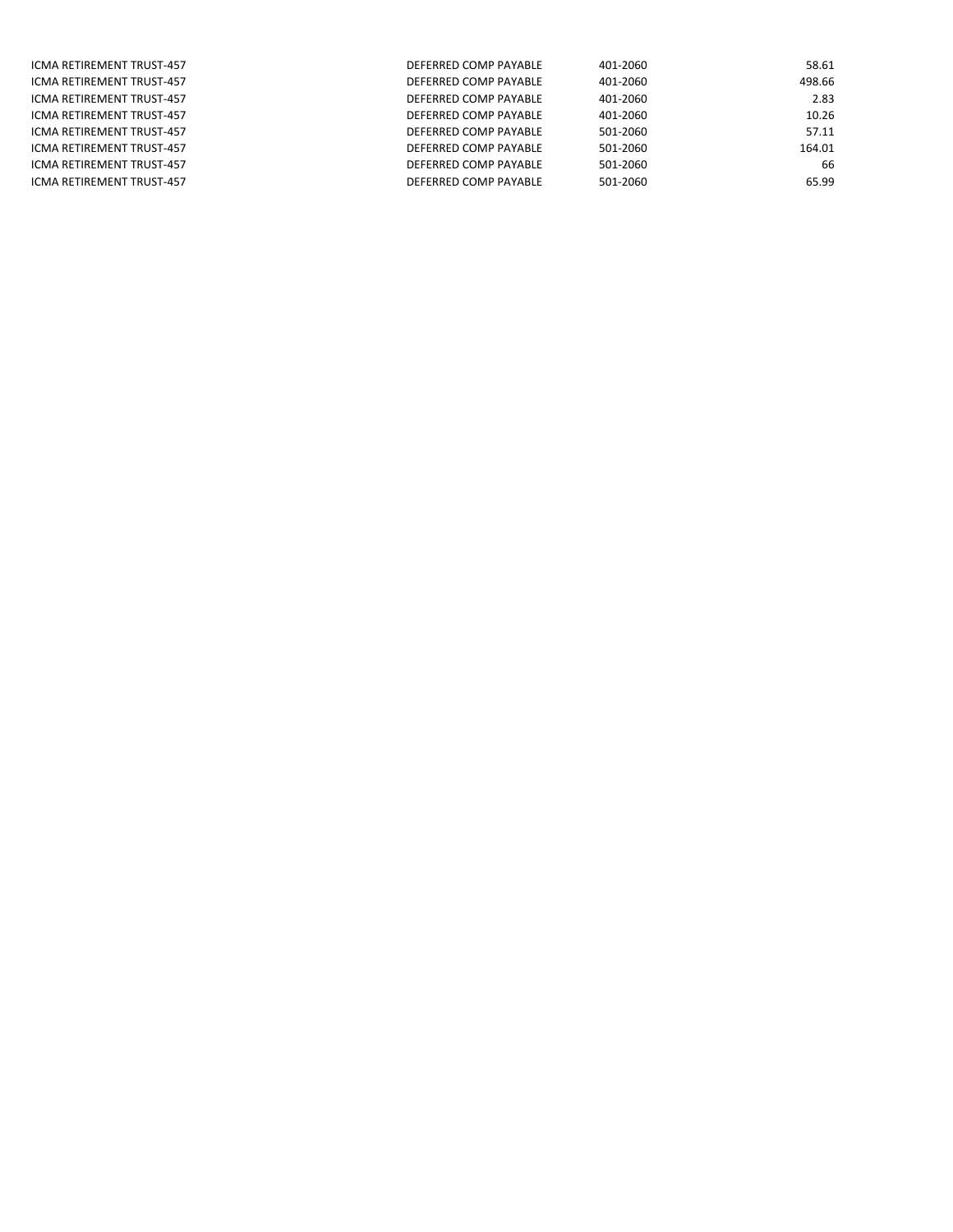| ICMA RETIREMENT TRUST-457 | DEFERRED COMP PAYABLE | 401-2060 | 58.61  |
|---------------------------|-----------------------|----------|--------|
| ICMA RETIREMENT TRUST-457 | DEFERRED COMP PAYABLE | 401-2060 | 498.66 |
| ICMA RETIREMENT TRUST-457 | DEFERRED COMP PAYABLE | 401-2060 | 2.83   |
| ICMA RETIREMENT TRUST-457 | DEFERRED COMP PAYABLE | 401-2060 | 10.26  |
| ICMA RETIREMENT TRUST-457 | DEFERRED COMP PAYABLE | 501-2060 | 57.11  |
| ICMA RETIREMENT TRUST-457 | DEFERRED COMP PAYABLE | 501-2060 | 164.01 |
| ICMA RETIREMENT TRUST-457 | DEFERRED COMP PAYABLE | 501-2060 | 66     |
| ICMA RETIREMENT TRUST-457 | DEFERRED COMP PAYABLE | 501-2060 | 65.99  |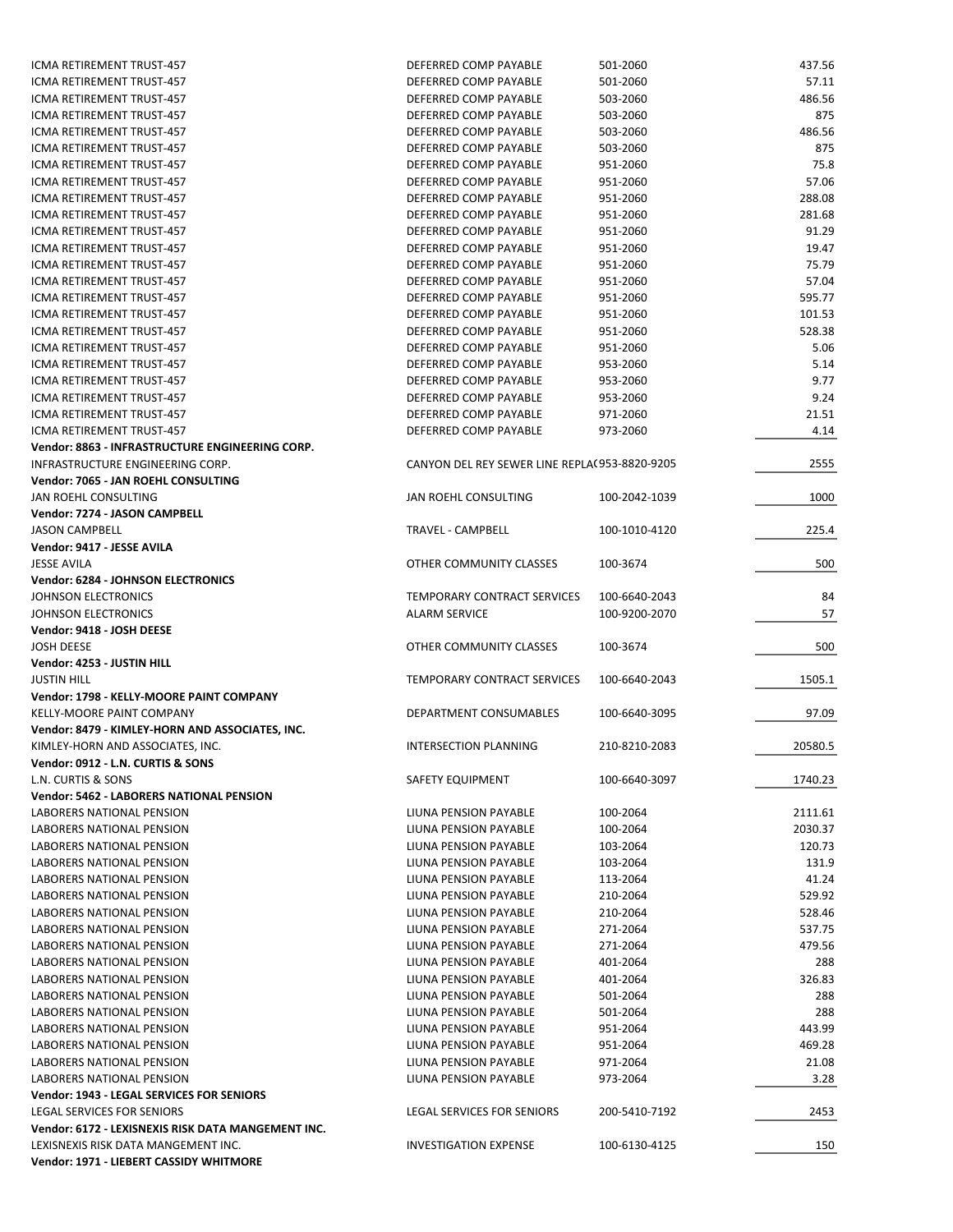| ICMA RETIREMENT TRUST-457                          | DEFERRED COMP PAYABLE                         | 501-2060      | 437.56  |
|----------------------------------------------------|-----------------------------------------------|---------------|---------|
| ICMA RETIREMENT TRUST-457                          | DEFERRED COMP PAYABLE                         | 501-2060      | 57.11   |
| ICMA RETIREMENT TRUST-457                          | DEFERRED COMP PAYABLE                         | 503-2060      | 486.56  |
| ICMA RETIREMENT TRUST-457                          | DEFERRED COMP PAYABLE                         | 503-2060      | 875     |
| ICMA RETIREMENT TRUST-457                          | DEFERRED COMP PAYABLE                         | 503-2060      | 486.56  |
| ICMA RETIREMENT TRUST-457                          | DEFERRED COMP PAYABLE                         | 503-2060      | 875     |
| ICMA RETIREMENT TRUST-457                          | DEFERRED COMP PAYABLE                         | 951-2060      | 75.8    |
| ICMA RETIREMENT TRUST-457                          | DEFERRED COMP PAYABLE                         | 951-2060      | 57.06   |
| ICMA RETIREMENT TRUST-457                          | DEFERRED COMP PAYABLE                         | 951-2060      | 288.08  |
| ICMA RETIREMENT TRUST-457                          | DEFERRED COMP PAYABLE                         | 951-2060      | 281.68  |
| ICMA RETIREMENT TRUST-457                          | DEFERRED COMP PAYABLE                         | 951-2060      | 91.29   |
|                                                    |                                               |               |         |
| ICMA RETIREMENT TRUST-457                          | DEFERRED COMP PAYABLE                         | 951-2060      | 19.47   |
| ICMA RETIREMENT TRUST-457                          | DEFERRED COMP PAYABLE                         | 951-2060      | 75.79   |
| ICMA RETIREMENT TRUST-457                          | DEFERRED COMP PAYABLE                         | 951-2060      | 57.04   |
| ICMA RETIREMENT TRUST-457                          | DEFERRED COMP PAYABLE                         | 951-2060      | 595.77  |
| ICMA RETIREMENT TRUST-457                          | DEFERRED COMP PAYABLE                         | 951-2060      | 101.53  |
| ICMA RETIREMENT TRUST-457                          | DEFERRED COMP PAYABLE                         | 951-2060      | 528.38  |
| ICMA RETIREMENT TRUST-457                          | DEFERRED COMP PAYABLE                         | 951-2060      | 5.06    |
| ICMA RETIREMENT TRUST-457                          | DEFERRED COMP PAYABLE                         | 953-2060      | 5.14    |
| ICMA RETIREMENT TRUST-457                          | DEFERRED COMP PAYABLE                         | 953-2060      | 9.77    |
| ICMA RETIREMENT TRUST-457                          | DEFERRED COMP PAYABLE                         | 953-2060      | 9.24    |
| <b>ICMA RETIREMENT TRUST-457</b>                   | DEFERRED COMP PAYABLE                         | 971-2060      | 21.51   |
| ICMA RETIREMENT TRUST-457                          | DEFERRED COMP PAYABLE                         | 973-2060      | 4.14    |
| Vendor: 8863 - INFRASTRUCTURE ENGINEERING CORP.    |                                               |               |         |
| INFRASTRUCTURE ENGINEERING CORP.                   | CANYON DEL REY SEWER LINE REPLA(953-8820-9205 |               | 2555    |
| Vendor: 7065 - JAN ROEHL CONSULTING                |                                               |               |         |
| JAN ROEHL CONSULTING                               | JAN ROEHL CONSULTING                          | 100-2042-1039 | 1000    |
| Vendor: 7274 - JASON CAMPBELL                      |                                               |               |         |
| <b>JASON CAMPBELL</b>                              | TRAVEL - CAMPBELL                             | 100-1010-4120 | 225.4   |
| Vendor: 9417 - JESSE AVILA                         |                                               |               |         |
| <b>JESSE AVILA</b>                                 | OTHER COMMUNITY CLASSES                       | 100-3674      | 500     |
| <b>Vendor: 6284 - JOHNSON ELECTRONICS</b>          |                                               |               |         |
| JOHNSON ELECTRONICS                                | TEMPORARY CONTRACT SERVICES                   | 100-6640-2043 | 84      |
| JOHNSON ELECTRONICS                                | <b>ALARM SERVICE</b>                          | 100-9200-2070 | 57      |
| Vendor: 9418 - JOSH DEESE                          |                                               |               |         |
| <b>JOSH DEESE</b>                                  |                                               |               | 500     |
|                                                    | OTHER COMMUNITY CLASSES                       | 100-3674      |         |
| Vendor: 4253 - JUSTIN HILL                         |                                               |               |         |
| <b>JUSTIN HILL</b>                                 | TEMPORARY CONTRACT SERVICES                   | 100-6640-2043 | 1505.1  |
| Vendor: 1798 - KELLY-MOORE PAINT COMPANY           |                                               |               |         |
| KELLY-MOORE PAINT COMPANY                          | DEPARTMENT CONSUMABLES                        | 100-6640-3095 | 97.09   |
| Vendor: 8479 - KIMLEY-HORN AND ASSOCIATES, INC.    |                                               |               |         |
| KIMLEY-HORN AND ASSOCIATES, INC.                   | <b>INTERSECTION PLANNING</b>                  | 210-8210-2083 | 20580.5 |
| Vendor: 0912 - L.N. CURTIS & SONS                  |                                               |               |         |
| L.N. CURTIS & SONS                                 | SAFETY EQUIPMENT                              | 100-6640-3097 | 1740.23 |
| <b>Vendor: 5462 - LABORERS NATIONAL PENSION</b>    |                                               |               |         |
| <b>LABORERS NATIONAL PENSION</b>                   | LIUNA PENSION PAYABLE                         | 100-2064      | 2111.61 |
| <b>LABORERS NATIONAL PENSION</b>                   | LIUNA PENSION PAYABLE                         | 100-2064      | 2030.37 |
| LABORERS NATIONAL PENSION                          | LIUNA PENSION PAYABLE                         | 103-2064      | 120.73  |
| LABORERS NATIONAL PENSION                          | LIUNA PENSION PAYABLE                         | 103-2064      | 131.9   |
| LABORERS NATIONAL PENSION                          | LIUNA PENSION PAYABLE                         | 113-2064      | 41.24   |
| LABORERS NATIONAL PENSION                          | LIUNA PENSION PAYABLE                         | 210-2064      | 529.92  |
| <b>LABORERS NATIONAL PENSION</b>                   | LIUNA PENSION PAYABLE                         | 210-2064      | 528.46  |
| LABORERS NATIONAL PENSION                          | LIUNA PENSION PAYABLE                         | 271-2064      | 537.75  |
| LABORERS NATIONAL PENSION                          | LIUNA PENSION PAYABLE                         | 271-2064      | 479.56  |
| LABORERS NATIONAL PENSION                          | LIUNA PENSION PAYABLE                         | 401-2064      | 288     |
| LABORERS NATIONAL PENSION                          | LIUNA PENSION PAYABLE                         | 401-2064      | 326.83  |
| LABORERS NATIONAL PENSION                          | LIUNA PENSION PAYABLE                         | 501-2064      | 288     |
| LABORERS NATIONAL PENSION                          | LIUNA PENSION PAYABLE                         | 501-2064      | 288     |
| LABORERS NATIONAL PENSION                          | LIUNA PENSION PAYABLE                         | 951-2064      | 443.99  |
|                                                    |                                               |               |         |
| LABORERS NATIONAL PENSION                          | LIUNA PENSION PAYABLE                         | 951-2064      | 469.28  |
| LABORERS NATIONAL PENSION                          | LIUNA PENSION PAYABLE                         | 971-2064      | 21.08   |
| LABORERS NATIONAL PENSION                          | LIUNA PENSION PAYABLE                         | 973-2064      | 3.28    |
| Vendor: 1943 - LEGAL SERVICES FOR SENIORS          |                                               |               |         |
| LEGAL SERVICES FOR SENIORS                         | LEGAL SERVICES FOR SENIORS                    | 200-5410-7192 | 2453    |
| Vendor: 6172 - LEXISNEXIS RISK DATA MANGEMENT INC. |                                               |               |         |
| LEXISNEXIS RISK DATA MANGEMENT INC.                | <b>INVESTIGATION EXPENSE</b>                  | 100-6130-4125 | 150     |
| Vendor: 1971 - LIEBERT CASSIDY WHITMORE            |                                               |               |         |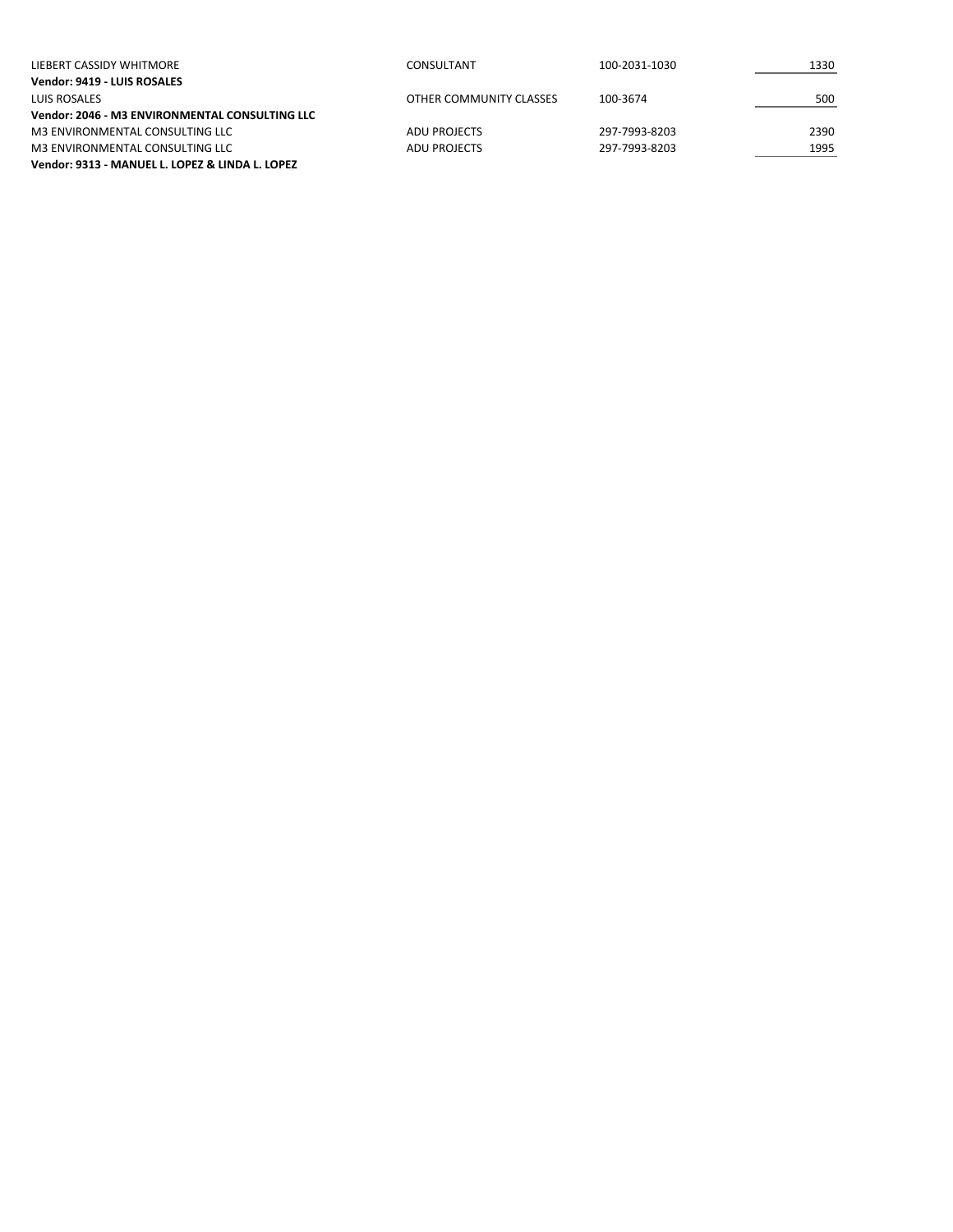| LIEBERT CASSIDY WHITMORE                        | CONSULTANT              | 100-2031-1030 | 1330 |
|-------------------------------------------------|-------------------------|---------------|------|
| Vendor: 9419 - LUIS ROSALES                     |                         |               |      |
| LUIS ROSALES                                    | OTHER COMMUNITY CLASSES | 100-3674      | 500  |
| Vendor: 2046 - M3 ENVIRONMENTAL CONSULTING LLC  |                         |               |      |
| M3 ENVIRONMENTAL CONSULTING LLC                 | ADU PROJECTS            | 297-7993-8203 | 2390 |
| M3 ENVIRONMENTAL CONSULTING LLC                 | ADU PROJECTS            | 297-7993-8203 | 1995 |
| Vendor: 9313 - MANUEL L. LOPEZ & LINDA L. LOPEZ |                         |               |      |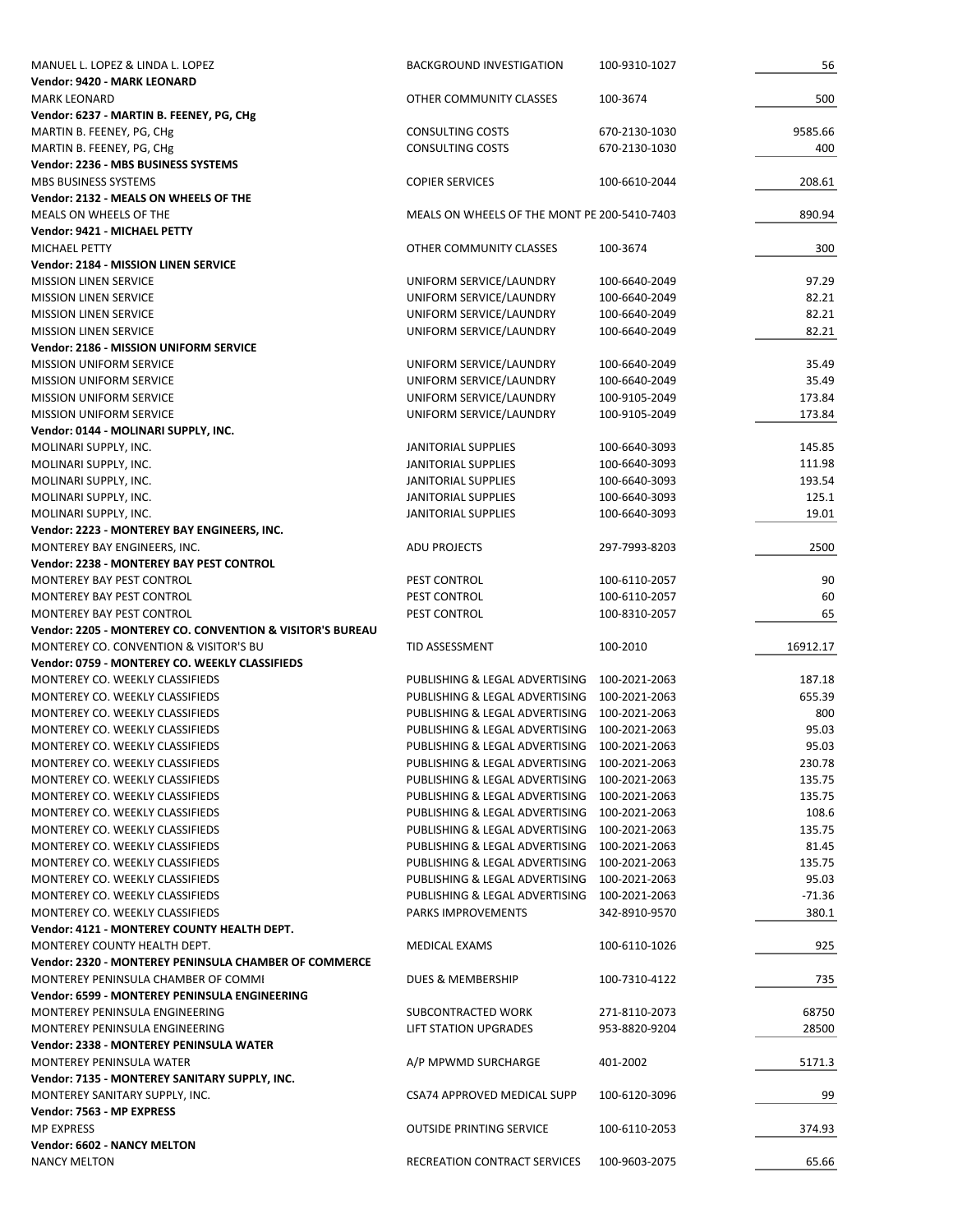| MANUEL L. LOPEZ & LINDA L. LOPEZ                          | <b>BACKGROUND INVESTIGATION</b>              | 100-9310-1027 | 56       |
|-----------------------------------------------------------|----------------------------------------------|---------------|----------|
| Vendor: 9420 - MARK LEONARD                               |                                              |               |          |
| <b>MARK LEONARD</b>                                       | OTHER COMMUNITY CLASSES                      | 100-3674      | 500      |
| Vendor: 6237 - MARTIN B. FEENEY, PG, CHg                  |                                              |               |          |
| MARTIN B. FEENEY, PG, CHg                                 | <b>CONSULTING COSTS</b>                      | 670-2130-1030 | 9585.66  |
| MARTIN B. FEENEY, PG, CHg                                 | <b>CONSULTING COSTS</b>                      | 670-2130-1030 | 400      |
| Vendor: 2236 - MBS BUSINESS SYSTEMS                       |                                              |               |          |
| MBS BUSINESS SYSTEMS                                      | <b>COPIER SERVICES</b>                       | 100-6610-2044 | 208.61   |
| Vendor: 2132 - MEALS ON WHEELS OF THE                     |                                              |               |          |
| MEALS ON WHEELS OF THE                                    | MEALS ON WHEELS OF THE MONT PE 200-5410-7403 |               | 890.94   |
|                                                           |                                              |               |          |
| Vendor: 9421 - MICHAEL PETTY                              |                                              |               |          |
| MICHAEL PETTY                                             | OTHER COMMUNITY CLASSES                      | 100-3674      | 300      |
| Vendor: 2184 - MISSION LINEN SERVICE                      |                                              |               |          |
| <b>MISSION LINEN SERVICE</b>                              | UNIFORM SERVICE/LAUNDRY                      | 100-6640-2049 | 97.29    |
| <b>MISSION LINEN SERVICE</b>                              | UNIFORM SERVICE/LAUNDRY                      | 100-6640-2049 | 82.21    |
| <b>MISSION LINEN SERVICE</b>                              | UNIFORM SERVICE/LAUNDRY                      | 100-6640-2049 | 82.21    |
| <b>MISSION LINEN SERVICE</b>                              | UNIFORM SERVICE/LAUNDRY                      | 100-6640-2049 | 82.21    |
| Vendor: 2186 - MISSION UNIFORM SERVICE                    |                                              |               |          |
| <b>MISSION UNIFORM SERVICE</b>                            | UNIFORM SERVICE/LAUNDRY                      | 100-6640-2049 | 35.49    |
| <b>MISSION UNIFORM SERVICE</b>                            | UNIFORM SERVICE/LAUNDRY                      | 100-6640-2049 | 35.49    |
| <b>MISSION UNIFORM SERVICE</b>                            | UNIFORM SERVICE/LAUNDRY                      | 100-9105-2049 | 173.84   |
| <b>MISSION UNIFORM SERVICE</b>                            | UNIFORM SERVICE/LAUNDRY                      | 100-9105-2049 | 173.84   |
| Vendor: 0144 - MOLINARI SUPPLY, INC.                      |                                              |               |          |
| MOLINARI SUPPLY, INC.                                     | JANITORIAL SUPPLIES                          | 100-6640-3093 | 145.85   |
|                                                           |                                              |               |          |
| MOLINARI SUPPLY, INC.                                     | JANITORIAL SUPPLIES                          | 100-6640-3093 | 111.98   |
| MOLINARI SUPPLY, INC.                                     | JANITORIAL SUPPLIES                          | 100-6640-3093 | 193.54   |
| MOLINARI SUPPLY, INC.                                     | JANITORIAL SUPPLIES                          | 100-6640-3093 | 125.1    |
| MOLINARI SUPPLY, INC.                                     | JANITORIAL SUPPLIES                          | 100-6640-3093 | 19.01    |
| Vendor: 2223 - MONTEREY BAY ENGINEERS, INC.               |                                              |               |          |
| MONTEREY BAY ENGINEERS, INC.                              | ADU PROJECTS                                 | 297-7993-8203 | 2500     |
| Vendor: 2238 - MONTEREY BAY PEST CONTROL                  |                                              |               |          |
| MONTEREY BAY PEST CONTROL                                 | PEST CONTROL                                 | 100-6110-2057 | 90       |
| MONTEREY BAY PEST CONTROL                                 | PEST CONTROL                                 | 100-6110-2057 | 60       |
| MONTEREY BAY PEST CONTROL                                 | PEST CONTROL                                 | 100-8310-2057 | 65       |
| Vendor: 2205 - MONTEREY CO. CONVENTION & VISITOR'S BUREAU |                                              |               |          |
| MONTEREY CO. CONVENTION & VISITOR'S BU                    | TID ASSESSMENT                               | 100-2010      | 16912.17 |
| Vendor: 0759 - MONTEREY CO. WEEKLY CLASSIFIEDS            |                                              |               |          |
| MONTEREY CO. WEEKLY CLASSIFIEDS                           | PUBLISHING & LEGAL ADVERTISING               | 100-2021-2063 | 187.18   |
| MONTEREY CO. WEEKLY CLASSIFIEDS                           | PUBLISHING & LEGAL ADVERTISING               | 100-2021-2063 | 655.39   |
|                                                           |                                              |               |          |
| MONTEREY CO. WEEKLY CLASSIFIEDS                           | PUBLISHING & LEGAL ADVERTISING               | 100-2021-2063 | 800      |
| MONTEREY CO. WEEKLY CLASSIFIEDS                           | PUBLISHING & LEGAL ADVERTISING               | 100-2021-2063 | 95.03    |
| MONTEREY CO. WEEKLY CLASSIFIEDS                           | PUBLISHING & LEGAL ADVERTISING               | 100-2021-2063 | 95.03    |
| MONTEREY CO. WEEKLY CLASSIFIEDS                           | PUBLISHING & LEGAL ADVERTISING               | 100-2021-2063 | 230.78   |
| MONTEREY CO. WEEKLY CLASSIFIEDS                           | PUBLISHING & LEGAL ADVERTISING               | 100-2021-2063 | 135.75   |
| MONTEREY CO. WEEKLY CLASSIFIEDS                           | PUBLISHING & LEGAL ADVERTISING 100-2021-2063 |               | 135.75   |
| MONTEREY CO. WEEKLY CLASSIFIEDS                           | PUBLISHING & LEGAL ADVERTISING               | 100-2021-2063 | 108.6    |
| MONTEREY CO. WEEKLY CLASSIFIEDS                           | PUBLISHING & LEGAL ADVERTISING               | 100-2021-2063 | 135.75   |
| MONTEREY CO. WEEKLY CLASSIFIEDS                           | PUBLISHING & LEGAL ADVERTISING               | 100-2021-2063 | 81.45    |
| MONTEREY CO. WEEKLY CLASSIFIEDS                           | PUBLISHING & LEGAL ADVERTISING               | 100-2021-2063 | 135.75   |
| MONTEREY CO. WEEKLY CLASSIFIEDS                           | PUBLISHING & LEGAL ADVERTISING               | 100-2021-2063 | 95.03    |
| MONTEREY CO. WEEKLY CLASSIFIEDS                           | PUBLISHING & LEGAL ADVERTISING               | 100-2021-2063 | -71.36   |
| MONTEREY CO. WEEKLY CLASSIFIEDS                           | <b>PARKS IMPROVEMENTS</b>                    | 342-8910-9570 | 380.1    |
| Vendor: 4121 - MONTEREY COUNTY HEALTH DEPT.               |                                              |               |          |
| MONTEREY COUNTY HEALTH DEPT.                              |                                              |               |          |
|                                                           | MEDICAL EXAMS                                | 100-6110-1026 | 925      |
| Vendor: 2320 - MONTEREY PENINSULA CHAMBER OF COMMERCE     |                                              |               |          |
| MONTEREY PENINSULA CHAMBER OF COMMI                       | DUES & MEMBERSHIP                            | 100-7310-4122 | 735      |
| Vendor: 6599 - MONTEREY PENINSULA ENGINEERING             |                                              |               |          |
| MONTEREY PENINSULA ENGINEERING                            | SUBCONTRACTED WORK                           | 271-8110-2073 | 68750    |
| MONTEREY PENINSULA ENGINEERING                            | LIFT STATION UPGRADES                        | 953-8820-9204 | 28500    |
| Vendor: 2338 - MONTEREY PENINSULA WATER                   |                                              |               |          |
| MONTEREY PENINSULA WATER                                  | A/P MPWMD SURCHARGE                          | 401-2002      | 5171.3   |
| Vendor: 7135 - MONTEREY SANITARY SUPPLY, INC.             |                                              |               |          |
| MONTEREY SANITARY SUPPLY, INC.                            | CSA74 APPROVED MEDICAL SUPP                  | 100-6120-3096 | 99       |
| Vendor: 7563 - MP EXPRESS                                 |                                              |               |          |
| <b>MP EXPRESS</b>                                         | <b>OUTSIDE PRINTING SERVICE</b>              | 100-6110-2053 | 374.93   |
|                                                           |                                              |               |          |
|                                                           |                                              |               |          |
| Vendor: 6602 - NANCY MELTON<br><b>NANCY MELTON</b>        | RECREATION CONTRACT SERVICES                 | 100-9603-2075 | 65.66    |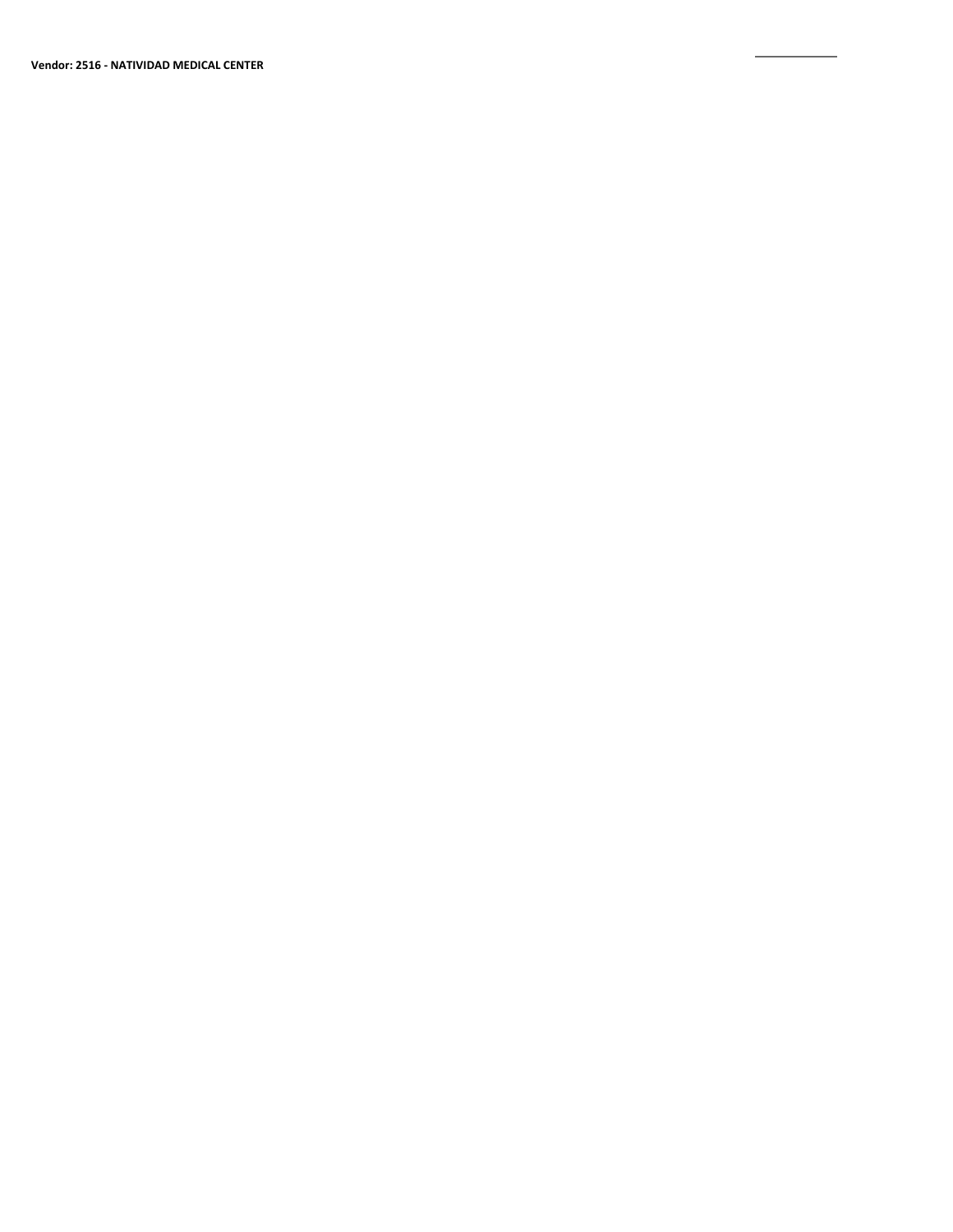**Vendor: 2516 ‐ NATIVIDAD MEDICAL CENTER**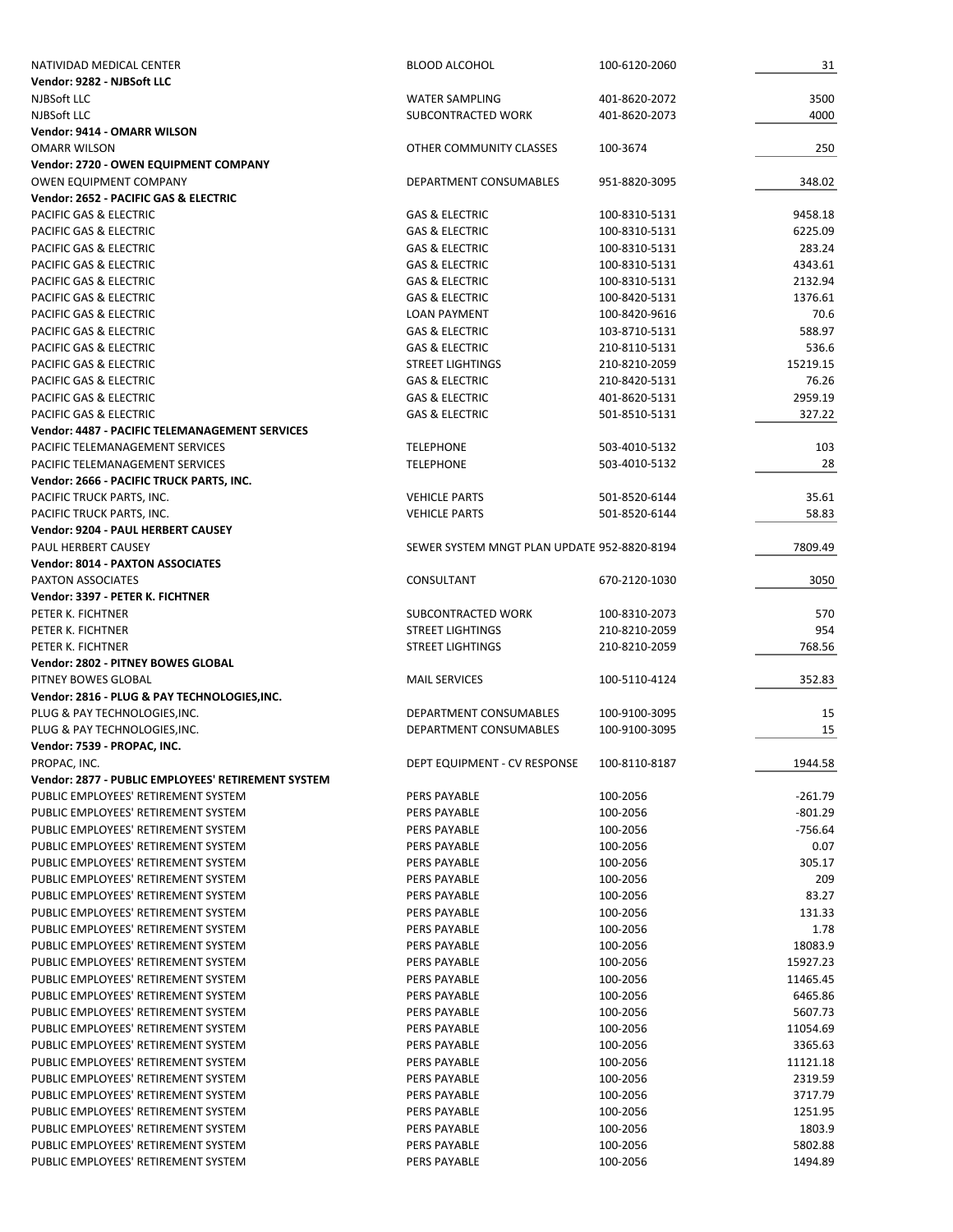| NATIVIDAD MEDICAL CENTER                              | <b>BLOOD ALCOHOL</b>                        | 100-6120-2060 | 31        |
|-------------------------------------------------------|---------------------------------------------|---------------|-----------|
| Vendor: 9282 - NJBSoft LLC                            |                                             |               |           |
| NJBSoft LLC                                           | <b>WATER SAMPLING</b>                       | 401-8620-2072 | 3500      |
| NJBSoft LLC                                           | SUBCONTRACTED WORK                          | 401-8620-2073 | 4000      |
| Vendor: 9414 - OMARR WILSON                           |                                             |               |           |
| <b>OMARR WILSON</b>                                   | OTHER COMMUNITY CLASSES                     | 100-3674      | 250       |
| Vendor: 2720 - OWEN EQUIPMENT COMPANY                 |                                             |               |           |
| OWEN EQUIPMENT COMPANY                                | DEPARTMENT CONSUMABLES                      | 951-8820-3095 | 348.02    |
| Vendor: 2652 - PACIFIC GAS & ELECTRIC                 |                                             |               |           |
| <b>PACIFIC GAS &amp; ELECTRIC</b>                     | <b>GAS &amp; ELECTRIC</b>                   | 100-8310-5131 | 9458.18   |
|                                                       |                                             |               |           |
| PACIFIC GAS & ELECTRIC                                | <b>GAS &amp; ELECTRIC</b>                   | 100-8310-5131 | 6225.09   |
| PACIFIC GAS & ELECTRIC                                | <b>GAS &amp; ELECTRIC</b>                   | 100-8310-5131 | 283.24    |
| PACIFIC GAS & ELECTRIC                                | <b>GAS &amp; ELECTRIC</b>                   | 100-8310-5131 | 4343.61   |
| <b>PACIFIC GAS &amp; ELECTRIC</b>                     | <b>GAS &amp; ELECTRIC</b>                   | 100-8310-5131 | 2132.94   |
| PACIFIC GAS & ELECTRIC                                | <b>GAS &amp; ELECTRIC</b>                   | 100-8420-5131 | 1376.61   |
| PACIFIC GAS & ELECTRIC                                | <b>LOAN PAYMENT</b>                         | 100-8420-9616 | 70.6      |
| PACIFIC GAS & ELECTRIC                                | <b>GAS &amp; ELECTRIC</b>                   | 103-8710-5131 | 588.97    |
| PACIFIC GAS & ELECTRIC                                | <b>GAS &amp; ELECTRIC</b>                   | 210-8110-5131 | 536.6     |
| PACIFIC GAS & ELECTRIC                                | <b>STREET LIGHTINGS</b>                     | 210-8210-2059 | 15219.15  |
| PACIFIC GAS & ELECTRIC                                | <b>GAS &amp; ELECTRIC</b>                   | 210-8420-5131 | 76.26     |
| PACIFIC GAS & ELECTRIC                                | <b>GAS &amp; ELECTRIC</b>                   | 401-8620-5131 | 2959.19   |
| PACIFIC GAS & ELECTRIC                                | <b>GAS &amp; ELECTRIC</b>                   | 501-8510-5131 | 327.22    |
| <b>Vendor: 4487 - PACIFIC TELEMANAGEMENT SERVICES</b> |                                             |               |           |
|                                                       |                                             |               |           |
| PACIFIC TELEMANAGEMENT SERVICES                       | <b>TELEPHONE</b>                            | 503-4010-5132 | 103       |
| PACIFIC TELEMANAGEMENT SERVICES                       | <b>TELEPHONE</b>                            | 503-4010-5132 | 28        |
| Vendor: 2666 - PACIFIC TRUCK PARTS, INC.              |                                             |               |           |
| PACIFIC TRUCK PARTS, INC.                             | <b>VEHICLE PARTS</b>                        | 501-8520-6144 | 35.61     |
| PACIFIC TRUCK PARTS, INC.                             | <b>VEHICLE PARTS</b>                        | 501-8520-6144 | 58.83     |
| Vendor: 9204 - PAUL HERBERT CAUSEY                    |                                             |               |           |
| PAUL HERBERT CAUSEY                                   | SEWER SYSTEM MNGT PLAN UPDATE 952-8820-8194 |               | 7809.49   |
| <b>Vendor: 8014 - PAXTON ASSOCIATES</b>               |                                             |               |           |
| <b>PAXTON ASSOCIATES</b>                              | CONSULTANT                                  | 670-2120-1030 | 3050      |
| Vendor: 3397 - PETER K. FICHTNER                      |                                             |               |           |
| PETER K. FICHTNER                                     | SUBCONTRACTED WORK                          | 100-8310-2073 | 570       |
| PETER K. FICHTNER                                     | <b>STREET LIGHTINGS</b>                     | 210-8210-2059 | 954       |
| PETER K. FICHTNER                                     | <b>STREET LIGHTINGS</b>                     | 210-8210-2059 | 768.56    |
|                                                       |                                             |               |           |
| Vendor: 2802 - PITNEY BOWES GLOBAL                    |                                             |               |           |
| PITNEY BOWES GLOBAL                                   | <b>MAIL SERVICES</b>                        | 100-5110-4124 | 352.83    |
| Vendor: 2816 - PLUG & PAY TECHNOLOGIES, INC.          |                                             |               |           |
| PLUG & PAY TECHNOLOGIES, INC.                         | DEPARTMENT CONSUMABLES                      | 100-9100-3095 | 15        |
| PLUG & PAY TECHNOLOGIES, INC.                         | DEPARTMENT CONSUMABLES                      | 100-9100-3095 |           |
|                                                       |                                             |               | 15        |
| Vendor: 7539 - PROPAC, INC.                           |                                             |               |           |
| PROPAC, INC.                                          | DEPT EQUIPMENT - CV RESPONSE                | 100-8110-8187 | 1944.58   |
| Vendor: 2877 - PUBLIC EMPLOYEES' RETIREMENT SYSTEM    |                                             |               |           |
| PUBLIC EMPLOYEES' RETIREMENT SYSTEM                   | <b>PERS PAYABLE</b>                         | 100-2056      | $-261.79$ |
|                                                       |                                             |               |           |
| PUBLIC EMPLOYEES' RETIREMENT SYSTEM                   | <b>PERS PAYABLE</b>                         | 100-2056      | $-801.29$ |
| PUBLIC EMPLOYEES' RETIREMENT SYSTEM                   | <b>PERS PAYABLE</b>                         | 100-2056      | -756.64   |
| PUBLIC EMPLOYEES' RETIREMENT SYSTEM                   | <b>PERS PAYABLE</b>                         | 100-2056      | 0.07      |
| PUBLIC EMPLOYEES' RETIREMENT SYSTEM                   | <b>PERS PAYABLE</b>                         | 100-2056      | 305.17    |
| PUBLIC EMPLOYEES' RETIREMENT SYSTEM                   | <b>PERS PAYABLE</b>                         | 100-2056      | 209       |
| PUBLIC EMPLOYEES' RETIREMENT SYSTEM                   | <b>PERS PAYABLE</b>                         | 100-2056      | 83.27     |
| PUBLIC EMPLOYEES' RETIREMENT SYSTEM                   | <b>PERS PAYABLE</b>                         | 100-2056      | 131.33    |
| PUBLIC EMPLOYEES' RETIREMENT SYSTEM                   | <b>PERS PAYABLE</b>                         | 100-2056      | 1.78      |
| PUBLIC EMPLOYEES' RETIREMENT SYSTEM                   | <b>PERS PAYABLE</b>                         | 100-2056      | 18083.9   |
| PUBLIC EMPLOYEES' RETIREMENT SYSTEM                   | <b>PERS PAYABLE</b>                         | 100-2056      | 15927.23  |
| PUBLIC EMPLOYEES' RETIREMENT SYSTEM                   | PERS PAYABLE                                | 100-2056      | 11465.45  |
| PUBLIC EMPLOYEES' RETIREMENT SYSTEM                   | <b>PERS PAYABLE</b>                         | 100-2056      | 6465.86   |
| PUBLIC EMPLOYEES' RETIREMENT SYSTEM                   | <b>PERS PAYABLE</b>                         | 100-2056      | 5607.73   |
|                                                       |                                             |               |           |
| PUBLIC EMPLOYEES' RETIREMENT SYSTEM                   | <b>PERS PAYABLE</b>                         | 100-2056      | 11054.69  |
| PUBLIC EMPLOYEES' RETIREMENT SYSTEM                   | <b>PERS PAYABLE</b>                         | 100-2056      | 3365.63   |
| PUBLIC EMPLOYEES' RETIREMENT SYSTEM                   | <b>PERS PAYABLE</b>                         | 100-2056      | 11121.18  |
| PUBLIC EMPLOYEES' RETIREMENT SYSTEM                   | PERS PAYABLE                                | 100-2056      | 2319.59   |
| PUBLIC EMPLOYEES' RETIREMENT SYSTEM                   | <b>PERS PAYABLE</b>                         | 100-2056      | 3717.79   |
| PUBLIC EMPLOYEES' RETIREMENT SYSTEM                   | <b>PERS PAYABLE</b>                         | 100-2056      | 1251.95   |
| PUBLIC EMPLOYEES' RETIREMENT SYSTEM                   | <b>PERS PAYABLE</b>                         | 100-2056      | 1803.9    |
| PUBLIC EMPLOYEES' RETIREMENT SYSTEM                   | PERS PAYABLE                                | 100-2056      | 5802.88   |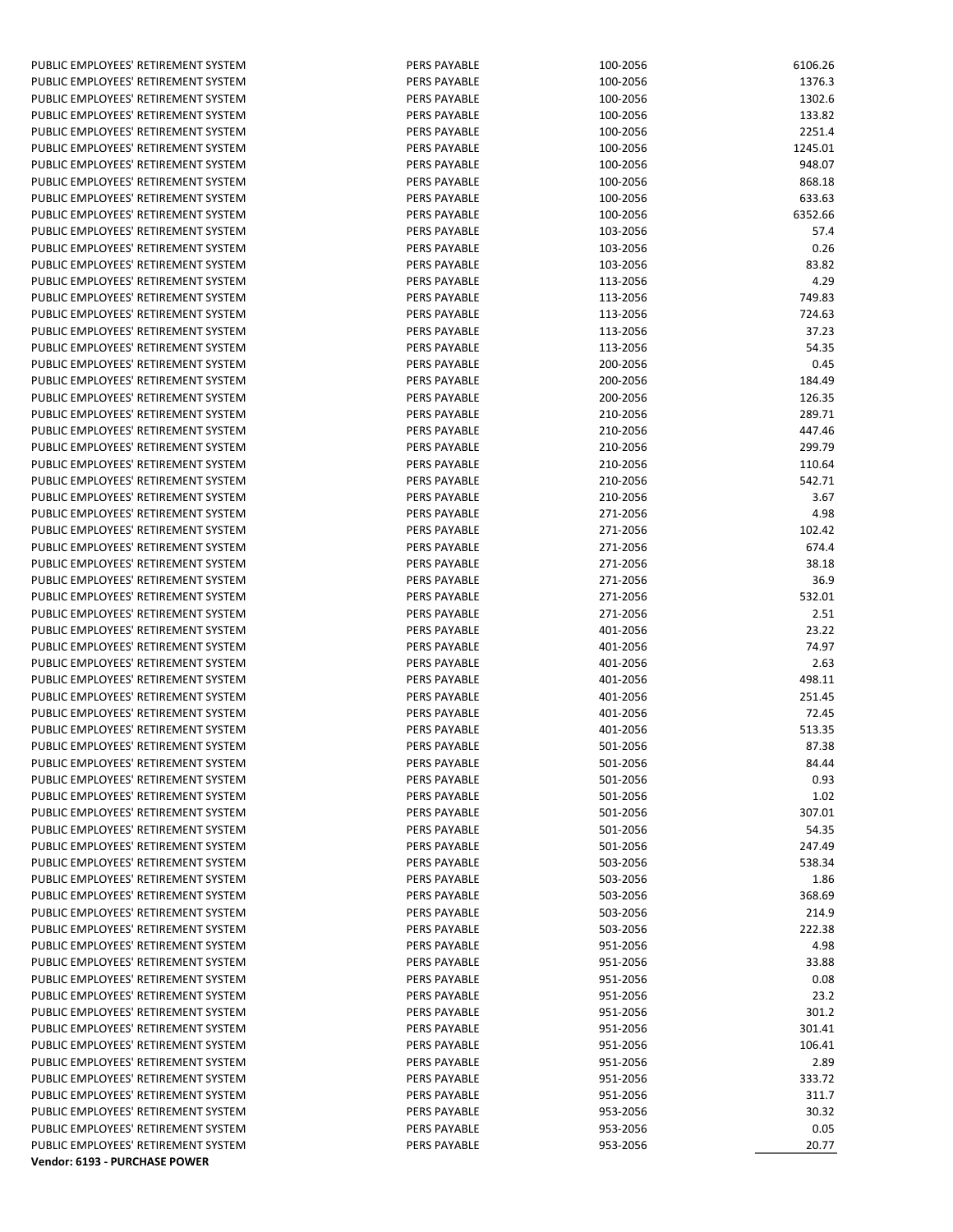| PUBLIC EMPLOYEES' RETIREMENT SYSTEM | <b>PERS PAYABLE</b> | 100-2056 | 6106.26 |
|-------------------------------------|---------------------|----------|---------|
| PUBLIC EMPLOYEES' RETIREMENT SYSTEM | <b>PERS PAYABLE</b> | 100-2056 | 1376.3  |
| PUBLIC EMPLOYEES' RETIREMENT SYSTEM | <b>PERS PAYABLE</b> | 100-2056 | 1302.6  |
| PUBLIC EMPLOYEES' RETIREMENT SYSTEM | <b>PERS PAYABLE</b> | 100-2056 | 133.82  |
| PUBLIC EMPLOYEES' RETIREMENT SYSTEM | <b>PERS PAYABLE</b> | 100-2056 | 2251.4  |
|                                     |                     |          |         |
| PUBLIC EMPLOYEES' RETIREMENT SYSTEM | PERS PAYABLE        | 100-2056 | 1245.01 |
| PUBLIC EMPLOYEES' RETIREMENT SYSTEM | <b>PERS PAYABLE</b> | 100-2056 | 948.07  |
| PUBLIC EMPLOYEES' RETIREMENT SYSTEM | <b>PERS PAYABLE</b> | 100-2056 | 868.18  |
| PUBLIC EMPLOYEES' RETIREMENT SYSTEM | <b>PERS PAYABLE</b> | 100-2056 | 633.63  |
| PUBLIC EMPLOYEES' RETIREMENT SYSTEM | <b>PERS PAYABLE</b> | 100-2056 | 6352.66 |
| PUBLIC EMPLOYEES' RETIREMENT SYSTEM | <b>PERS PAYABLE</b> | 103-2056 | 57.4    |
| PUBLIC EMPLOYEES' RETIREMENT SYSTEM | <b>PERS PAYABLE</b> | 103-2056 | 0.26    |
|                                     |                     |          |         |
| PUBLIC EMPLOYEES' RETIREMENT SYSTEM | <b>PERS PAYABLE</b> | 103-2056 | 83.82   |
| PUBLIC EMPLOYEES' RETIREMENT SYSTEM | <b>PERS PAYABLE</b> | 113-2056 | 4.29    |
| PUBLIC EMPLOYEES' RETIREMENT SYSTEM | PERS PAYABLE        | 113-2056 | 749.83  |
| PUBLIC EMPLOYEES' RETIREMENT SYSTEM | <b>PERS PAYABLE</b> | 113-2056 | 724.63  |
| PUBLIC EMPLOYEES' RETIREMENT SYSTEM | <b>PERS PAYABLE</b> | 113-2056 | 37.23   |
| PUBLIC EMPLOYEES' RETIREMENT SYSTEM | <b>PERS PAYABLE</b> | 113-2056 | 54.35   |
| PUBLIC EMPLOYEES' RETIREMENT SYSTEM | <b>PERS PAYABLE</b> | 200-2056 | 0.45    |
|                                     |                     |          |         |
| PUBLIC EMPLOYEES' RETIREMENT SYSTEM | <b>PERS PAYABLE</b> | 200-2056 | 184.49  |
| PUBLIC EMPLOYEES' RETIREMENT SYSTEM | <b>PERS PAYABLE</b> | 200-2056 | 126.35  |
| PUBLIC EMPLOYEES' RETIREMENT SYSTEM | <b>PERS PAYABLE</b> | 210-2056 | 289.71  |
| PUBLIC EMPLOYEES' RETIREMENT SYSTEM | <b>PERS PAYABLE</b> | 210-2056 | 447.46  |
| PUBLIC EMPLOYEES' RETIREMENT SYSTEM | <b>PERS PAYABLE</b> | 210-2056 | 299.79  |
| PUBLIC EMPLOYEES' RETIREMENT SYSTEM | <b>PERS PAYABLE</b> | 210-2056 | 110.64  |
| PUBLIC EMPLOYEES' RETIREMENT SYSTEM | <b>PERS PAYABLE</b> | 210-2056 | 542.71  |
| PUBLIC EMPLOYEES' RETIREMENT SYSTEM | <b>PERS PAYABLE</b> | 210-2056 | 3.67    |
|                                     |                     |          |         |
| PUBLIC EMPLOYEES' RETIREMENT SYSTEM | <b>PERS PAYABLE</b> | 271-2056 | 4.98    |
| PUBLIC EMPLOYEES' RETIREMENT SYSTEM | <b>PERS PAYABLE</b> | 271-2056 | 102.42  |
| PUBLIC EMPLOYEES' RETIREMENT SYSTEM | <b>PERS PAYABLE</b> | 271-2056 | 674.4   |
| PUBLIC EMPLOYEES' RETIREMENT SYSTEM | <b>PERS PAYABLE</b> | 271-2056 | 38.18   |
| PUBLIC EMPLOYEES' RETIREMENT SYSTEM | <b>PERS PAYABLE</b> | 271-2056 | 36.9    |
| PUBLIC EMPLOYEES' RETIREMENT SYSTEM | PERS PAYABLE        | 271-2056 | 532.01  |
| PUBLIC EMPLOYEES' RETIREMENT SYSTEM | <b>PERS PAYABLE</b> | 271-2056 | 2.51    |
| PUBLIC EMPLOYEES' RETIREMENT SYSTEM | <b>PERS PAYABLE</b> | 401-2056 | 23.22   |
|                                     |                     |          |         |
| PUBLIC EMPLOYEES' RETIREMENT SYSTEM | PERS PAYABLE        | 401-2056 | 74.97   |
| PUBLIC EMPLOYEES' RETIREMENT SYSTEM | <b>PERS PAYABLE</b> | 401-2056 | 2.63    |
| PUBLIC EMPLOYEES' RETIREMENT SYSTEM | PERS PAYABLE        | 401-2056 | 498.11  |
| PUBLIC EMPLOYEES' RETIREMENT SYSTEM | <b>PERS PAYABLE</b> | 401-2056 | 251.45  |
| PUBLIC EMPLOYEES' RETIREMENT SYSTEM | <b>PERS PAYABLE</b> | 401-2056 | 72.45   |
| PUBLIC EMPLOYEES' RETIREMENT SYSTEM | <b>PERS PAYABLE</b> | 401-2056 | 513.35  |
| PUBLIC EMPLOYEES' RETIREMENT SYSTEM | <b>PERS PAYABLE</b> | 501-2056 | 87.38   |
|                                     |                     |          |         |
| PUBLIC EMPLOYEES' RETIREMENT SYSTEM | PERS PAYABLE        | 501-2056 | 84.44   |
| PUBLIC EMPLOYEES' RETIREMENT SYSTEM | PERS PAYABLE        | 501-2056 | 0.93    |
| PUBLIC EMPLOYEES' RETIREMENT SYSTEM | <b>PERS PAYABLE</b> | 501-2056 | 1.02    |
| PUBLIC EMPLOYEES' RETIREMENT SYSTEM | <b>PERS PAYABLE</b> | 501-2056 | 307.01  |
| PUBLIC EMPLOYEES' RETIREMENT SYSTEM | <b>PERS PAYABLE</b> | 501-2056 | 54.35   |
| PUBLIC EMPLOYEES' RETIREMENT SYSTEM | <b>PERS PAYABLE</b> | 501-2056 | 247.49  |
| PUBLIC EMPLOYEES' RETIREMENT SYSTEM | <b>PERS PAYABLE</b> | 503-2056 | 538.34  |
| PUBLIC EMPLOYEES' RETIREMENT SYSTEM | <b>PERS PAYABLE</b> | 503-2056 | 1.86    |
|                                     |                     |          |         |
| PUBLIC EMPLOYEES' RETIREMENT SYSTEM | <b>PERS PAYABLE</b> | 503-2056 | 368.69  |
| PUBLIC EMPLOYEES' RETIREMENT SYSTEM | <b>PERS PAYABLE</b> | 503-2056 | 214.9   |
| PUBLIC EMPLOYEES' RETIREMENT SYSTEM | <b>PERS PAYABLE</b> | 503-2056 | 222.38  |
| PUBLIC EMPLOYEES' RETIREMENT SYSTEM | <b>PERS PAYABLE</b> | 951-2056 | 4.98    |
| PUBLIC EMPLOYEES' RETIREMENT SYSTEM | <b>PERS PAYABLE</b> | 951-2056 | 33.88   |
| PUBLIC EMPLOYEES' RETIREMENT SYSTEM | <b>PERS PAYABLE</b> | 951-2056 | 0.08    |
| PUBLIC EMPLOYEES' RETIREMENT SYSTEM | PERS PAYABLE        | 951-2056 | 23.2    |
| PUBLIC EMPLOYEES' RETIREMENT SYSTEM | <b>PERS PAYABLE</b> | 951-2056 | 301.2   |
|                                     |                     |          |         |
| PUBLIC EMPLOYEES' RETIREMENT SYSTEM | PERS PAYABLE        | 951-2056 | 301.41  |
| PUBLIC EMPLOYEES' RETIREMENT SYSTEM | <b>PERS PAYABLE</b> | 951-2056 | 106.41  |
| PUBLIC EMPLOYEES' RETIREMENT SYSTEM | <b>PERS PAYABLE</b> | 951-2056 | 2.89    |
| PUBLIC EMPLOYEES' RETIREMENT SYSTEM | PERS PAYABLE        | 951-2056 | 333.72  |
| PUBLIC EMPLOYEES' RETIREMENT SYSTEM | <b>PERS PAYABLE</b> | 951-2056 | 311.7   |
| PUBLIC EMPLOYEES' RETIREMENT SYSTEM | <b>PERS PAYABLE</b> | 953-2056 | 30.32   |
| PUBLIC EMPLOYEES' RETIREMENT SYSTEM | PERS PAYABLE        | 953-2056 | 0.05    |
| PUBLIC EMPLOYEES' RETIREMENT SYSTEM | PERS PAYABLE        | 953-2056 | 20.77   |
|                                     |                     |          |         |
| Vendor: 6193 - PURCHASE POWER       |                     |          |         |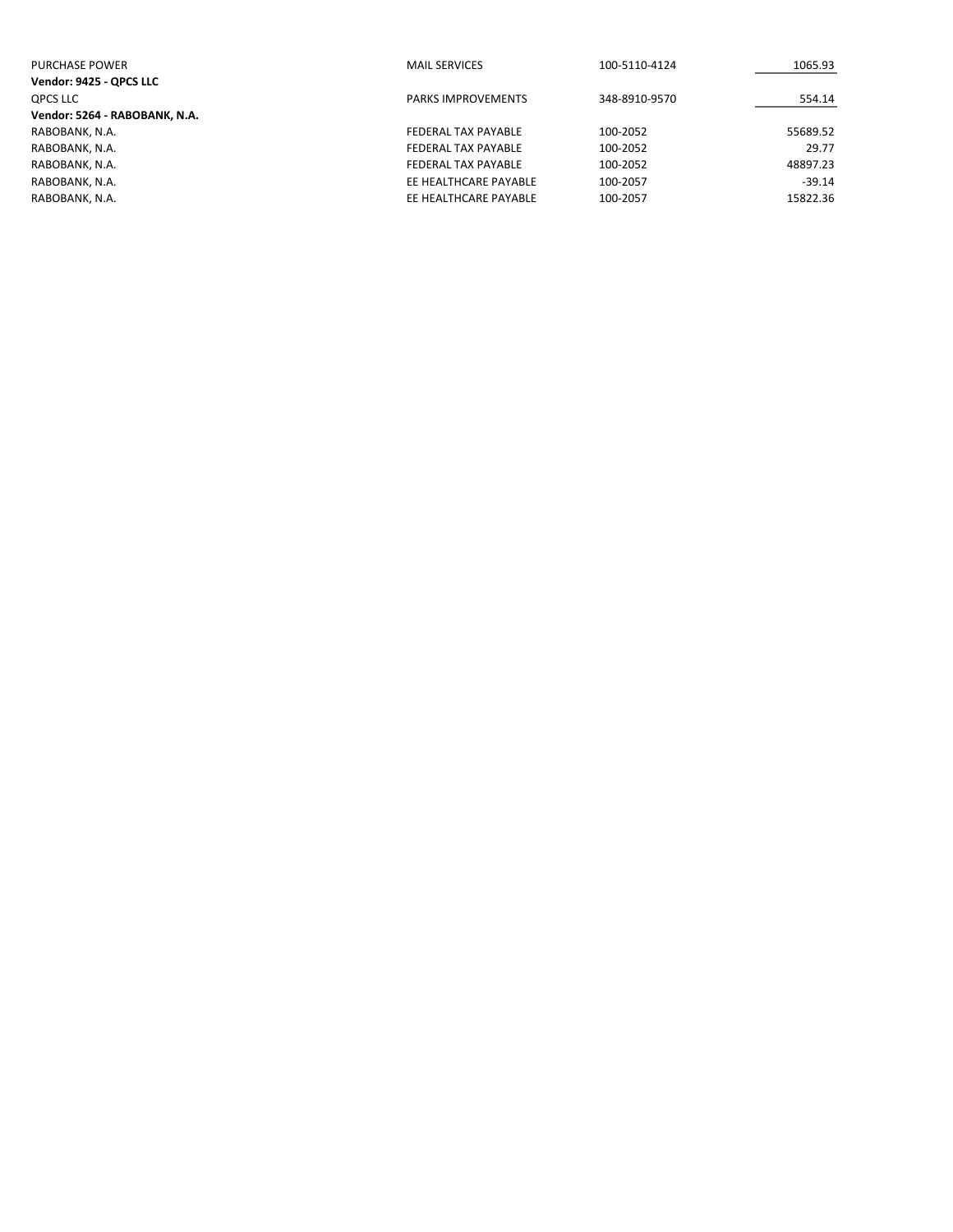| <b>PURCHASE POWER</b>         | <b>MAIL SERVICES</b>      | 100-5110-4124 | 1065.93  |
|-------------------------------|---------------------------|---------------|----------|
| Vendor: 9425 - QPCS LLC       |                           |               |          |
| QPCS LLC                      | <b>PARKS IMPROVEMENTS</b> | 348-8910-9570 | 554.14   |
| Vendor: 5264 - RABOBANK, N.A. |                           |               |          |
| RABOBANK, N.A.                | FEDERAL TAX PAYABLE       | 100-2052      | 55689.52 |
| RABOBANK, N.A.                | FEDERAL TAX PAYABLE       | 100-2052      | 29.77    |
| RABOBANK, N.A.                | FEDERAL TAX PAYABLE       | 100-2052      | 48897.23 |
| RABOBANK, N.A.                | EE HEALTHCARE PAYABLE     | 100-2057      | $-39.14$ |
| RABOBANK, N.A.                | EE HEALTHCARE PAYABLE     | 100-2057      | 15822.36 |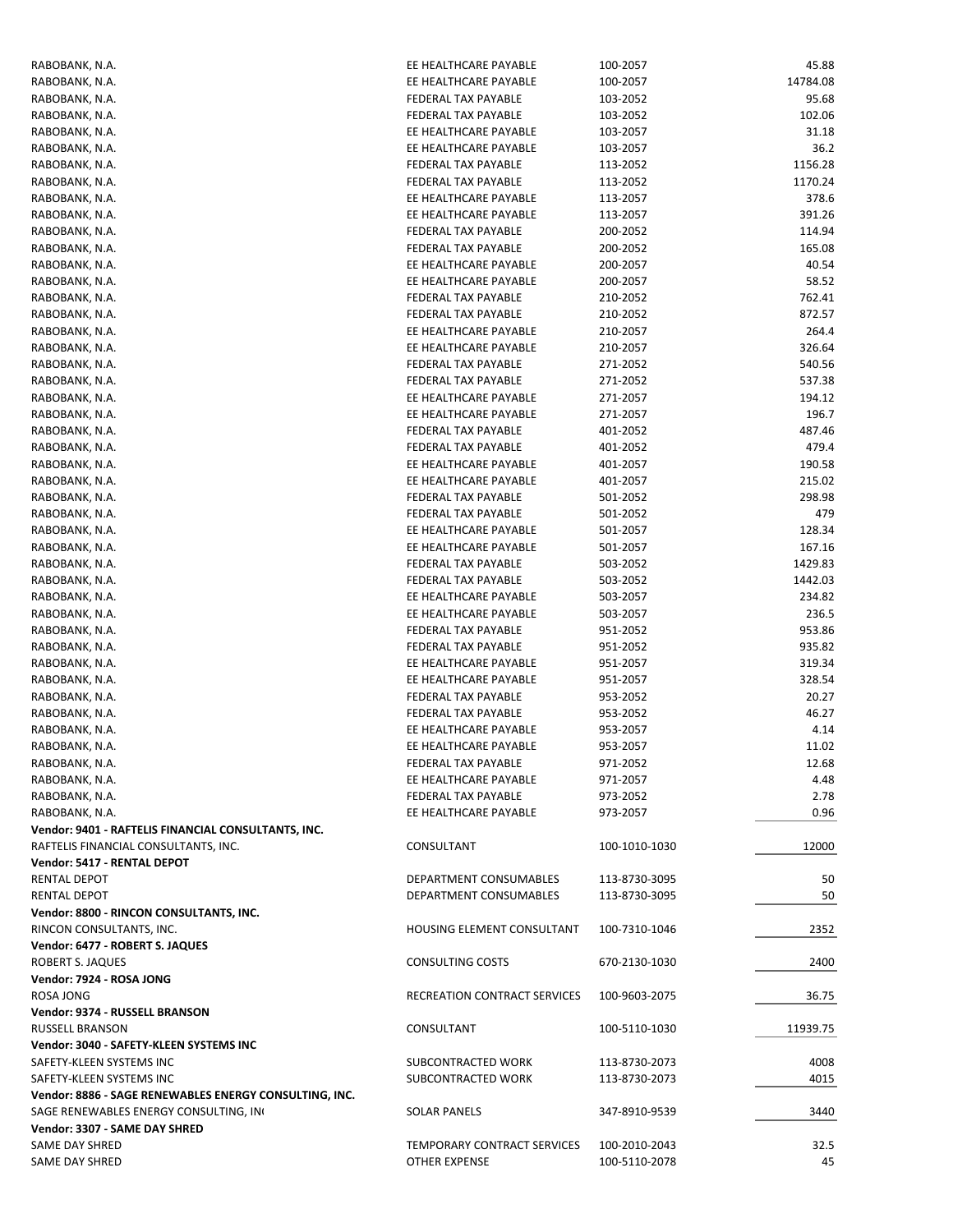| RABOBANK, N.A.                                         | EE HEALTHCARE PAYABLE        | 100-2057      | 45.88    |
|--------------------------------------------------------|------------------------------|---------------|----------|
| RABOBANK, N.A.                                         | EE HEALTHCARE PAYABLE        | 100-2057      | 14784.08 |
| RABOBANK, N.A.                                         | FEDERAL TAX PAYABLE          | 103-2052      | 95.68    |
| RABOBANK, N.A.                                         | FEDERAL TAX PAYABLE          | 103-2052      | 102.06   |
| RABOBANK, N.A.                                         | EE HEALTHCARE PAYABLE        | 103-2057      | 31.18    |
| RABOBANK, N.A.                                         | EE HEALTHCARE PAYABLE        | 103-2057      | 36.2     |
| RABOBANK, N.A.                                         | FEDERAL TAX PAYABLE          | 113-2052      | 1156.28  |
| RABOBANK, N.A.                                         | FEDERAL TAX PAYABLE          | 113-2052      | 1170.24  |
| RABOBANK, N.A.                                         | EE HEALTHCARE PAYABLE        | 113-2057      | 378.6    |
| RABOBANK, N.A.                                         | EE HEALTHCARE PAYABLE        | 113-2057      | 391.26   |
| RABOBANK, N.A.                                         | <b>FEDERAL TAX PAYABLE</b>   | 200-2052      | 114.94   |
| RABOBANK, N.A.                                         | FEDERAL TAX PAYABLE          | 200-2052      | 165.08   |
| RABOBANK, N.A.                                         | EE HEALTHCARE PAYABLE        | 200-2057      | 40.54    |
| RABOBANK, N.A.                                         | EE HEALTHCARE PAYABLE        | 200-2057      | 58.52    |
| RABOBANK, N.A.                                         | FEDERAL TAX PAYABLE          | 210-2052      | 762.41   |
| RABOBANK, N.A.                                         | FEDERAL TAX PAYABLE          | 210-2052      | 872.57   |
| RABOBANK, N.A.                                         | EE HEALTHCARE PAYABLE        | 210-2057      | 264.4    |
| RABOBANK, N.A.                                         | EE HEALTHCARE PAYABLE        | 210-2057      | 326.64   |
| RABOBANK, N.A.                                         | FEDERAL TAX PAYABLE          | 271-2052      | 540.56   |
| RABOBANK, N.A.                                         | FEDERAL TAX PAYABLE          | 271-2052      | 537.38   |
| RABOBANK, N.A.                                         | EE HEALTHCARE PAYABLE        | 271-2057      | 194.12   |
| RABOBANK, N.A.                                         | EE HEALTHCARE PAYABLE        | 271-2057      | 196.7    |
| RABOBANK, N.A.                                         | <b>FEDERAL TAX PAYABLE</b>   | 401-2052      | 487.46   |
| RABOBANK, N.A.                                         | FEDERAL TAX PAYABLE          | 401-2052      | 479.4    |
| RABOBANK, N.A.                                         | EE HEALTHCARE PAYABLE        | 401-2057      | 190.58   |
| RABOBANK, N.A.                                         | EE HEALTHCARE PAYABLE        | 401-2057      | 215.02   |
|                                                        |                              |               |          |
| RABOBANK, N.A.                                         | FEDERAL TAX PAYABLE          | 501-2052      | 298.98   |
| RABOBANK, N.A.                                         | FEDERAL TAX PAYABLE          | 501-2052      | 479      |
| RABOBANK, N.A.                                         | EE HEALTHCARE PAYABLE        | 501-2057      | 128.34   |
| RABOBANK, N.A.                                         | EE HEALTHCARE PAYABLE        | 501-2057      | 167.16   |
| RABOBANK, N.A.                                         | FEDERAL TAX PAYABLE          | 503-2052      | 1429.83  |
| RABOBANK, N.A.                                         | FEDERAL TAX PAYABLE          | 503-2052      | 1442.03  |
| RABOBANK, N.A.                                         | EE HEALTHCARE PAYABLE        | 503-2057      | 234.82   |
| RABOBANK, N.A.                                         | EE HEALTHCARE PAYABLE        | 503-2057      | 236.5    |
| RABOBANK, N.A.                                         | FEDERAL TAX PAYABLE          | 951-2052      | 953.86   |
| RABOBANK, N.A.                                         | FEDERAL TAX PAYABLE          | 951-2052      | 935.82   |
| RABOBANK, N.A.                                         | EE HEALTHCARE PAYABLE        | 951-2057      | 319.34   |
| RABOBANK, N.A.                                         | EE HEALTHCARE PAYABLE        | 951-2057      | 328.54   |
| RABOBANK, N.A.                                         | FEDERAL TAX PAYABLE          | 953-2052      | 20.27    |
| RABOBANK, N.A.                                         | FEDERAL TAX PAYABLE          | 953-2052      | 46.27    |
| RABOBANK, N.A.                                         | EE HEALTHCARE PAYABLE        | 953-2057      | 4.14     |
| RABOBANK, N.A.                                         | EE HEALTHCARE PAYABLE        | 953-2057      | 11.02    |
| RABOBANK, N.A.                                         | FEDERAL TAX PAYABLE          | 971-2052      | 12.68    |
| RABOBANK, N.A.                                         | EE HEALTHCARE PAYABLE        | 971-2057      | 4.48     |
| RABOBANK, N.A.                                         | <b>FEDERAL TAX PAYABLE</b>   | 973-2052      | 2.78     |
| RABOBANK, N.A.                                         | EE HEALTHCARE PAYABLE        | 973-2057      | 0.96     |
| Vendor: 9401 - RAFTELIS FINANCIAL CONSULTANTS, INC.    |                              |               |          |
|                                                        | CONSULTANT                   |               |          |
| RAFTELIS FINANCIAL CONSULTANTS, INC.                   |                              | 100-1010-1030 | 12000    |
| Vendor: 5417 - RENTAL DEPOT                            |                              |               |          |
| <b>RENTAL DEPOT</b>                                    | DEPARTMENT CONSUMABLES       | 113-8730-3095 | 50       |
| RENTAL DEPOT                                           | DEPARTMENT CONSUMABLES       | 113-8730-3095 | 50       |
| Vendor: 8800 - RINCON CONSULTANTS, INC.                |                              |               |          |
| RINCON CONSULTANTS, INC.                               | HOUSING ELEMENT CONSULTANT   | 100-7310-1046 | 2352     |
| Vendor: 6477 - ROBERT S. JAQUES                        |                              |               |          |
| ROBERT S. JAQUES                                       | <b>CONSULTING COSTS</b>      | 670-2130-1030 | 2400     |
| Vendor: 7924 - ROSA JONG                               |                              |               |          |
| <b>ROSA JONG</b>                                       | RECREATION CONTRACT SERVICES | 100-9603-2075 | 36.75    |
| Vendor: 9374 - RUSSELL BRANSON                         |                              |               |          |
| <b>RUSSELL BRANSON</b>                                 | CONSULTANT                   | 100-5110-1030 | 11939.75 |
| Vendor: 3040 - SAFETY-KLEEN SYSTEMS INC                |                              |               |          |
| SAFETY-KLEEN SYSTEMS INC                               | SUBCONTRACTED WORK           | 113-8730-2073 | 4008     |
| SAFETY-KLEEN SYSTEMS INC                               | SUBCONTRACTED WORK           | 113-8730-2073 | 4015     |
| Vendor: 8886 - SAGE RENEWABLES ENERGY CONSULTING, INC. |                              |               |          |
| SAGE RENEWABLES ENERGY CONSULTING, IN                  | <b>SOLAR PANELS</b>          | 347-8910-9539 | 3440     |
| Vendor: 3307 - SAME DAY SHRED                          |                              |               |          |
| SAME DAY SHRED                                         | TEMPORARY CONTRACT SERVICES  | 100-2010-2043 | 32.5     |
| SAME DAY SHRED                                         | OTHER EXPENSE                | 100-5110-2078 | 45       |
|                                                        |                              |               |          |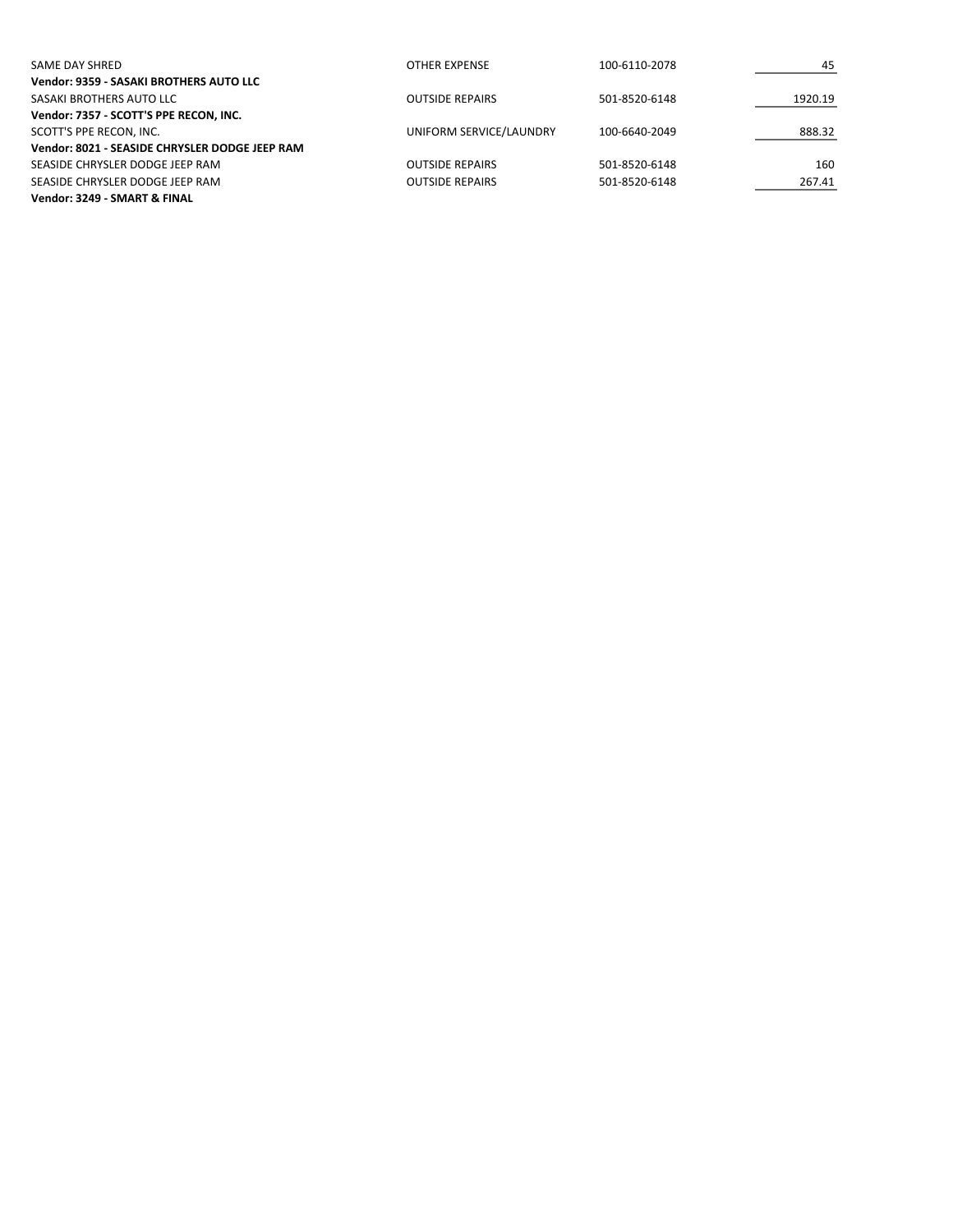| SAME DAY SHRED                                 | OTHER EXPENSE           | 100-6110-2078 | 45      |
|------------------------------------------------|-------------------------|---------------|---------|
| Vendor: 9359 - SASAKI BROTHERS AUTO LLC        |                         |               |         |
| SASAKI BROTHERS AUTO LLC                       | <b>OUTSIDE REPAIRS</b>  | 501-8520-6148 | 1920.19 |
| Vendor: 7357 - SCOTT'S PPE RECON, INC.         |                         |               |         |
| SCOTT'S PPE RECON. INC.                        | UNIFORM SERVICE/LAUNDRY | 100-6640-2049 | 888.32  |
| Vendor: 8021 - SEASIDE CHRYSLER DODGE JEEP RAM |                         |               |         |
| SEASIDE CHRYSLER DODGE JEEP RAM                | <b>OUTSIDE REPAIRS</b>  | 501-8520-6148 | 160     |
| SEASIDE CHRYSLER DODGE JEEP RAM                | <b>OUTSIDE REPAIRS</b>  | 501-8520-6148 | 267.41  |
| Vendor: 3249 - SMART & FINAL                   |                         |               |         |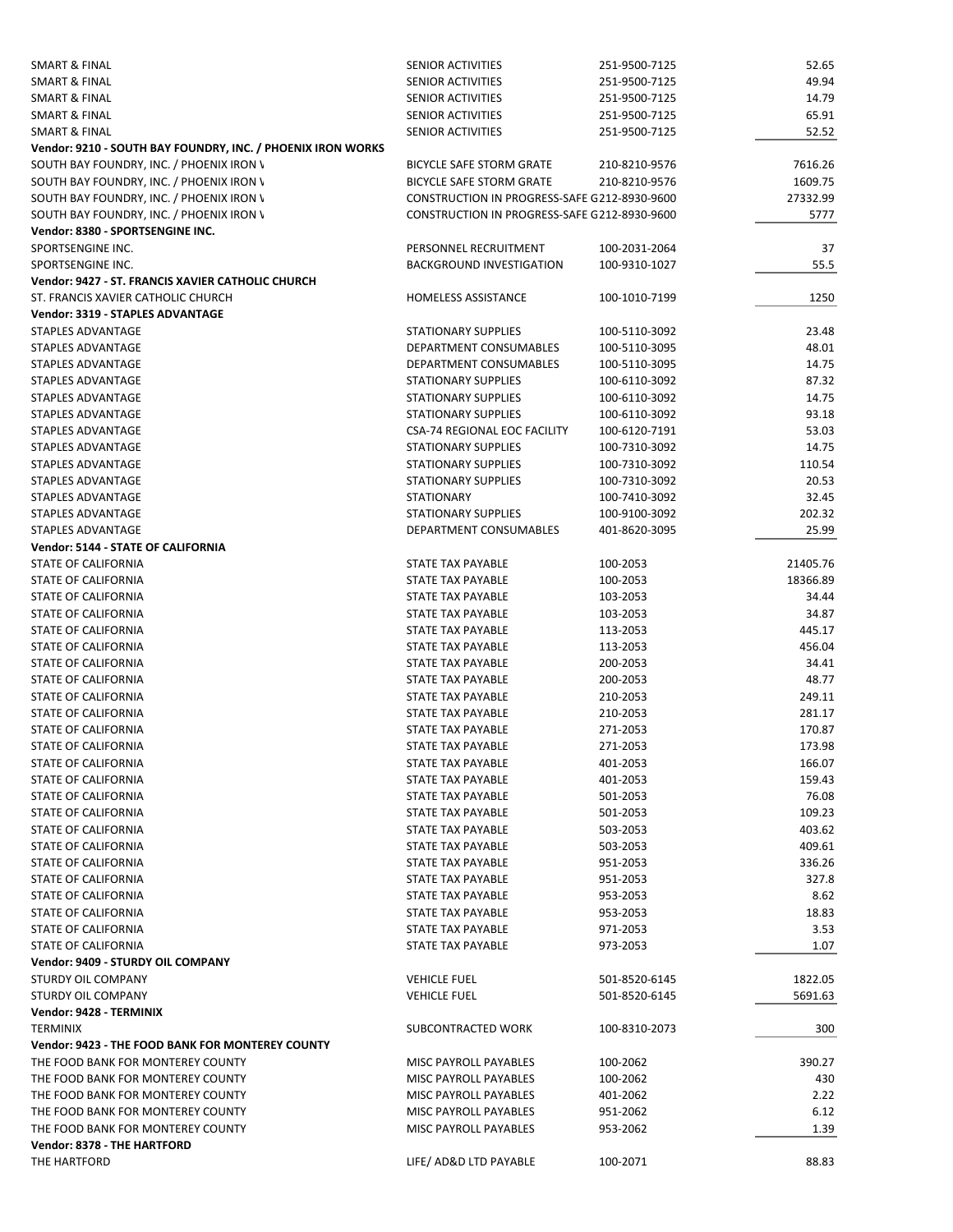| SMART & FINAL                                               | SENIOR ACTIVITIES                            | 251-9500-7125 | 52.65    |
|-------------------------------------------------------------|----------------------------------------------|---------------|----------|
| SMART & FINAL                                               | <b>SENIOR ACTIVITIES</b>                     | 251-9500-7125 | 49.94    |
| SMART & FINAL                                               | <b>SENIOR ACTIVITIES</b>                     | 251-9500-7125 | 14.79    |
| SMART & FINAL                                               | <b>SENIOR ACTIVITIES</b>                     | 251-9500-7125 | 65.91    |
| SMART & FINAL                                               | <b>SENIOR ACTIVITIES</b>                     | 251-9500-7125 | 52.52    |
|                                                             |                                              |               |          |
| Vendor: 9210 - SOUTH BAY FOUNDRY, INC. / PHOENIX IRON WORKS |                                              |               |          |
| SOUTH BAY FOUNDRY, INC. / PHOENIX IRON \                    | BICYCLE SAFE STORM GRATE                     | 210-8210-9576 | 7616.26  |
| SOUTH BAY FOUNDRY, INC. / PHOENIX IRON \                    | <b>BICYCLE SAFE STORM GRATE</b>              | 210-8210-9576 | 1609.75  |
| SOUTH BAY FOUNDRY, INC. / PHOENIX IRON \                    | CONSTRUCTION IN PROGRESS-SAFE G212-8930-9600 |               | 27332.99 |
| SOUTH BAY FOUNDRY, INC. / PHOENIX IRON \                    | CONSTRUCTION IN PROGRESS-SAFE G212-8930-9600 |               | 5777     |
| Vendor: 8380 - SPORTSENGINE INC.                            |                                              |               |          |
| SPORTSENGINE INC.                                           | PERSONNEL RECRUITMENT                        | 100-2031-2064 | 37       |
| SPORTSENGINE INC.                                           | <b>BACKGROUND INVESTIGATION</b>              | 100-9310-1027 | 55.5     |
| Vendor: 9427 - ST. FRANCIS XAVIER CATHOLIC CHURCH           |                                              |               |          |
| ST. FRANCIS XAVIER CATHOLIC CHURCH                          | <b>HOMELESS ASSISTANCE</b>                   | 100-1010-7199 | 1250     |
| <b>Vendor: 3319 - STAPLES ADVANTAGE</b>                     |                                              |               |          |
|                                                             |                                              |               |          |
| STAPLES ADVANTAGE                                           | <b>STATIONARY SUPPLIES</b>                   | 100-5110-3092 | 23.48    |
| STAPLES ADVANTAGE                                           | DEPARTMENT CONSUMABLES                       | 100-5110-3095 | 48.01    |
| <b>STAPLES ADVANTAGE</b>                                    | DEPARTMENT CONSUMABLES                       | 100-5110-3095 | 14.75    |
| STAPLES ADVANTAGE                                           | <b>STATIONARY SUPPLIES</b>                   | 100-6110-3092 | 87.32    |
| STAPLES ADVANTAGE                                           | <b>STATIONARY SUPPLIES</b>                   | 100-6110-3092 | 14.75    |
| <b>STAPLES ADVANTAGE</b>                                    | <b>STATIONARY SUPPLIES</b>                   | 100-6110-3092 | 93.18    |
| STAPLES ADVANTAGE                                           | CSA-74 REGIONAL EOC FACILITY                 | 100-6120-7191 | 53.03    |
| STAPLES ADVANTAGE                                           | <b>STATIONARY SUPPLIES</b>                   | 100-7310-3092 | 14.75    |
| STAPLES ADVANTAGE                                           | <b>STATIONARY SUPPLIES</b>                   | 100-7310-3092 | 110.54   |
| STAPLES ADVANTAGE                                           | <b>STATIONARY SUPPLIES</b>                   | 100-7310-3092 | 20.53    |
|                                                             | <b>STATIONARY</b>                            |               |          |
| STAPLES ADVANTAGE                                           |                                              | 100-7410-3092 | 32.45    |
| STAPLES ADVANTAGE                                           | <b>STATIONARY SUPPLIES</b>                   | 100-9100-3092 | 202.32   |
| STAPLES ADVANTAGE                                           | DEPARTMENT CONSUMABLES                       | 401-8620-3095 | 25.99    |
| Vendor: 5144 - STATE OF CALIFORNIA                          |                                              |               |          |
| STATE OF CALIFORNIA                                         | STATE TAX PAYABLE                            | 100-2053      | 21405.76 |
| STATE OF CALIFORNIA                                         | STATE TAX PAYABLE                            | 100-2053      | 18366.89 |
| STATE OF CALIFORNIA                                         | STATE TAX PAYABLE                            | 103-2053      | 34.44    |
| STATE OF CALIFORNIA                                         | STATE TAX PAYABLE                            | 103-2053      | 34.87    |
| STATE OF CALIFORNIA                                         | STATE TAX PAYABLE                            | 113-2053      | 445.17   |
| STATE OF CALIFORNIA                                         | STATE TAX PAYABLE                            | 113-2053      | 456.04   |
| STATE OF CALIFORNIA                                         | STATE TAX PAYABLE                            | 200-2053      | 34.41    |
| <b>STATE OF CALIFORNIA</b>                                  | STATE TAX PAYABLE                            | 200-2053      | 48.77    |
| STATE OF CALIFORNIA                                         | STATE TAX PAYABLE                            | 210-2053      | 249.11   |
| STATE OF CALIFORNIA                                         | STATE TAX PAYABLE                            | 210-2053      | 281.17   |
|                                                             |                                              |               |          |
| STATE OF CALIFORNIA                                         | STATE TAX PAYABLE                            | 271-2053      | 170.87   |
| <b>STATE OF CALIFORNIA</b>                                  | STATE TAX PAYABLE                            | 271-2053      | 173.98   |
| STATE OF CALIFORNIA                                         | STATE TAX PAYABLE                            | 401-2053      | 166.07   |
| STATE OF CALIFORNIA                                         | STATE TAX PAYABLE                            | 401-2053      | 159.43   |
| STATE OF CALIFORNIA                                         | STATE TAX PAYABLE                            | 501-2053      | 76.08    |
| STATE OF CALIFORNIA                                         | STATE TAX PAYABLE                            | 501-2053      | 109.23   |
| STATE OF CALIFORNIA                                         | STATE TAX PAYABLE                            | 503-2053      | 403.62   |
| STATE OF CALIFORNIA                                         | STATE TAX PAYABLE                            | 503-2053      | 409.61   |
| STATE OF CALIFORNIA                                         | STATE TAX PAYABLE                            | 951-2053      | 336.26   |
| STATE OF CALIFORNIA                                         | STATE TAX PAYABLE                            | 951-2053      | 327.8    |
|                                                             |                                              |               |          |
| STATE OF CALIFORNIA                                         | STATE TAX PAYABLE                            | 953-2053      | 8.62     |
| STATE OF CALIFORNIA                                         | STATE TAX PAYABLE                            | 953-2053      | 18.83    |
| STATE OF CALIFORNIA                                         | STATE TAX PAYABLE                            | 971-2053      | 3.53     |
| STATE OF CALIFORNIA                                         | STATE TAX PAYABLE                            | 973-2053      | 1.07     |
| Vendor: 9409 - STURDY OIL COMPANY                           |                                              |               |          |
| STURDY OIL COMPANY                                          | <b>VEHICLE FUEL</b>                          | 501-8520-6145 | 1822.05  |
| STURDY OIL COMPANY                                          | <b>VEHICLE FUEL</b>                          | 501-8520-6145 | 5691.63  |
| Vendor: 9428 - TERMINIX                                     |                                              |               |          |
| <b>TERMINIX</b>                                             | SUBCONTRACTED WORK                           | 100-8310-2073 | 300      |
| Vendor: 9423 - THE FOOD BANK FOR MONTEREY COUNTY            |                                              |               |          |
| THE FOOD BANK FOR MONTEREY COUNTY                           | MISC PAYROLL PAYABLES                        | 100-2062      | 390.27   |
| THE FOOD BANK FOR MONTEREY COUNTY                           | MISC PAYROLL PAYABLES                        |               |          |
|                                                             |                                              | 100-2062      | 430      |
| THE FOOD BANK FOR MONTEREY COUNTY                           | MISC PAYROLL PAYABLES                        | 401-2062      | 2.22     |
| THE FOOD BANK FOR MONTEREY COUNTY                           | MISC PAYROLL PAYABLES                        | 951-2062      | 6.12     |
| THE FOOD BANK FOR MONTEREY COUNTY                           | MISC PAYROLL PAYABLES                        | 953-2062      | 1.39     |
| <b>Vendor: 8378 - THE HARTFORD</b>                          |                                              |               |          |
| THE HARTFORD                                                | LIFE/ AD&D LTD PAYABLE                       | 100-2071      | 88.83    |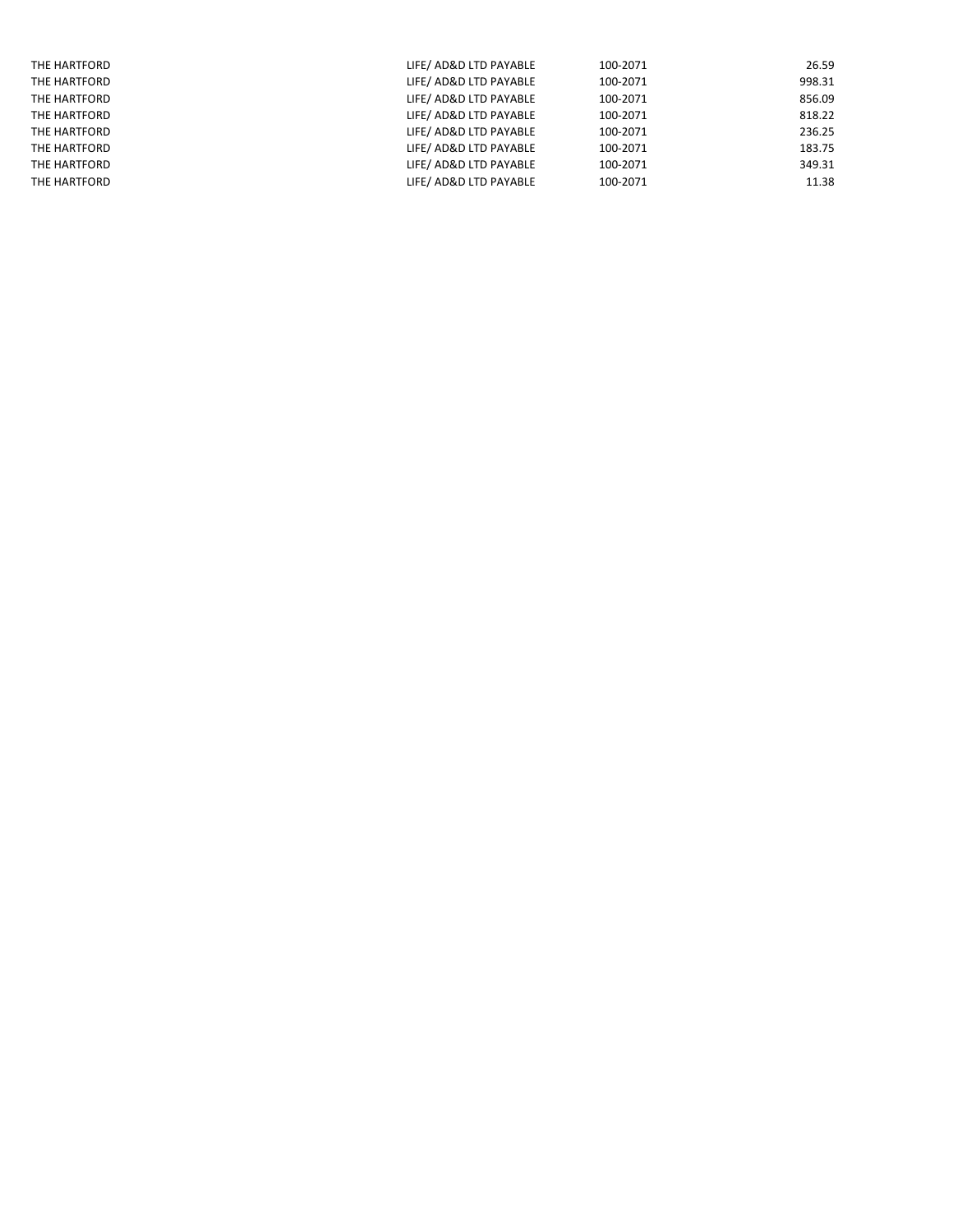| THE HARTFORD | LIFE/ AD&D LTD PAYABLE | 100-2071 | 26.59  |
|--------------|------------------------|----------|--------|
| THE HARTFORD | LIFE/ AD&D LTD PAYABLE | 100-2071 | 998.31 |
| THE HARTFORD | LIFE/ AD&D LTD PAYABLE | 100-2071 | 856.09 |
| THE HARTFORD | LIFE/ AD&D LTD PAYABLE | 100-2071 | 818.22 |
| THE HARTFORD | LIFE/ AD&D LTD PAYABLE | 100-2071 | 236.25 |
| THE HARTFORD | LIFE/ AD&D LTD PAYABLE | 100-2071 | 183.75 |
| THE HARTFORD | LIFE/ AD&D LTD PAYABLE | 100-2071 | 349.31 |
| THE HARTFORD | LIFE/ AD&D LTD PAYABLE | 100-2071 | 11.38  |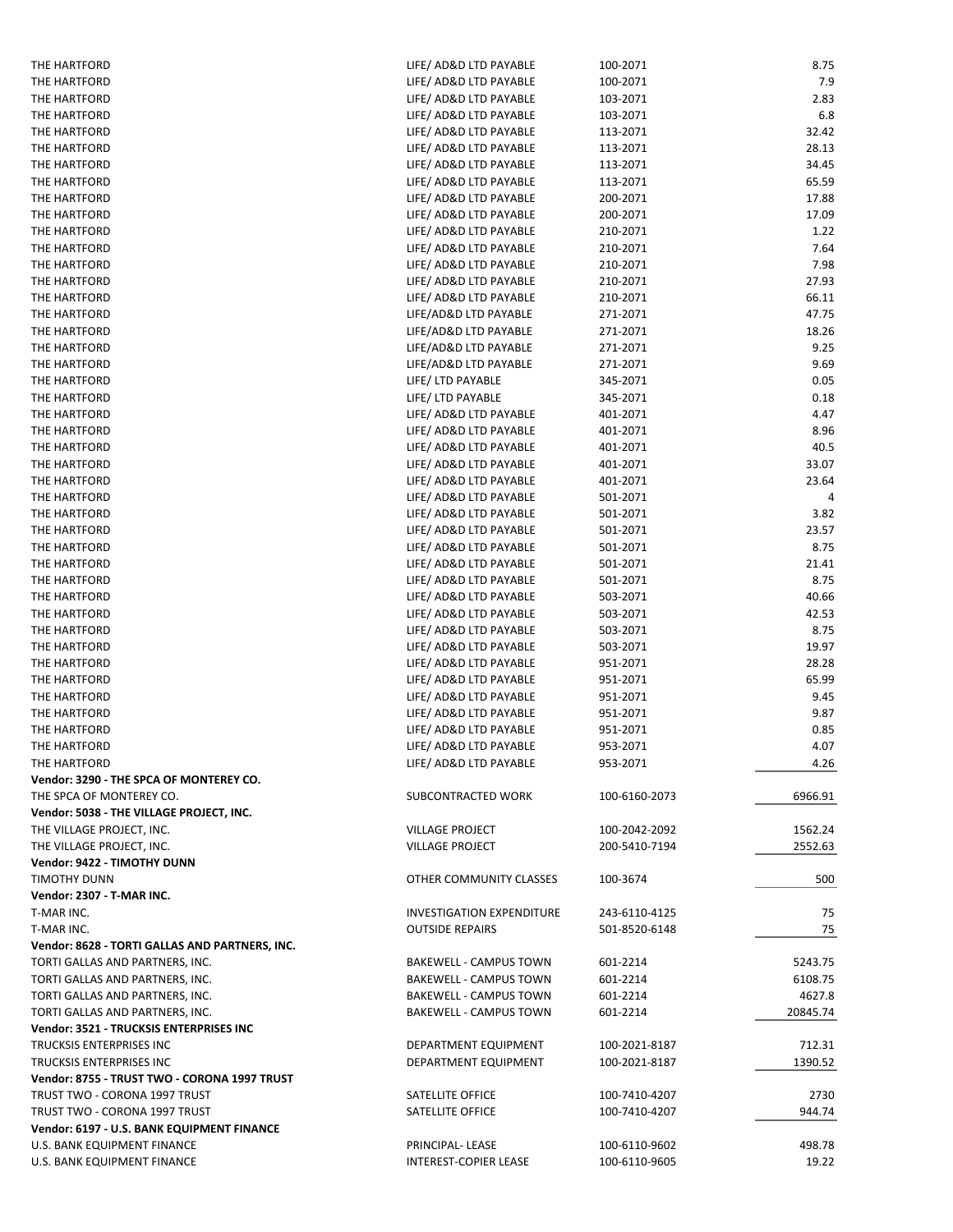| THE HARTFORD                                   | LIFE/ AD&D LTD PAYABLE                           | 100-2071             | 8.75          |
|------------------------------------------------|--------------------------------------------------|----------------------|---------------|
| THE HARTFORD                                   | LIFE/ AD&D LTD PAYABLE                           | 100-2071             | 7.9           |
| THE HARTFORD                                   | LIFE/ AD&D LTD PAYABLE                           | 103-2071             | 2.83          |
| THE HARTFORD                                   | LIFE/ AD&D LTD PAYABLE                           | 103-2071             | 6.8           |
| THE HARTFORD                                   | LIFE/ AD&D LTD PAYABLE                           | 113-2071             | 32.42         |
| THE HARTFORD                                   | LIFE/ AD&D LTD PAYABLE                           | 113-2071             | 28.13         |
| THE HARTFORD                                   | LIFE/ AD&D LTD PAYABLE                           | 113-2071             | 34.45         |
| THE HARTFORD                                   | LIFE/ AD&D LTD PAYABLE                           | 113-2071             | 65.59         |
| THE HARTFORD                                   | LIFE/ AD&D LTD PAYABLE                           | 200-2071             | 17.88         |
| THE HARTFORD                                   | LIFE/ AD&D LTD PAYABLE                           | 200-2071             | 17.09         |
| THE HARTFORD                                   | LIFE/ AD&D LTD PAYABLE                           | 210-2071             | 1.22          |
| THE HARTFORD                                   | LIFE/ AD&D LTD PAYABLE                           | 210-2071             | 7.64          |
| THE HARTFORD                                   | LIFE/ AD&D LTD PAYABLE                           | 210-2071             | 7.98          |
| THE HARTFORD                                   | LIFE/ AD&D LTD PAYABLE                           | 210-2071             | 27.93         |
| THE HARTFORD                                   | LIFE/ AD&D LTD PAYABLE                           | 210-2071             | 66.11         |
| THE HARTFORD                                   | LIFE/AD&D LTD PAYABLE                            | 271-2071             | 47.75         |
| THE HARTFORD                                   | LIFE/AD&D LTD PAYABLE                            | 271-2071             | 18.26         |
| THE HARTFORD                                   | LIFE/AD&D LTD PAYABLE                            | 271-2071             | 9.25          |
| THE HARTFORD                                   | LIFE/AD&D LTD PAYABLE                            | 271-2071             | 9.69          |
| THE HARTFORD                                   | LIFE/ LTD PAYABLE                                | 345-2071             | 0.05          |
| THE HARTFORD                                   | LIFE/ LTD PAYABLE                                | 345-2071             | 0.18          |
| THE HARTFORD                                   | LIFE/ AD&D LTD PAYABLE                           | 401-2071             | 4.47          |
| THE HARTFORD                                   | LIFE/ AD&D LTD PAYABLE                           | 401-2071             | 8.96          |
| THE HARTFORD                                   | LIFE/ AD&D LTD PAYABLE                           | 401-2071             | 40.5          |
| THE HARTFORD                                   | LIFE/ AD&D LTD PAYABLE                           | 401-2071             | 33.07         |
| THE HARTFORD                                   | LIFE/ AD&D LTD PAYABLE                           | 401-2071             | 23.64         |
| THE HARTFORD                                   | LIFE/ AD&D LTD PAYABLE                           | 501-2071             | 4             |
| THE HARTFORD                                   | LIFE/ AD&D LTD PAYABLE                           | 501-2071             | 3.82          |
| THE HARTFORD                                   | LIFE/ AD&D LTD PAYABLE                           | 501-2071             | 23.57         |
| THE HARTFORD                                   | LIFE/ AD&D LTD PAYABLE                           | 501-2071             | 8.75          |
| THE HARTFORD                                   | LIFE/ AD&D LTD PAYABLE                           | 501-2071             | 21.41         |
| THE HARTFORD                                   | LIFE/ AD&D LTD PAYABLE                           | 501-2071             | 8.75          |
| THE HARTFORD                                   | LIFE/ AD&D LTD PAYABLE                           | 503-2071             | 40.66         |
| THE HARTFORD                                   | LIFE/ AD&D LTD PAYABLE                           | 503-2071             | 42.53         |
| THE HARTFORD                                   | LIFE/ AD&D LTD PAYABLE                           | 503-2071             | 8.75<br>19.97 |
| THE HARTFORD<br>THE HARTFORD                   | LIFE/ AD&D LTD PAYABLE<br>LIFE/ AD&D LTD PAYABLE | 503-2071<br>951-2071 | 28.28         |
| THE HARTFORD                                   | LIFE/ AD&D LTD PAYABLE                           | 951-2071             | 65.99         |
| THE HARTFORD                                   | LIFE/ AD&D LTD PAYABLE                           | 951-2071             | 9.45          |
| THE HARTFORD                                   | LIFE/ AD&D LTD PAYABLE                           | 951-2071             | 9.87          |
| THE HARTFORD                                   | LIFE/ AD&D LTD PAYABLE                           | 951-2071             | 0.85          |
| THE HARTFORD                                   | LIFE/ AD&D LTD PAYABLE                           | 953-2071             | 4.07          |
| THE HARTFORD                                   | LIFE/ AD&D LTD PAYABLE                           | 953-2071             | 4.26          |
| Vendor: 3290 - THE SPCA OF MONTEREY CO.        |                                                  |                      |               |
| THE SPCA OF MONTEREY CO.                       | SUBCONTRACTED WORK                               | 100-6160-2073        | 6966.91       |
| Vendor: 5038 - THE VILLAGE PROJECT, INC.       |                                                  |                      |               |
| THE VILLAGE PROJECT, INC.                      | <b>VILLAGE PROJECT</b>                           | 100-2042-2092        | 1562.24       |
| THE VILLAGE PROJECT, INC.                      | <b>VILLAGE PROJECT</b>                           | 200-5410-7194        | 2552.63       |
| Vendor: 9422 - TIMOTHY DUNN                    |                                                  |                      |               |
| <b>TIMOTHY DUNN</b>                            | OTHER COMMUNITY CLASSES                          | 100-3674             | 500           |
| Vendor: 2307 - T-MAR INC.                      |                                                  |                      |               |
| T-MAR INC.                                     | <b>INVESTIGATION EXPENDITURE</b>                 | 243-6110-4125        | 75            |
| T-MAR INC.                                     | <b>OUTSIDE REPAIRS</b>                           | 501-8520-6148        | 75            |
| Vendor: 8628 - TORTI GALLAS AND PARTNERS, INC. |                                                  |                      |               |
| TORTI GALLAS AND PARTNERS, INC.                | <b>BAKEWELL - CAMPUS TOWN</b>                    | 601-2214             | 5243.75       |
| TORTI GALLAS AND PARTNERS, INC.                | <b>BAKEWELL - CAMPUS TOWN</b>                    | 601-2214             | 6108.75       |
| TORTI GALLAS AND PARTNERS, INC.                | <b>BAKEWELL - CAMPUS TOWN</b>                    | 601-2214             | 4627.8        |
| TORTI GALLAS AND PARTNERS, INC.                | <b>BAKEWELL - CAMPUS TOWN</b>                    | 601-2214             | 20845.74      |
| Vendor: 3521 - TRUCKSIS ENTERPRISES INC        |                                                  |                      |               |
| TRUCKSIS ENTERPRISES INC                       | DEPARTMENT EQUIPMENT                             | 100-2021-8187        | 712.31        |
| TRUCKSIS ENTERPRISES INC                       | DEPARTMENT EQUIPMENT                             | 100-2021-8187        | 1390.52       |
| Vendor: 8755 - TRUST TWO - CORONA 1997 TRUST   |                                                  |                      |               |
| TRUST TWO - CORONA 1997 TRUST                  | SATELLITE OFFICE                                 | 100-7410-4207        | 2730          |
| TRUST TWO - CORONA 1997 TRUST                  | SATELLITE OFFICE                                 | 100-7410-4207        | 944.74        |
| Vendor: 6197 - U.S. BANK EQUIPMENT FINANCE     |                                                  |                      |               |
| U.S. BANK EQUIPMENT FINANCE                    | PRINCIPAL-LEASE                                  | 100-6110-9602        | 498.78        |
| U.S. BANK EQUIPMENT FINANCE                    | INTEREST-COPIER LEASE                            | 100-6110-9605        | 19.22         |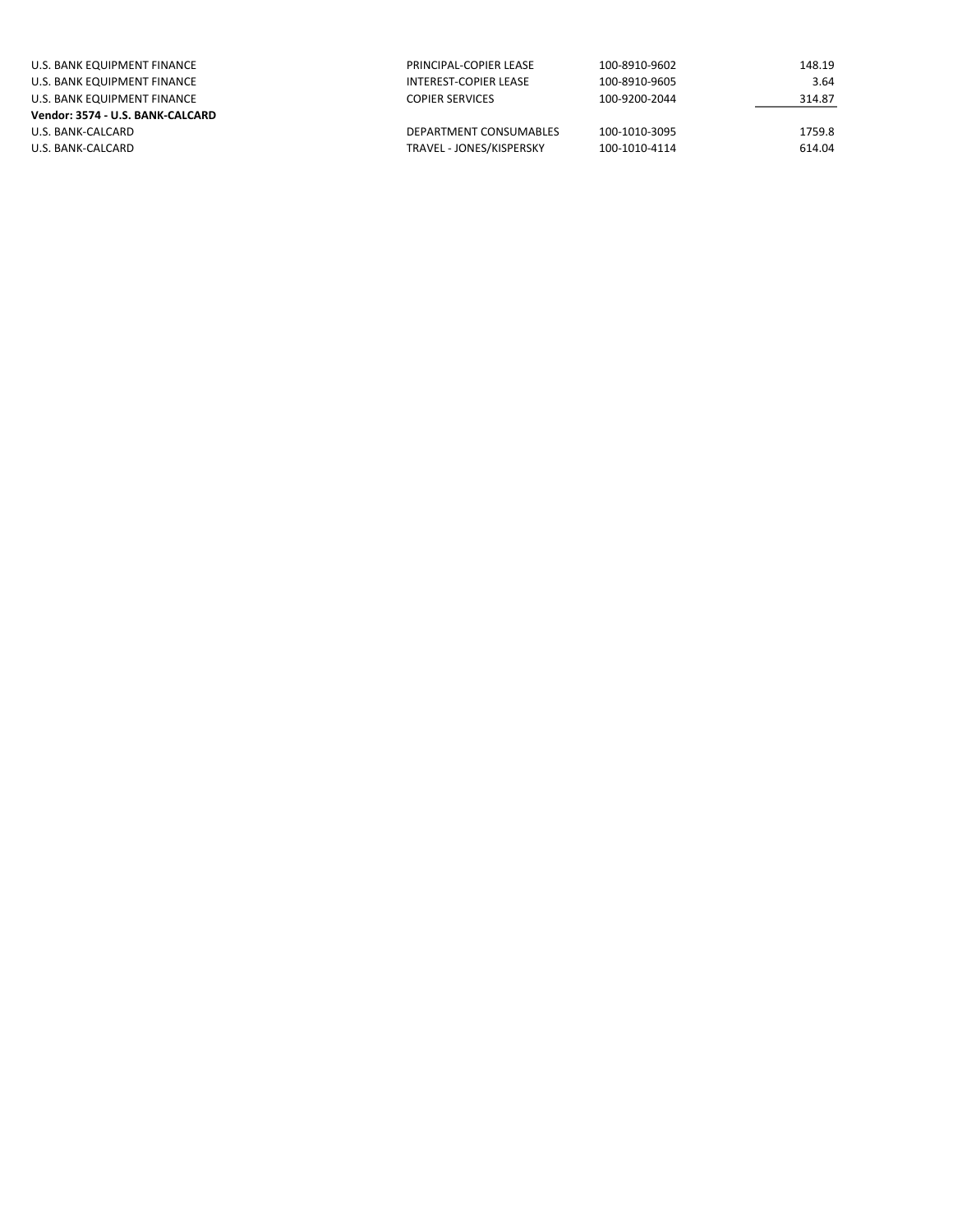| U.S. BANK EQUIPMENT FINANCE      | PRINCIPAL-COPIER LEASE   | 100-8910-9602 | 148.19 |
|----------------------------------|--------------------------|---------------|--------|
| U.S. BANK EQUIPMENT FINANCE      | INTEREST-COPIER LEASE    | 100-8910-9605 | 3.64   |
| U.S. BANK EQUIPMENT FINANCE      | <b>COPIER SERVICES</b>   | 100-9200-2044 | 314.87 |
| Vendor: 3574 - U.S. BANK-CALCARD |                          |               |        |
| U.S. BANK-CALCARD                | DEPARTMENT CONSUMABLES   | 100-1010-3095 | 1759.8 |
| U.S. BANK-CALCARD                | TRAVEL - JONES/KISPERSKY | 100-1010-4114 | 614.04 |
|                                  |                          |               |        |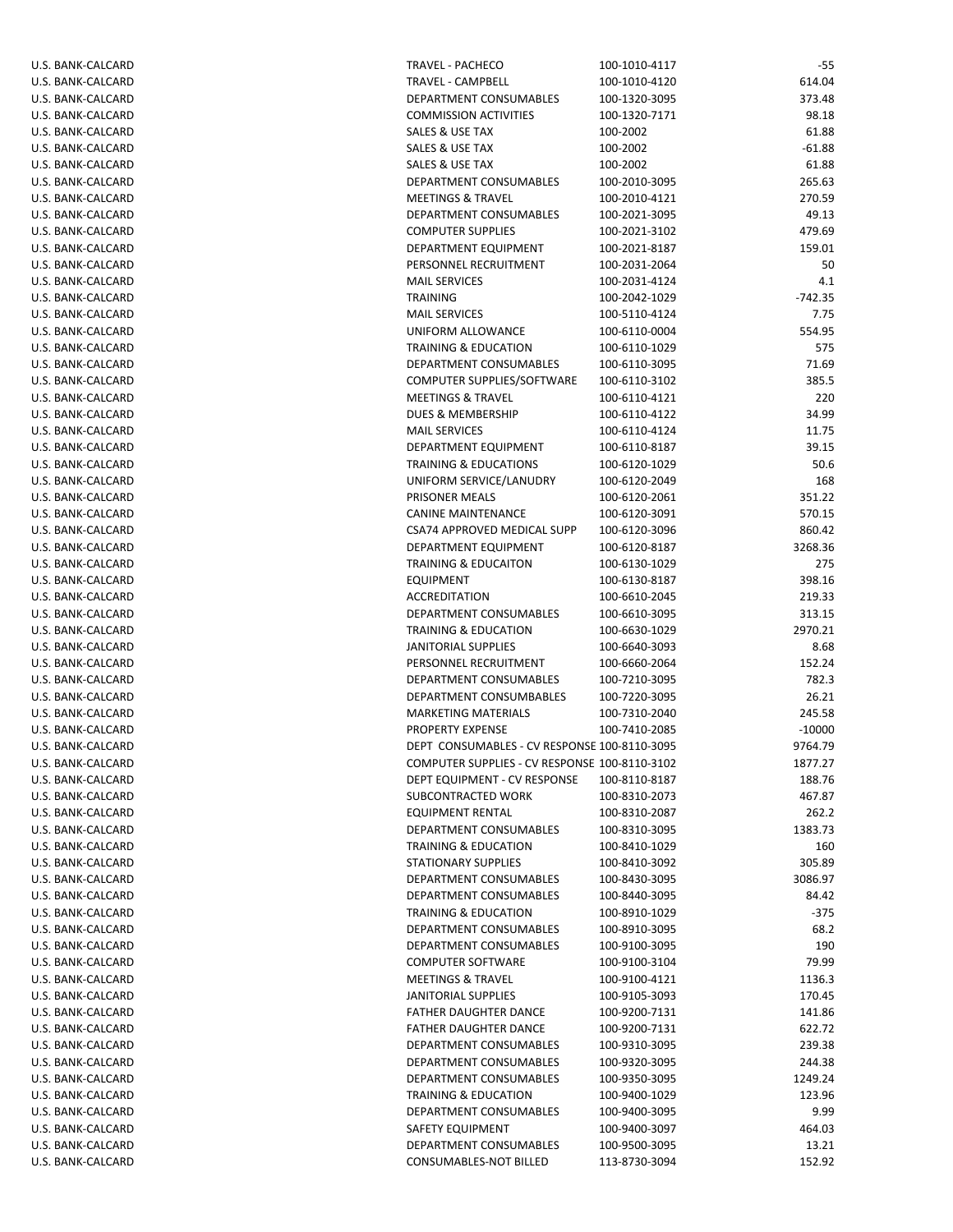| U.S. BANK-CALCARD                      | ΤF       |
|----------------------------------------|----------|
| U.S. BANK-CALCARD                      | ΤF       |
| U.S. BANK-CALCARD                      | DI       |
| U.S. BANK-CALCARD                      | C(       |
| U.S. BANK-CALCARD                      | S/       |
| U.S. BANK-CALCARD                      | S/       |
| U.S. BANK-CALCARD                      | S/       |
| U.S. BANK-CALCARD                      | DI       |
| U.S. BANK-CALCARD                      | M        |
| U.S. BANK-CALCARD<br>U.S. BANK-CALCARD | DI       |
| U.S. BANK-CALCARD                      | C(<br>DI |
| U.S. BANK-CALCARD                      | PE       |
| U.S. BANK-CALCARD                      | M        |
| U.S. BANK-CALCARD                      | ΤF       |
| U.S. BANK-CALCARD                      | M        |
| U.S. BANK-CALCARD                      | U        |
| U.S. BANK-CALCARD                      | ΤF       |
| U.S. BANK-CALCARD                      | DI       |
| U.S. BANK-CALCARD                      | C(       |
| U.S. BANK-CALCARD                      | M        |
| U.S. BANK-CALCARD                      | DI       |
| U.S. BANK-CALCARD                      | M        |
| U.S. BANK-CALCARD                      | DI       |
| U.S. BANK-CALCARD                      | ΤF       |
| U.S. BANK-CALCARD                      | UI       |
| U.S. BANK-CALCARD<br>U.S. BANK-CALCARD | PF<br>C/ |
| U.S. BANK-CALCARD                      | CS       |
| U.S. BANK-CALCARD                      | DI       |
| U.S. BANK-CALCARD                      | ΤF       |
| U.S. BANK-CALCARD                      | E)       |
| U.S. BANK-CALCARD                      | A٥       |
| U.S. BANK-CALCARD                      | DI       |
| U.S. BANK-CALCARD                      | ΤF       |
| U.S. BANK-CALCARD                      | JA       |
| U.S. BANK-CALCARD                      | PE       |
| U.S. BANK-CALCARD                      | DI       |
| U.S. BANK-CALCARD                      | DI       |
| U.S. BANK-CALCARD                      | M        |
| U.S. BANK-CALCARD                      | PF       |
| U.S. BANK-CALCARD                      | DI       |
| U.S. BANK-CALCARD                      | C(       |
| U.S. BANK-CALCARD<br>U.S. BANK-CALCARD | DI<br>Sι |
| U.S. BANK-CALCARD                      | E0       |
| U.S. BANK-CALCARD                      | DI       |
| U.S. BANK-CALCARD                      | ΤF       |
| U.S. BANK-CALCARD                      | S٦       |
| U.S. BANK-CALCARD                      | DI       |
| U.S. BANK-CALCARD                      | DI       |
| U.S. BANK-CALCARD                      | ΤF       |
| U.S. BANK-CALCARD                      | DI       |
| U.S. BANK-CALCARD                      | DI       |
| U.S. BANK-CALCARD                      | C(       |
| U.S. BANK-CALCARD                      | M        |
| U.S. BANK-CALCARD                      | JA       |
| U.S. BANK-CALCARD                      | F/       |
| U.S. BANK-CALCARD                      | F        |
| U.S. BANK-CALCARD<br>U.S. BANK-CALCARD | DI<br>DI |
| U.S. BANK-CALCARD                      | DI       |
| U.S. BANK-CALCARD                      | ΤF       |
| U.S. BANK-CALCARD                      | DI       |
| U.S. BANK-CALCARD                      | S/       |
| U.S. BANK-CALCARD                      | DI       |
| U.S. BANK-CALCARD                      | C(       |
|                                        |          |

| U.S. BANK-CALCARD | TRAVEL - PACHECO                              | 100-1010-4117 | -55       |
|-------------------|-----------------------------------------------|---------------|-----------|
| U.S. BANK-CALCARD | TRAVEL - CAMPBELL                             | 100-1010-4120 | 614.04    |
| U.S. BANK-CALCARD | DEPARTMENT CONSUMABLES                        | 100-1320-3095 | 373.48    |
| U.S. BANK-CALCARD | <b>COMMISSION ACTIVITIES</b>                  | 100-1320-7171 | 98.18     |
| U.S. BANK-CALCARD | SALES & USE TAX                               | 100-2002      | 61.88     |
| U.S. BANK-CALCARD | SALES & USE TAX                               | 100-2002      | $-61.88$  |
| U.S. BANK-CALCARD | SALES & USE TAX                               | 100-2002      | 61.88     |
|                   |                                               |               | 265.63    |
| U.S. BANK-CALCARD | DEPARTMENT CONSUMABLES                        | 100-2010-3095 |           |
| U.S. BANK-CALCARD | <b>MEETINGS &amp; TRAVEL</b>                  | 100-2010-4121 | 270.59    |
| U.S. BANK-CALCARD | DEPARTMENT CONSUMABLES                        | 100-2021-3095 | 49.13     |
| U.S. BANK-CALCARD | <b>COMPUTER SUPPLIES</b>                      | 100-2021-3102 | 479.69    |
| U.S. BANK-CALCARD | DEPARTMENT EQUIPMENT                          | 100-2021-8187 | 159.01    |
| U.S. BANK-CALCARD | PERSONNEL RECRUITMENT                         | 100-2031-2064 | 50        |
| U.S. BANK-CALCARD | <b>MAIL SERVICES</b>                          | 100-2031-4124 | 4.1       |
| U.S. BANK-CALCARD | <b>TRAINING</b>                               | 100-2042-1029 | $-742.35$ |
| U.S. BANK-CALCARD | <b>MAIL SERVICES</b>                          | 100-5110-4124 | 7.75      |
| U.S. BANK-CALCARD | UNIFORM ALLOWANCE                             | 100-6110-0004 | 554.95    |
| U.S. BANK-CALCARD | <b>TRAINING &amp; EDUCATION</b>               | 100-6110-1029 | 575       |
| U.S. BANK-CALCARD | DEPARTMENT CONSUMABLES                        | 100-6110-3095 | 71.69     |
| U.S. BANK-CALCARD | COMPUTER SUPPLIES/SOFTWARE                    | 100-6110-3102 | 385.5     |
| U.S. BANK-CALCARD | <b>MEETINGS &amp; TRAVEL</b>                  | 100-6110-4121 | 220       |
| U.S. BANK-CALCARD | DUES & MEMBERSHIP                             | 100-6110-4122 | 34.99     |
|                   |                                               |               |           |
| U.S. BANK-CALCARD | <b>MAIL SERVICES</b>                          | 100-6110-4124 | 11.75     |
| U.S. BANK-CALCARD | DEPARTMENT EQUIPMENT                          | 100-6110-8187 | 39.15     |
| U.S. BANK-CALCARD | <b>TRAINING &amp; EDUCATIONS</b>              | 100-6120-1029 | 50.6      |
| U.S. BANK-CALCARD | UNIFORM SERVICE/LANUDRY                       | 100-6120-2049 | 168       |
| U.S. BANK-CALCARD | PRISONER MEALS                                | 100-6120-2061 | 351.22    |
| U.S. BANK-CALCARD | <b>CANINE MAINTENANCE</b>                     | 100-6120-3091 | 570.15    |
| U.S. BANK-CALCARD | CSA74 APPROVED MEDICAL SUPP                   | 100-6120-3096 | 860.42    |
| U.S. BANK-CALCARD | DEPARTMENT EQUIPMENT                          | 100-6120-8187 | 3268.36   |
| U.S. BANK-CALCARD | <b>TRAINING &amp; EDUCAITON</b>               | 100-6130-1029 | 275       |
| U.S. BANK-CALCARD | <b>EQUIPMENT</b>                              | 100-6130-8187 | 398.16    |
| U.S. BANK-CALCARD | <b>ACCREDITATION</b>                          | 100-6610-2045 | 219.33    |
| U.S. BANK-CALCARD | DEPARTMENT CONSUMABLES                        | 100-6610-3095 | 313.15    |
| U.S. BANK-CALCARD | <b>TRAINING &amp; EDUCATION</b>               | 100-6630-1029 | 2970.21   |
| U.S. BANK-CALCARD | JANITORIAL SUPPLIES                           | 100-6640-3093 | 8.68      |
| U.S. BANK-CALCARD | PERSONNEL RECRUITMENT                         | 100-6660-2064 | 152.24    |
| U.S. BANK-CALCARD | DEPARTMENT CONSUMABLES                        | 100-7210-3095 | 782.3     |
|                   | DEPARTMENT CONSUMBABLES                       | 100-7220-3095 | 26.21     |
| U.S. BANK-CALCARD |                                               |               |           |
| U.S. BANK-CALCARD | <b>MARKETING MATERIALS</b>                    | 100-7310-2040 | 245.58    |
| U.S. BANK-CALCARD | PROPERTY EXPENSE                              | 100-7410-2085 | $-10000$  |
| U.S. BANK-CALCARD | DEPT CONSUMABLES - CV RESPONSE 100-8110-3095  |               | 9764.79   |
| U.S. BANK-CALCARD | COMPUTER SUPPLIES - CV RESPONSE 100-8110-3102 |               | 1877.27   |
| U.S. BANK-CALCARD | DEPT EQUIPMENT - CV RESPONSE                  | 100-8110-8187 | 188.76    |
| U.S. BANK-CALCARD | SUBCONTRACTED WORK                            | 100-8310-2073 | 467.87    |
| U.S. BANK-CALCARD | EQUIPMENT RENTAL                              | 100-8310-2087 | 262.2     |
| U.S. BANK-CALCARD | DEPARTMENT CONSUMABLES                        | 100-8310-3095 | 1383.73   |
| U.S. BANK-CALCARD | <b>TRAINING &amp; EDUCATION</b>               | 100-8410-1029 | 160       |
| U.S. BANK-CALCARD | <b>STATIONARY SUPPLIES</b>                    | 100-8410-3092 | 305.89    |
| U.S. BANK-CALCARD | DEPARTMENT CONSUMABLES                        | 100-8430-3095 | 3086.97   |
| U.S. BANK-CALCARD | DEPARTMENT CONSUMABLES                        | 100-8440-3095 | 84.42     |
| U.S. BANK-CALCARD | <b>TRAINING &amp; EDUCATION</b>               | 100-8910-1029 | $-375$    |
| U.S. BANK-CALCARD | DEPARTMENT CONSUMABLES                        | 100-8910-3095 | 68.2      |
| U.S. BANK-CALCARD | DEPARTMENT CONSUMABLES                        | 100-9100-3095 | 190       |
|                   |                                               |               | 79.99     |
| U.S. BANK-CALCARD | <b>COMPUTER SOFTWARE</b>                      | 100-9100-3104 |           |
| U.S. BANK-CALCARD | <b>MEETINGS &amp; TRAVEL</b>                  | 100-9100-4121 | 1136.3    |
| U.S. BANK-CALCARD | JANITORIAL SUPPLIES                           | 100-9105-3093 | 170.45    |
| U.S. BANK-CALCARD | <b>FATHER DAUGHTER DANCE</b>                  | 100-9200-7131 | 141.86    |
| U.S. BANK-CALCARD | <b>FATHER DAUGHTER DANCE</b>                  | 100-9200-7131 | 622.72    |
| U.S. BANK-CALCARD | DEPARTMENT CONSUMABLES                        | 100-9310-3095 | 239.38    |
| U.S. BANK-CALCARD | DEPARTMENT CONSUMABLES                        | 100-9320-3095 | 244.38    |
| U.S. BANK-CALCARD | DEPARTMENT CONSUMABLES                        | 100-9350-3095 | 1249.24   |
| U.S. BANK-CALCARD | <b>TRAINING &amp; EDUCATION</b>               | 100-9400-1029 | 123.96    |
| U.S. BANK-CALCARD | DEPARTMENT CONSUMABLES                        | 100-9400-3095 | 9.99      |
| U.S. BANK-CALCARD | SAFETY EQUIPMENT                              | 100-9400-3097 | 464.03    |
| U.S. BANK-CALCARD | DEPARTMENT CONSUMABLES                        | 100-9500-3095 | 13.21     |
| U.S. BANK-CALCARD | CONSUMABLES-NOT BILLED                        | 113-8730-3094 | 152.92    |
|                   |                                               |               |           |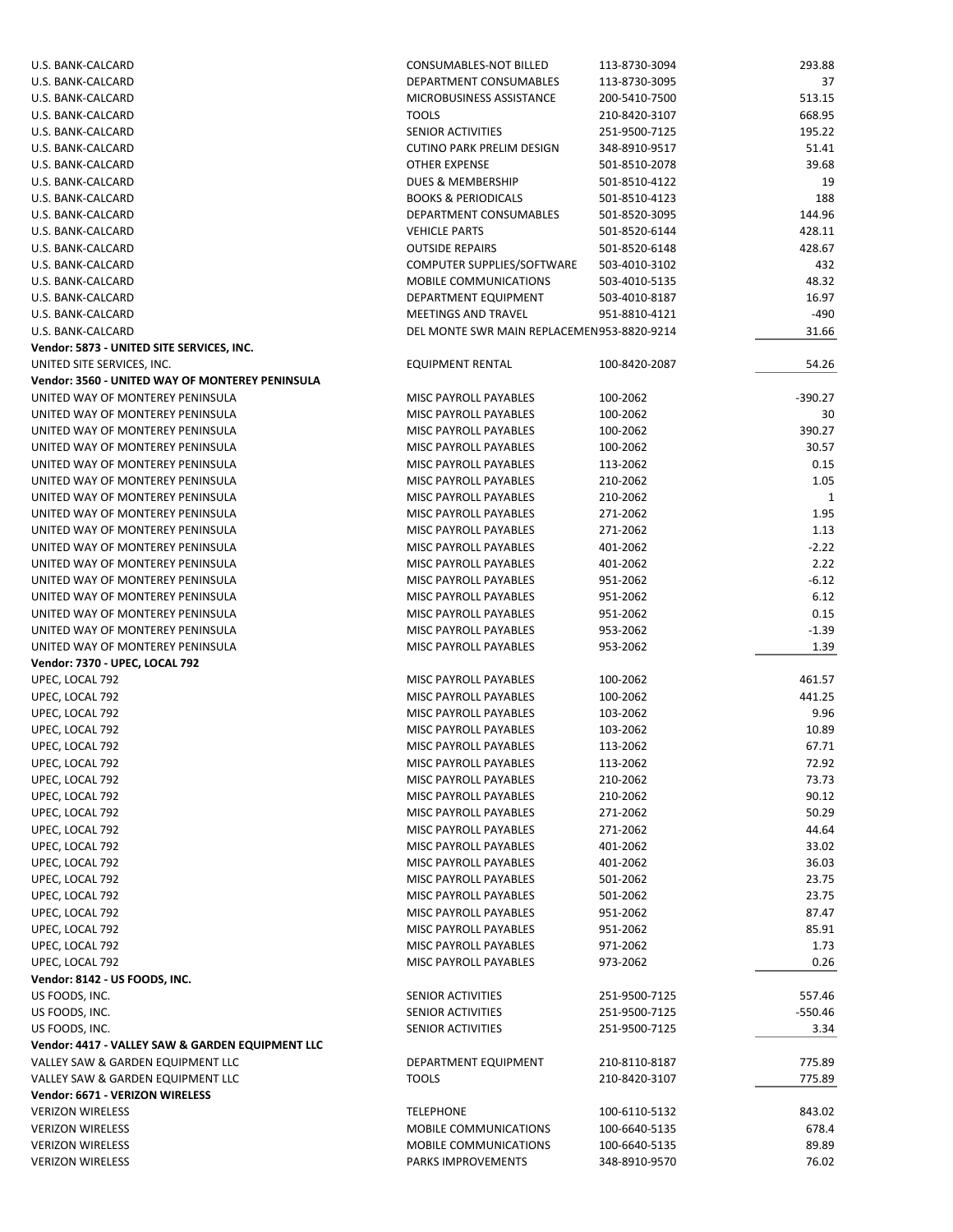| U.S. BANK-CALCARD                                                    | CONSUMABLES-NOT BILLED                     | 113-8730-3094 | 293.88       |
|----------------------------------------------------------------------|--------------------------------------------|---------------|--------------|
| U.S. BANK-CALCARD                                                    | DEPARTMENT CONSUMABLES                     | 113-8730-3095 | 37           |
| U.S. BANK-CALCARD                                                    | MICROBUSINESS ASSISTANCE                   | 200-5410-7500 | 513.15       |
| U.S. BANK-CALCARD                                                    | <b>TOOLS</b>                               | 210-8420-3107 | 668.95       |
| U.S. BANK-CALCARD                                                    | SENIOR ACTIVITIES                          | 251-9500-7125 | 195.22       |
| U.S. BANK-CALCARD                                                    | <b>CUTINO PARK PRELIM DESIGN</b>           | 348-8910-9517 | 51.41        |
| U.S. BANK-CALCARD                                                    | <b>OTHER EXPENSE</b>                       | 501-8510-2078 | 39.68        |
| U.S. BANK-CALCARD                                                    | DUES & MEMBERSHIP                          | 501-8510-4122 | 19           |
| U.S. BANK-CALCARD                                                    | <b>BOOKS &amp; PERIODICALS</b>             | 501-8510-4123 | 188          |
| U.S. BANK-CALCARD                                                    | DEPARTMENT CONSUMABLES                     | 501-8520-3095 | 144.96       |
| U.S. BANK-CALCARD                                                    | <b>VEHICLE PARTS</b>                       | 501-8520-6144 | 428.11       |
| U.S. BANK-CALCARD                                                    | <b>OUTSIDE REPAIRS</b>                     | 501-8520-6148 | 428.67       |
| U.S. BANK-CALCARD                                                    | COMPUTER SUPPLIES/SOFTWARE                 | 503-4010-3102 | 432          |
| U.S. BANK-CALCARD                                                    | <b>MOBILE COMMUNICATIONS</b>               | 503-4010-5135 | 48.32        |
| U.S. BANK-CALCARD                                                    | DEPARTMENT EQUIPMENT                       | 503-4010-8187 | 16.97        |
| U.S. BANK-CALCARD                                                    | MEETINGS AND TRAVEL                        | 951-8810-4121 | -490         |
| U.S. BANK-CALCARD                                                    | DEL MONTE SWR MAIN REPLACEMEN953-8820-9214 |               | 31.66        |
| Vendor: 5873 - UNITED SITE SERVICES, INC.                            |                                            |               |              |
| UNITED SITE SERVICES, INC.                                           | <b>EQUIPMENT RENTAL</b>                    | 100-8420-2087 | 54.26        |
| Vendor: 3560 - UNITED WAY OF MONTEREY PENINSULA                      |                                            |               |              |
| UNITED WAY OF MONTEREY PENINSULA                                     | MISC PAYROLL PAYABLES                      | 100-2062      | $-390.27$    |
| UNITED WAY OF MONTEREY PENINSULA                                     | MISC PAYROLL PAYABLES                      | 100-2062      |              |
|                                                                      |                                            |               | 30           |
| UNITED WAY OF MONTEREY PENINSULA<br>UNITED WAY OF MONTEREY PENINSULA | MISC PAYROLL PAYABLES                      | 100-2062      | 390.27       |
|                                                                      | MISC PAYROLL PAYABLES                      | 100-2062      | 30.57        |
| UNITED WAY OF MONTEREY PENINSULA                                     | MISC PAYROLL PAYABLES                      | 113-2062      | 0.15         |
| UNITED WAY OF MONTEREY PENINSULA                                     | MISC PAYROLL PAYABLES                      | 210-2062      | 1.05         |
| UNITED WAY OF MONTEREY PENINSULA                                     | MISC PAYROLL PAYABLES                      | 210-2062      | $\mathbf{1}$ |
| UNITED WAY OF MONTEREY PENINSULA                                     | MISC PAYROLL PAYABLES                      | 271-2062      | 1.95         |
| UNITED WAY OF MONTEREY PENINSULA                                     | MISC PAYROLL PAYABLES                      | 271-2062      | 1.13         |
| UNITED WAY OF MONTEREY PENINSULA                                     | MISC PAYROLL PAYABLES                      | 401-2062      | $-2.22$      |
| UNITED WAY OF MONTEREY PENINSULA                                     | MISC PAYROLL PAYABLES                      | 401-2062      | 2.22         |
| UNITED WAY OF MONTEREY PENINSULA                                     | MISC PAYROLL PAYABLES                      | 951-2062      | $-6.12$      |
| UNITED WAY OF MONTEREY PENINSULA                                     | MISC PAYROLL PAYABLES                      | 951-2062      | 6.12         |
| UNITED WAY OF MONTEREY PENINSULA                                     | MISC PAYROLL PAYABLES                      | 951-2062      | 0.15         |
| UNITED WAY OF MONTEREY PENINSULA                                     | MISC PAYROLL PAYABLES                      | 953-2062      | $-1.39$      |
| UNITED WAY OF MONTEREY PENINSULA                                     | MISC PAYROLL PAYABLES                      | 953-2062      | 1.39         |
| Vendor: 7370 - UPEC, LOCAL 792                                       |                                            |               |              |
| UPEC, LOCAL 792                                                      | MISC PAYROLL PAYABLES                      | 100-2062      | 461.57       |
| UPEC, LOCAL 792                                                      | MISC PAYROLL PAYABLES                      | 100-2062      | 441.25       |
| UPEC, LOCAL 792                                                      | MISC PAYROLL PAYABLES                      | 103-2062      | 9.96         |
| UPEC, LOCAL 792                                                      | MISC PAYROLL PAYABLES                      | 103-2062      | 10.89        |
| UPEC, LOCAL 792                                                      | MISC PAYROLL PAYABLES                      | 113-2062      | 67.71        |
| UPEC, LOCAL 792                                                      | MISC PAYROLL PAYABLES                      | 113-2062      | 72.92        |
| UPEC, LOCAL 792                                                      | MISC PAYROLL PAYABLES                      | 210-2062      | 73.73        |
| UPEC, LOCAL 792                                                      | MISC PAYROLL PAYABLES                      | 210-2062      | 90.12        |
| UPEC, LOCAL 792                                                      | MISC PAYROLL PAYABLES                      | 271-2062      | 50.29        |
| UPEC, LOCAL 792                                                      | MISC PAYROLL PAYABLES                      | 271-2062      | 44.64        |
| UPEC, LOCAL 792                                                      | MISC PAYROLL PAYABLES                      | 401-2062      | 33.02        |
| UPEC, LOCAL 792                                                      | MISC PAYROLL PAYABLES                      | 401-2062      | 36.03        |
| UPEC, LOCAL 792                                                      | MISC PAYROLL PAYABLES                      | 501-2062      | 23.75        |
| UPEC, LOCAL 792                                                      | MISC PAYROLL PAYABLES                      | 501-2062      | 23.75        |
| UPEC, LOCAL 792                                                      | MISC PAYROLL PAYABLES                      | 951-2062      | 87.47        |
| UPEC, LOCAL 792                                                      | MISC PAYROLL PAYABLES                      | 951-2062      | 85.91        |
| UPEC, LOCAL 792                                                      | MISC PAYROLL PAYABLES                      | 971-2062      | 1.73         |
| UPEC, LOCAL 792                                                      | MISC PAYROLL PAYABLES                      | 973-2062      | 0.26         |
| Vendor: 8142 - US FOODS, INC.                                        |                                            |               |              |
| US FOODS, INC.                                                       | SENIOR ACTIVITIES                          | 251-9500-7125 | 557.46       |
| US FOODS, INC.                                                       | SENIOR ACTIVITIES                          | 251-9500-7125 | -550.46      |
| US FOODS, INC.                                                       | SENIOR ACTIVITIES                          | 251-9500-7125 | 3.34         |
| Vendor: 4417 - VALLEY SAW & GARDEN EQUIPMENT LLC                     |                                            |               |              |
| VALLEY SAW & GARDEN EQUIPMENT LLC                                    | DEPARTMENT EQUIPMENT                       | 210-8110-8187 | 775.89       |
| VALLEY SAW & GARDEN EQUIPMENT LLC                                    | <b>TOOLS</b>                               | 210-8420-3107 | 775.89       |
| Vendor: 6671 - VERIZON WIRELESS                                      |                                            |               |              |
| <b>VERIZON WIRELESS</b>                                              | <b>TELEPHONE</b>                           | 100-6110-5132 | 843.02       |
| <b>VERIZON WIRELESS</b>                                              | MOBILE COMMUNICATIONS                      | 100-6640-5135 | 678.4        |
| <b>VERIZON WIRELESS</b>                                              | MOBILE COMMUNICATIONS                      | 100-6640-5135 | 89.89        |
| <b>VERIZON WIRELESS</b>                                              | PARKS IMPROVEMENTS                         | 348-8910-9570 | 76.02        |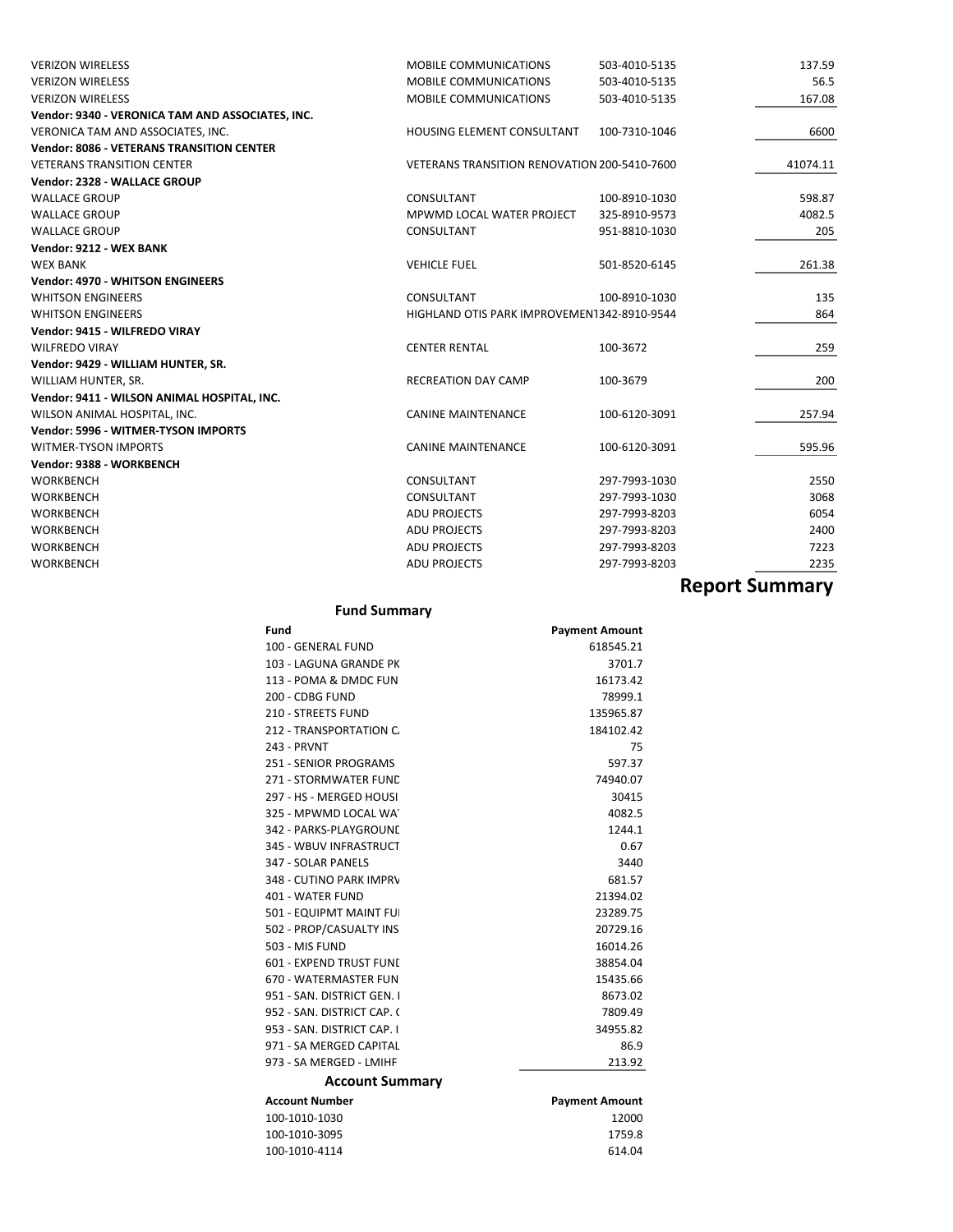| <b>VERIZON WIRELESS</b>                          | <b>MOBILE COMMUNICATIONS</b>                 | 503-4010-5135 | 137.59                |
|--------------------------------------------------|----------------------------------------------|---------------|-----------------------|
| <b>VERIZON WIRELESS</b>                          | MOBILE COMMUNICATIONS                        | 503-4010-5135 | 56.5                  |
| <b>VERIZON WIRELESS</b>                          | <b>MOBILE COMMUNICATIONS</b>                 | 503-4010-5135 | 167.08                |
| Vendor: 9340 - VERONICA TAM AND ASSOCIATES, INC. |                                              |               |                       |
| VERONICA TAM AND ASSOCIATES, INC.                | <b>HOUSING ELEMENT CONSULTANT</b>            | 100-7310-1046 | 6600                  |
| <b>Vendor: 8086 - VETERANS TRANSITION CENTER</b> |                                              |               |                       |
| <b>VETERANS TRANSITION CENTER</b>                | VETERANS TRANSITION RENOVATION 200-5410-7600 |               | 41074.11              |
| Vendor: 2328 - WALLACE GROUP                     |                                              |               |                       |
| <b>WALLACE GROUP</b>                             | CONSULTANT                                   | 100-8910-1030 | 598.87                |
| <b>WALLACE GROUP</b>                             | MPWMD LOCAL WATER PROJECT                    | 325-8910-9573 | 4082.5                |
| <b>WALLACE GROUP</b>                             | CONSULTANT                                   | 951-8810-1030 | 205                   |
| Vendor: 9212 - WEX BANK                          |                                              |               |                       |
| <b>WEX BANK</b>                                  | <b>VEHICLE FUEL</b>                          | 501-8520-6145 | 261.38                |
| <b>Vendor: 4970 - WHITSON ENGINEERS</b>          |                                              |               |                       |
| <b>WHITSON ENGINEERS</b>                         | CONSULTANT                                   | 100-8910-1030 | 135                   |
| <b>WHITSON ENGINEERS</b>                         | HIGHLAND OTIS PARK IMPROVEMEN1342-8910-9544  |               | 864                   |
| Vendor: 9415 - WILFREDO VIRAY                    |                                              |               |                       |
| <b>WILFREDO VIRAY</b>                            | <b>CENTER RENTAL</b>                         | 100-3672      | 259                   |
| Vendor: 9429 - WILLIAM HUNTER, SR.               |                                              |               |                       |
| WILLIAM HUNTER, SR.                              | <b>RECREATION DAY CAMP</b>                   | 100-3679      | 200                   |
| Vendor: 9411 - WILSON ANIMAL HOSPITAL, INC.      |                                              |               |                       |
| WILSON ANIMAL HOSPITAL, INC.                     | <b>CANINE MAINTENANCE</b>                    | 100-6120-3091 | 257.94                |
| Vendor: 5996 - WITMER-TYSON IMPORTS              |                                              |               |                       |
| WITMER-TYSON IMPORTS                             | <b>CANINE MAINTENANCE</b>                    | 100-6120-3091 | 595.96                |
| Vendor: 9388 - WORKBENCH                         |                                              |               |                       |
| <b>WORKBENCH</b>                                 | CONSULTANT                                   | 297-7993-1030 | 2550                  |
| <b>WORKBENCH</b>                                 | CONSULTANT                                   | 297-7993-1030 | 3068                  |
| WORKBENCH                                        | <b>ADU PROJECTS</b>                          | 297-7993-8203 | 6054                  |
| <b>WORKBENCH</b>                                 | <b>ADU PROJECTS</b>                          | 297-7993-8203 | 2400                  |
| <b>WORKBENCH</b>                                 | <b>ADU PROJECTS</b>                          | 297-7993-8203 | 7223                  |
| <b>WORKBENCH</b>                                 | <b>ADU PROJECTS</b>                          | 297-7993-8203 | 2235                  |
|                                                  |                                              |               | <b>Report Summary</b> |
|                                                  |                                              |               |                       |

**Fund Summary**

| Fund                       | <b>Payment Amount</b> |
|----------------------------|-----------------------|
| 100 - GENERAL FUND         | 618545.21             |
| 103 - LAGUNA GRANDE PK     | 3701.7                |
| 113 - POMA & DMDC FUN      | 16173.42              |
| 200 - CDBG FUND            | 78999.1               |
| 210 - STREETS FUND         | 135965.87             |
| 212 - TRANSPORTATION C     | 184102.42             |
| 243 - PRVNT                | 75                    |
| 251 - SENIOR PROGRAMS      | 597.37                |
| 271 - STORMWATER FUND      | 74940.07              |
| 297 - HS - MERGED HOUSI    | 30415                 |
| 325 - MPWMD LOCAL WAT      | 4082.5                |
| 342 - PARKS-PLAYGROUNE     | 1244.1                |
| 345 - WBUV INFRASTRUCT     | 0.67                  |
| 347 - SOLAR PANELS         | 3440                  |
| 348 - CUTINO PARK IMPRV    | 681.57                |
| 401 - WATER FUND           | 21394.02              |
| 501 - EQUIPMT MAINT FUI    | 23289.75              |
| 502 - PROP/CASUALTY INS    | 20729.16              |
| 503 - MIS FUND             | 16014.26              |
| 601 - EXPEND TRUST FUND    | 38854.04              |
| 670 - WATERMASTER FUN      | 15435.66              |
| 951 - SAN. DISTRICT GEN. I | 8673.02               |
| 952 - SAN, DISTRICT CAP, C | 7809.49               |
| 953 - SAN, DISTRICT CAP, I | 34955.82              |
| 971 - SA MERGED CAPITAL    | 86.9                  |
| 973 - SA MERGED - LMIHF    | 213.92                |
| <b>Account Summary</b>     |                       |

| Account Number | <b>Payment Amount</b> |
|----------------|-----------------------|
| 100-1010-1030  | 12000                 |
| 100-1010-3095  | 1759.8                |
| 100-1010-4114  | 614.04                |
|                |                       |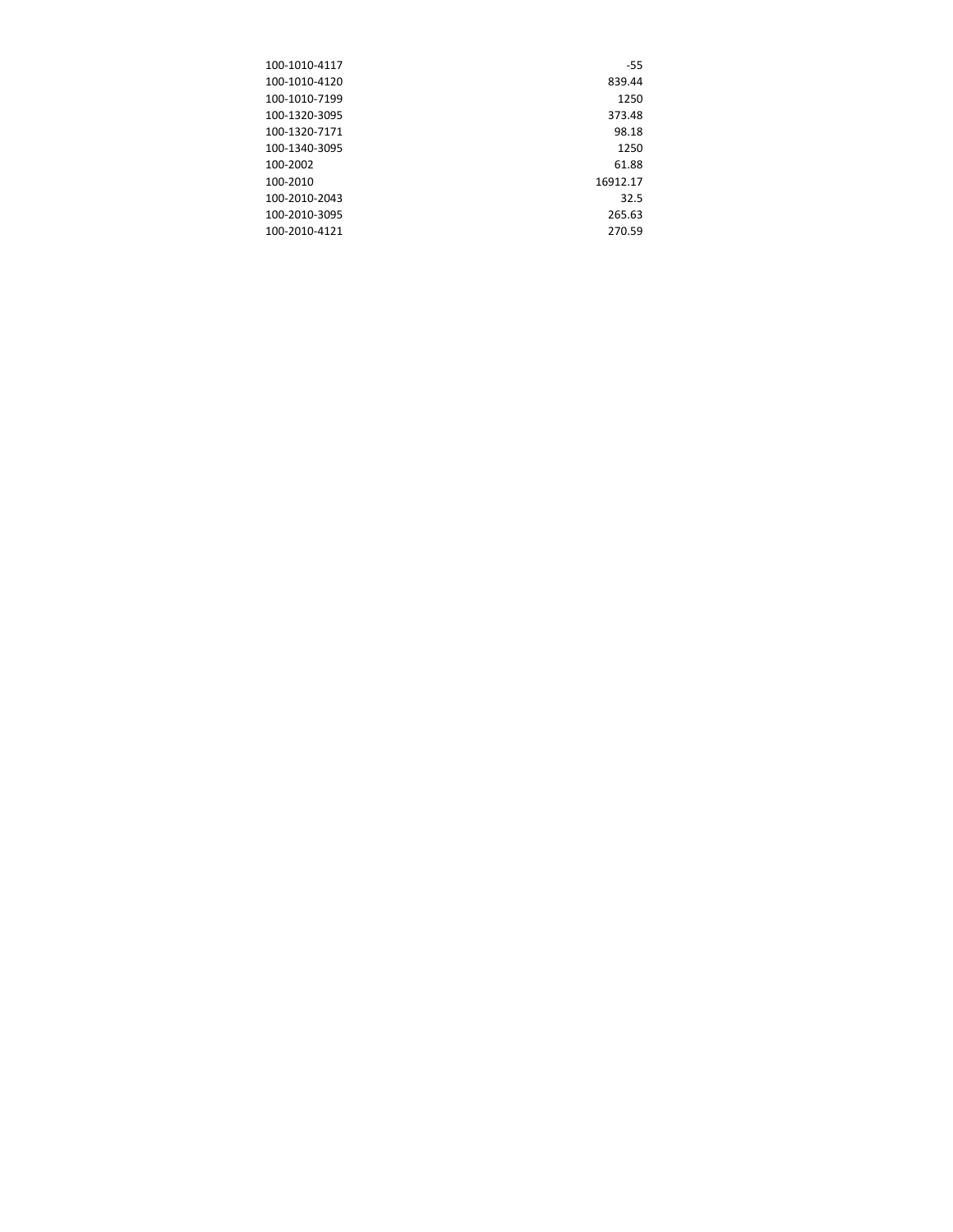| $-55$    |
|----------|
| 839.44   |
| 1250     |
| 373.48   |
| 98.18    |
| 1250     |
| 61.88    |
| 16912.17 |
| 32.5     |
| 265.63   |
| 270.59   |
|          |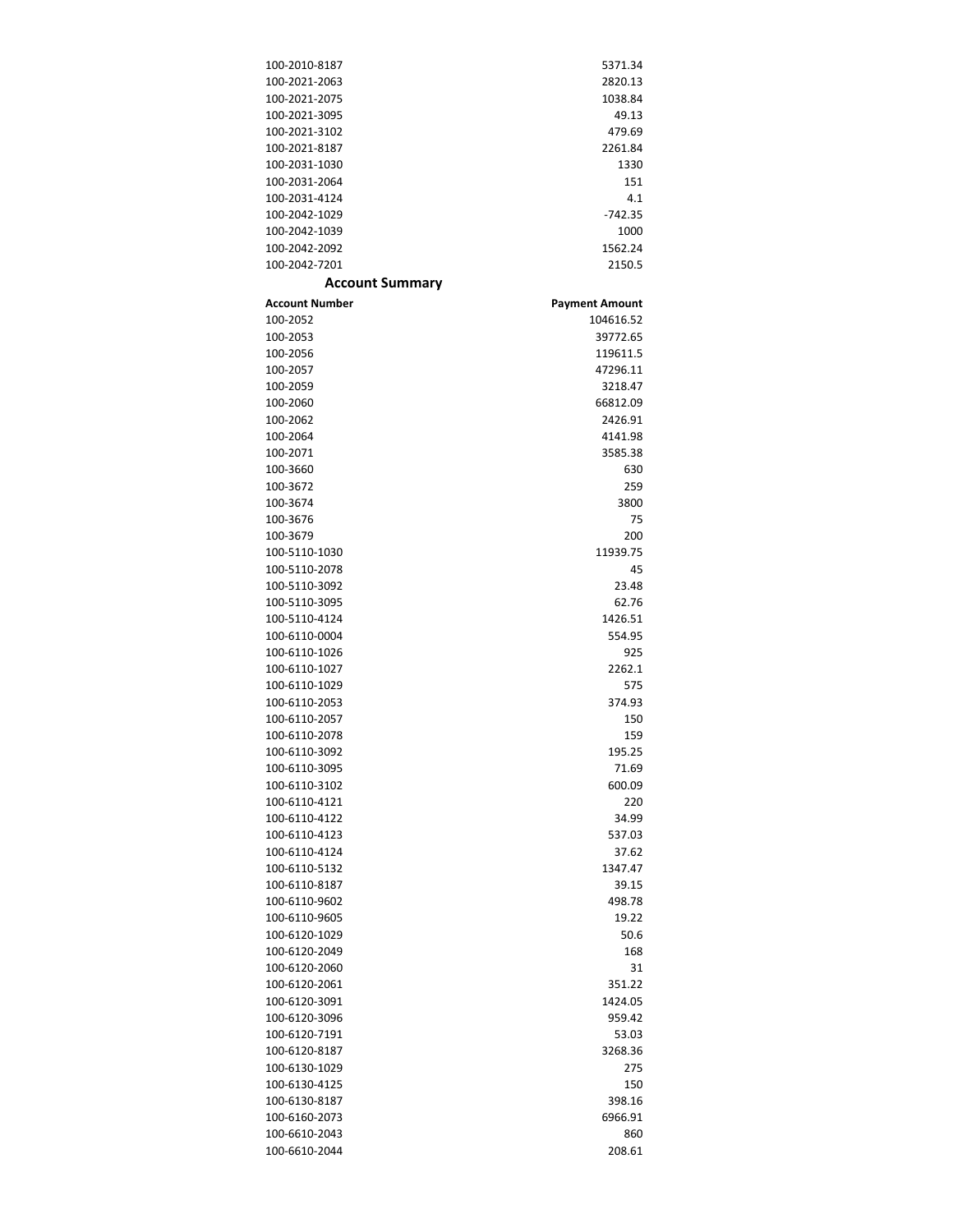| 100-2010-8187                  | 5371.34               |
|--------------------------------|-----------------------|
| 100-2021-2063                  | 2820.13               |
| 100-2021-2075                  | 1038.84               |
| 100-2021-3095                  | 49.13                 |
| 100-2021-3102                  | 479.69                |
| 100-2021-8187                  | 2261.84               |
| 100-2031-1030                  | 1330                  |
| 100-2031-2064                  | 151                   |
| 100-2031-4124                  | 4.1                   |
| 100-2042-1029                  | $-742.35$             |
| 100-2042-1039                  | 1000                  |
| 100-2042-2092                  | 1562.24               |
| 100-2042-7201                  | 2150.5                |
| <b>Account Summary</b>         |                       |
| <b>Account Number</b>          | <b>Payment Amount</b> |
| 100-2052                       | 104616.52             |
| 100-2053                       | 39772.65              |
| 100-2056                       | 119611.5              |
| 100-2057                       | 47296.11              |
| 100-2059                       | 3218.47               |
| 100-2060                       | 66812.09              |
| 100-2062                       | 2426.91               |
| 100-2064                       | 4141.98               |
| 100-2071                       | 3585.38               |
|                                |                       |
| 100-3660                       | 630                   |
| 100-3672<br>100-3674           | 259                   |
|                                | 3800                  |
| 100-3676                       | 75                    |
| 100-3679                       | 200                   |
| 100-5110-1030                  | 11939.75              |
| 100-5110-2078                  | 45                    |
| 100-5110-3092<br>100-5110-3095 | 23.48<br>62.76        |
| 100-5110-4124                  |                       |
| 100-6110-0004                  | 1426.51               |
| 100-6110-1026                  | 554.95<br>925         |
| 100-6110-1027                  | 2262.1                |
| 100-6110-1029                  | 575                   |
| 100-6110-2053                  | 374.93                |
| 100-6110-2057                  | 150                   |
| 100-6110-2078                  | 159                   |
|                                | 195.25                |
| 100-6110-3092                  |                       |
| 100-6110-3095<br>100-6110-3102 | 71.69<br>600.09       |
| 100-6110-4121                  | 220                   |
| 100-6110-4122                  | 34.99                 |
| 100-6110-4123                  | 537.03                |
| 100-6110-4124                  | 37.62                 |
| 100-6110-5132                  | 1347.47               |
| 100-6110-8187                  | 39.15                 |
| 100-6110-9602                  | 498.78                |
| 100-6110-9605                  | 19.22                 |
| 100-6120-1029                  | 50.6                  |
| 100-6120-2049                  | 168                   |
| 100-6120-2060                  | 31                    |
| 100-6120-2061                  |                       |
| 100-6120-3091                  | 351.22<br>1424.05     |
|                                |                       |
| 100-6120-3096                  | 959.42                |
| 100-6120-7191                  | 53.03                 |
| 100-6120-8187                  | 3268.36               |
| 100-6130-1029                  | 275                   |
| 100-6130-4125                  | 150                   |
| 100-6130-8187                  | 398.16                |
| 100-6160-2073                  | 6966.91               |
| 100-6610-2043                  | 860                   |
| 100-6610-2044                  | 208.61                |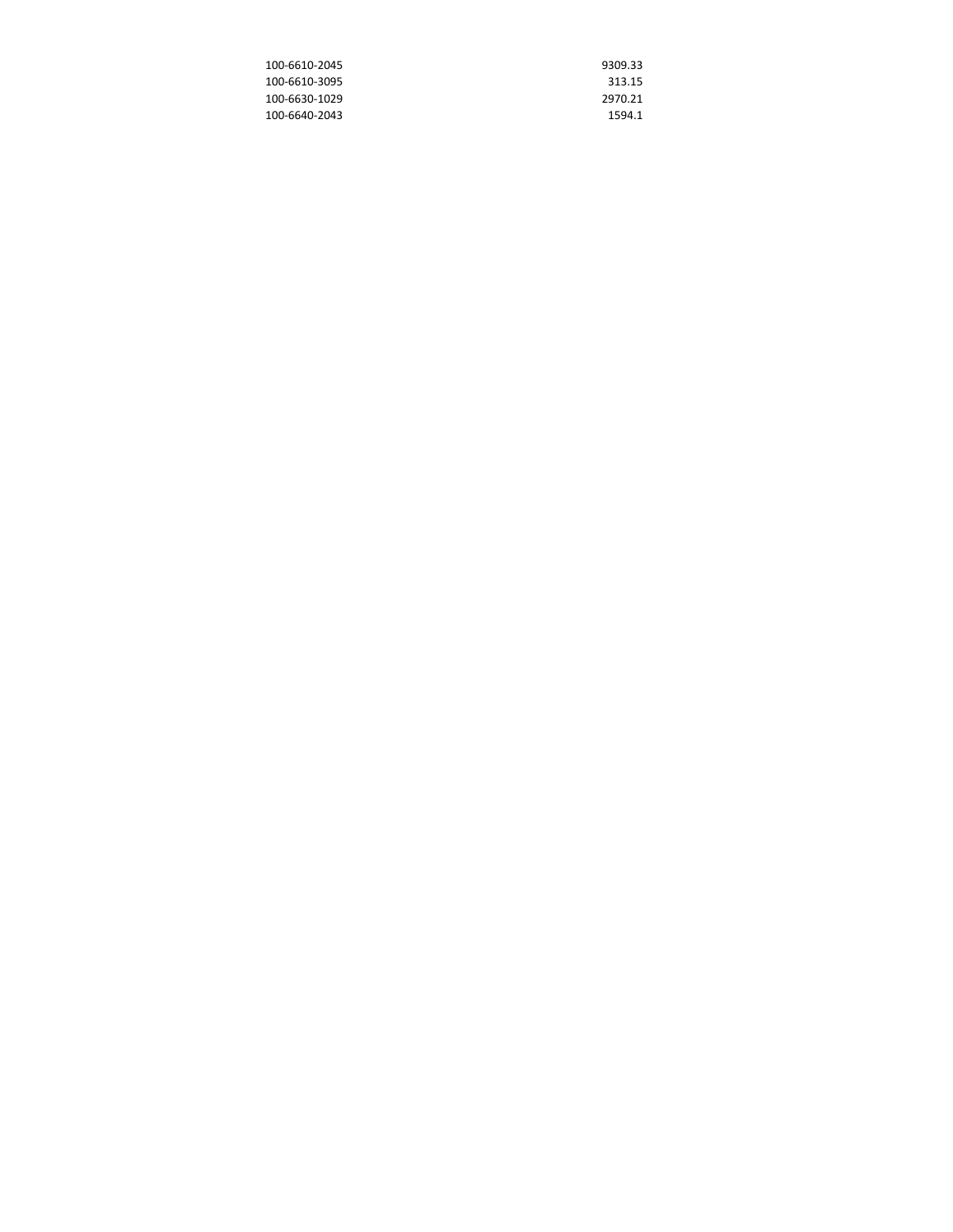| 100-6610-2045 | 9309.33 |
|---------------|---------|
| 100-6610-3095 | 313.15  |
| 100-6630-1029 | 2970.21 |
| 100-6640-2043 | 1594.1  |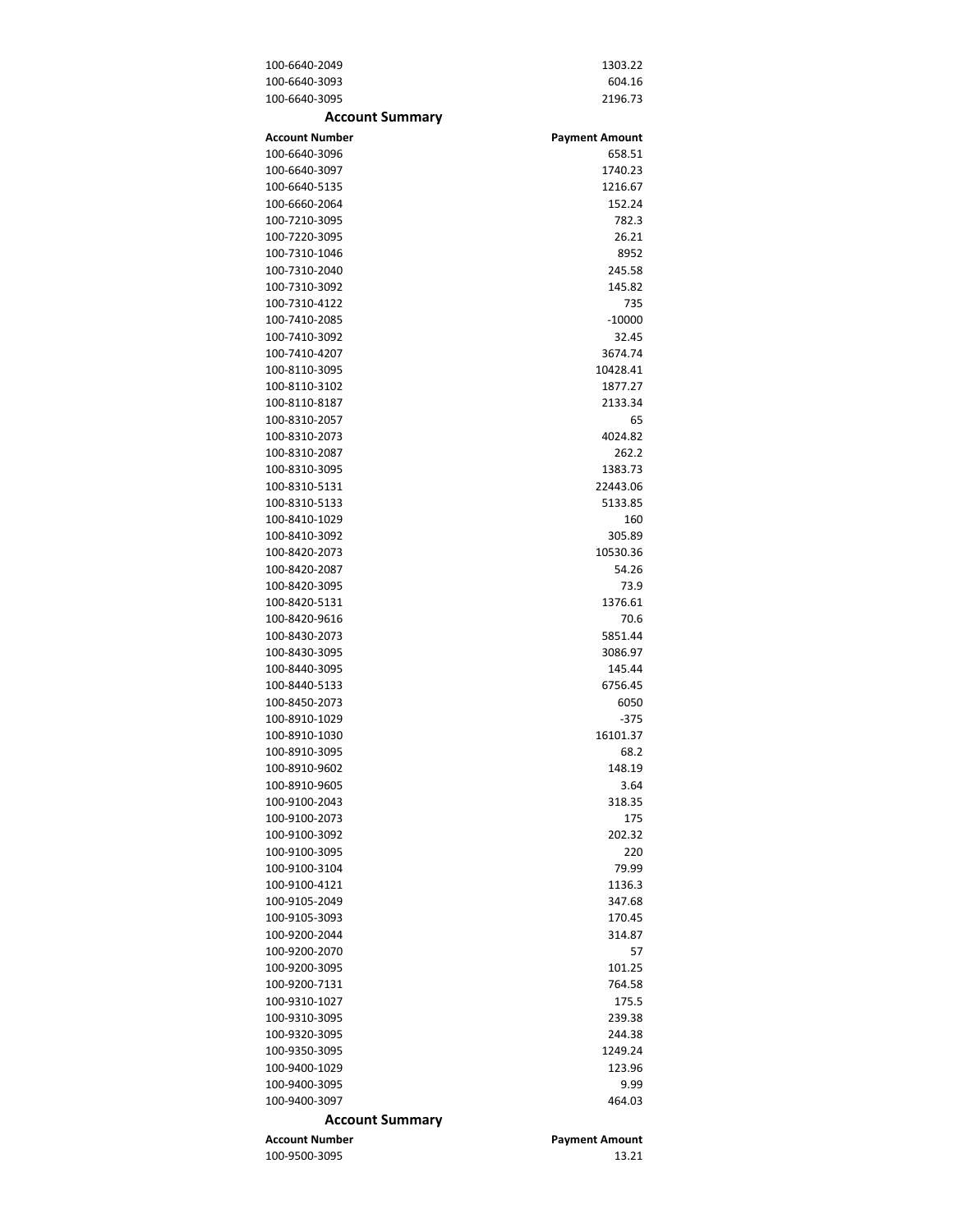| 100-6640-2049          | 1303.22               |
|------------------------|-----------------------|
| 100-6640-3093          | 604.16                |
| 100-6640-3095          | 2196.73               |
| <b>Account Summary</b> |                       |
| <b>Account Number</b>  | <b>Payment Amount</b> |
| 100-6640-3096          | 658.51                |
| 100-6640-3097          | 1740.23               |
| 100-6640-5135          | 1216.67               |
| 100-6660-2064          | 152.24                |
| 100-7210-3095          | 782.3                 |
| 100-7220-3095          | 26.21                 |
| 100-7310-1046          | 8952                  |
| 100-7310-2040          | 245.58                |
| 100-7310-3092          | 145.82                |
| 100-7310-4122          | 735                   |
| 100-7410-2085          | $-10000$              |
| 100-7410-3092          | 32.45                 |
| 100-7410-4207          | 3674.74               |
| 100-8110-3095          | 10428.41              |
| 100-8110-3102          | 1877.27               |
| 100-8110-8187          | 2133.34               |
| 100-8310-2057          | 65                    |
| 100-8310-2073          | 4024.82               |
| 100-8310-2087          | 262.2                 |
| 100-8310-3095          | 1383.73               |
| 100-8310-5131          | 22443.06              |
| 100-8310-5133          | 5133.85               |
| 100-8410-1029          |                       |
| 100-8410-3092          | 160<br>305.89         |
| 100-8420-2073          | 10530.36              |
| 100-8420-2087          | 54.26                 |
| 100-8420-3095          | 73.9                  |
| 100-8420-5131          | 1376.61               |
| 100-8420-9616          | 70.6                  |
| 100-8430-2073          | 5851.44               |
| 100-8430-3095          | 3086.97               |
| 100-8440-3095          | 145.44                |
| 100-8440-5133          | 6756.45               |
| 100-8450-2073          | 6050                  |
| 100-8910-1029          | $-375$                |
| 100-8910-1030          | 16101.37              |
| 100-8910-3095          | 68.2                  |
| 100-8910-9602          | 148.19                |
| 100-8910-9605          | 3.64                  |
| 100-9100-2043          | 318.35                |
| 100-9100-2073          | 175                   |
| 100-9100-3092          | 202.32                |
| 100-9100-3095          | 220                   |
|                        |                       |
| 100-9100-3104          | 79.99                 |
| 100-9100-4121          | 1136.3                |
| 100-9105-2049          | 347.68                |
| 100-9105-3093          | 170.45                |
| 100-9200-2044          | 314.87                |
| 100-9200-2070          | 57                    |
| 100-9200-3095          | 101.25                |
| 100-9200-7131          | 764.58                |
| 100-9310-1027          | 175.5                 |
| 100-9310-3095          | 239.38                |
| 100-9320-3095          | 244.38                |
| 100-9350-3095          | 1249.24               |
| 100-9400-1029          | 123.96                |
| 100-9400-3095          | 9.99                  |
| 100-9400-3097          | 464.03                |
| <b>Account Summary</b> |                       |
| <b>Account Number</b>  | <b>Payment Amount</b> |
| 100-9500-3095          | 13.21                 |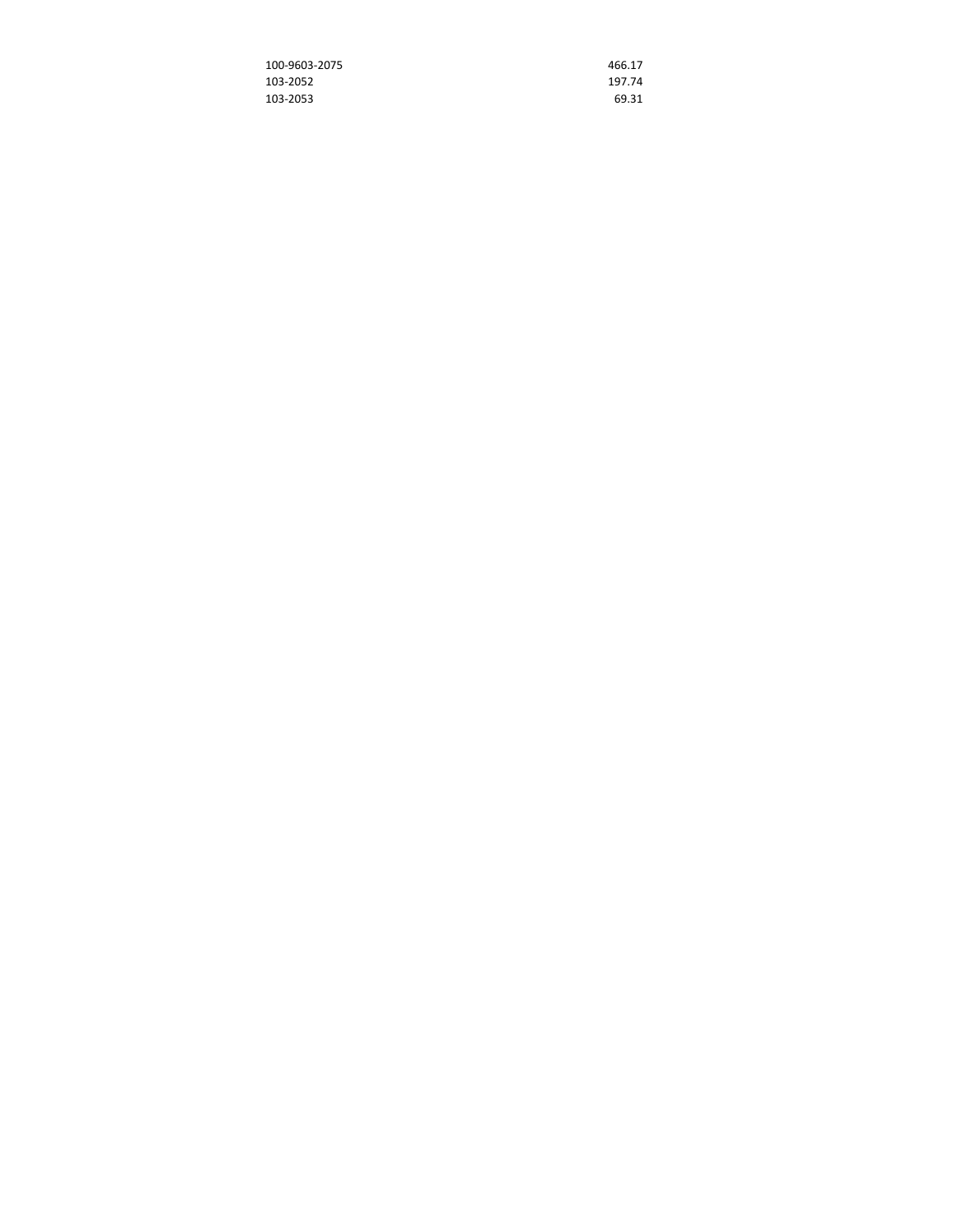| 100-9603-2075 | 466.17 |
|---------------|--------|
| 103-2052      | 197.74 |
| 103-2053      | 69.31  |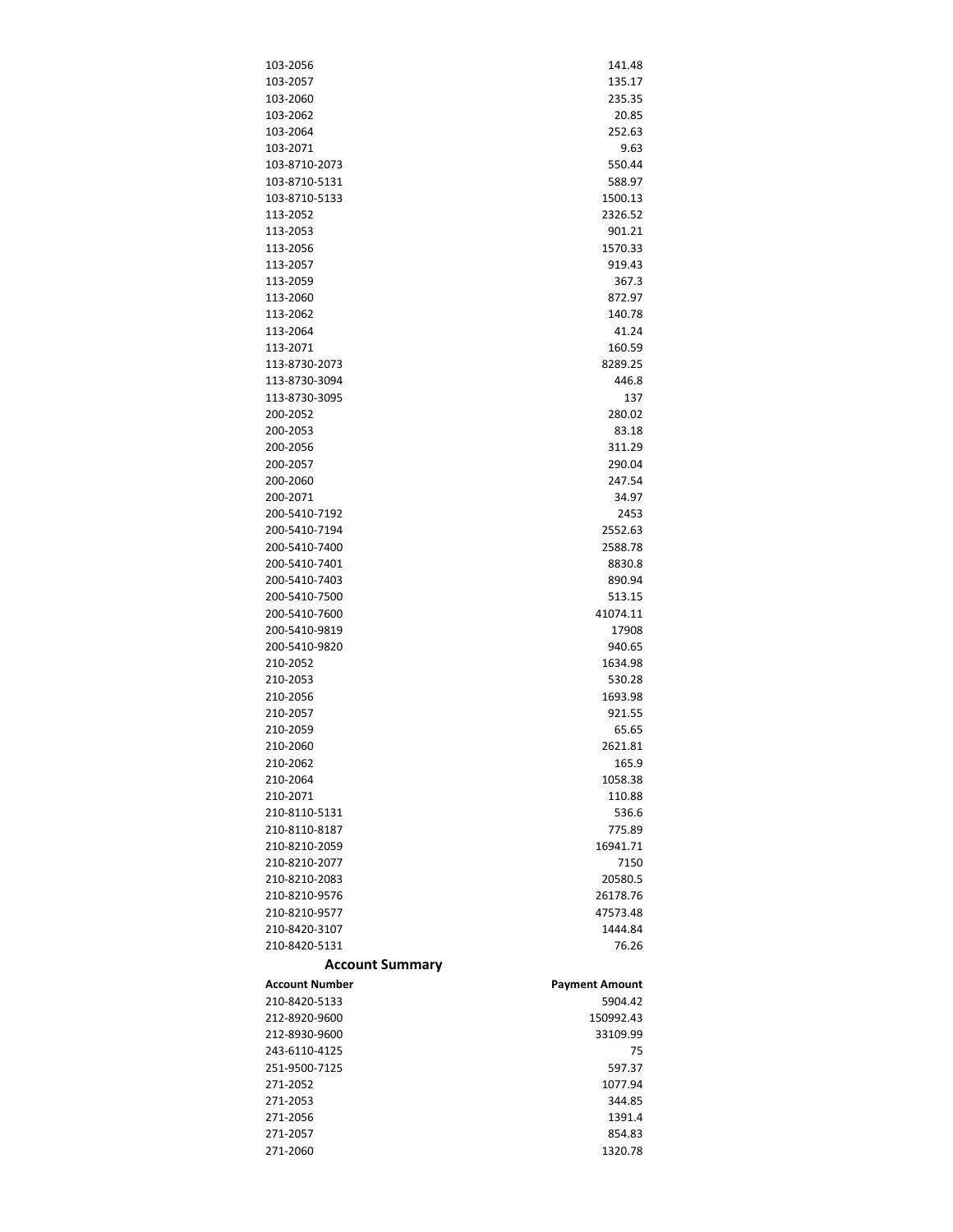| 103-2056                              | 141.48                |
|---------------------------------------|-----------------------|
| 103-2057                              | 135.17                |
| 103-2060                              | 235.35                |
| 103-2062                              | 20.85                 |
| 103-2064                              | 252.63                |
| 103-2071                              | 9.63                  |
| 103-8710-2073                         | 550.44                |
| 103-8710-5131                         | 588.97                |
| 103-8710-5133                         | 1500.13               |
| 113-2052                              | 2326.52               |
| 113-2053                              | 901.21                |
| 113-2056                              | 1570.33               |
| 113-2057                              | 919.43                |
| 113-2059                              | 367.3                 |
| 113-2060                              | 872.97                |
| 113-2062                              | 140.78                |
| 113-2064                              | 41.24                 |
| 113-2071                              | 160.59                |
| 113-8730-2073                         | 8289.25               |
| 113-8730-3094                         | 446.8                 |
| 113-8730-3095                         | 137                   |
| 200-2052                              | 280.02                |
| 200-2053                              | 83.18                 |
| 200-2056                              | 311.29                |
| 200-2057                              | 290.04                |
| 200-2060                              | 247.54                |
| 200-2071                              | 34.97                 |
| 200-5410-7192                         | 2453                  |
| 200-5410-7194                         | 2552.63               |
| 200-5410-7400                         | 2588.78               |
| 200-5410-7401                         | 8830.8                |
| 200-5410-7403                         | 890.94                |
| 200-5410-7500                         | 513.15                |
|                                       |                       |
|                                       |                       |
| 200-5410-7600                         | 41074.11              |
| 200-5410-9819                         | 17908                 |
| 200-5410-9820                         | 940.65                |
| 210-2052                              | 1634.98               |
| 210-2053                              | 530.28                |
| 210-2056                              | 1693.98               |
| 210-2057                              | 921.55                |
| 210-2059                              | 65.65                 |
| 210-2060                              | 2621.81               |
| 210-2062                              | 165.9                 |
| 210-2064                              | 1058.38               |
| 210-2071                              | 110.88                |
| 210-8110-5131                         | 536.6                 |
| 210-8110-8187                         | 775.89                |
| 210-8210-2059                         | 16941.71              |
| 210-8210-2077                         | 7150                  |
| 210-8210-2083                         | 20580.5               |
| 210-8210-9576                         | 26178.76              |
| 210-8210-9577                         | 47573.48              |
| 210-8420-3107                         | 1444.84               |
| 210-8420-5131                         | 76.26                 |
| <b>Account Summary</b>                |                       |
| Account Number                        | <b>Payment Amount</b> |
| 210-8420-5133                         | 5904.42               |
| 212-8920-9600                         | 150992.43             |
| 212-8930-9600                         | 33109.99              |
| 243-6110-4125                         | 75                    |
|                                       | 597.37                |
|                                       | 1077.94               |
| 251-9500-7125<br>271-2052<br>271-2053 | 344.85                |
|                                       | 1391.4                |
|                                       | 854.83                |
| 271-2056<br>271-2057<br>271-2060      | 1320.78               |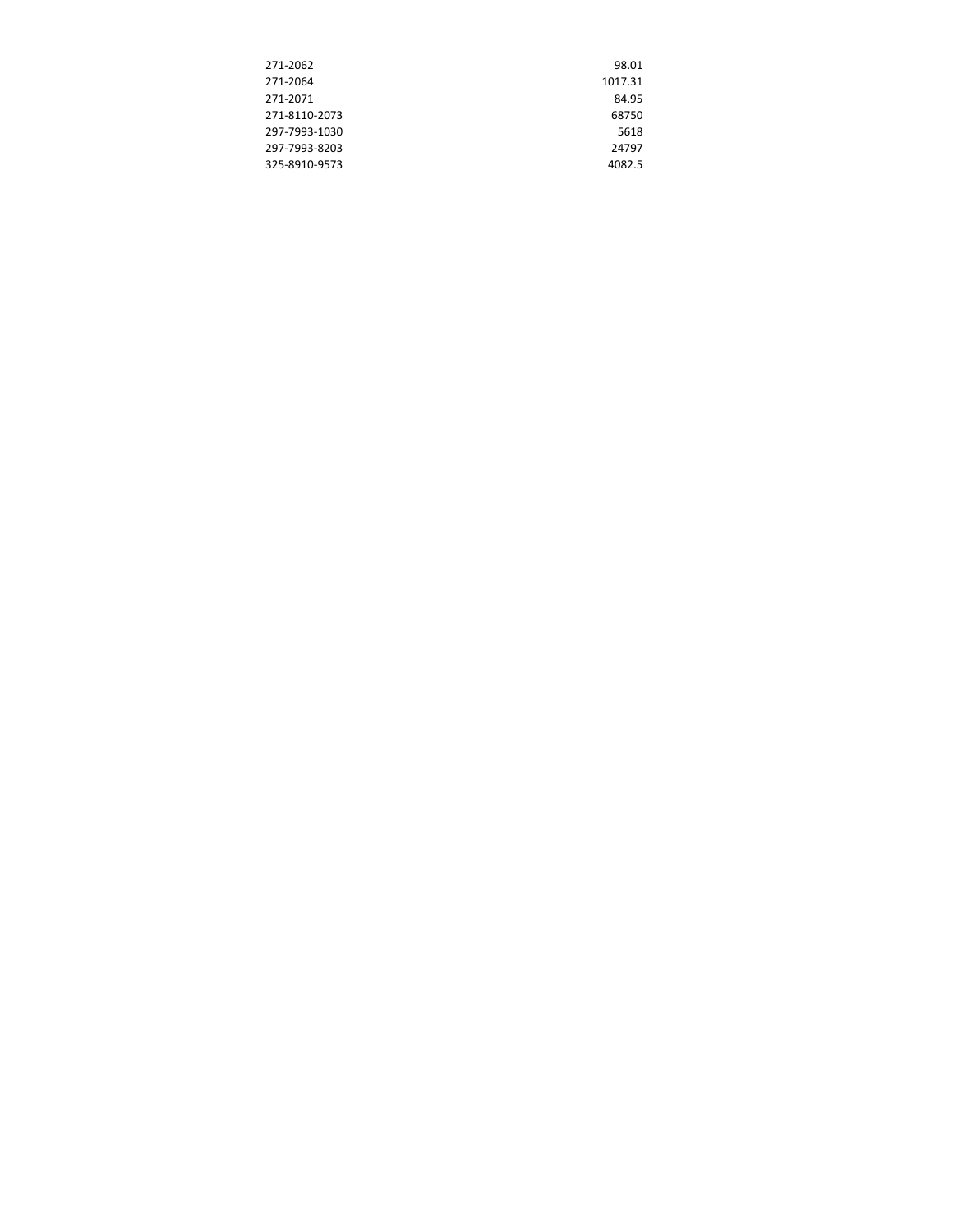| 271-2062      | 98.01   |
|---------------|---------|
| 271-2064      | 1017.31 |
| 271-2071      | 84.95   |
| 271-8110-2073 | 68750   |
| 297-7993-1030 | 5618    |
| 297-7993-8203 | 24797   |
| 325-8910-9573 | 4082.5  |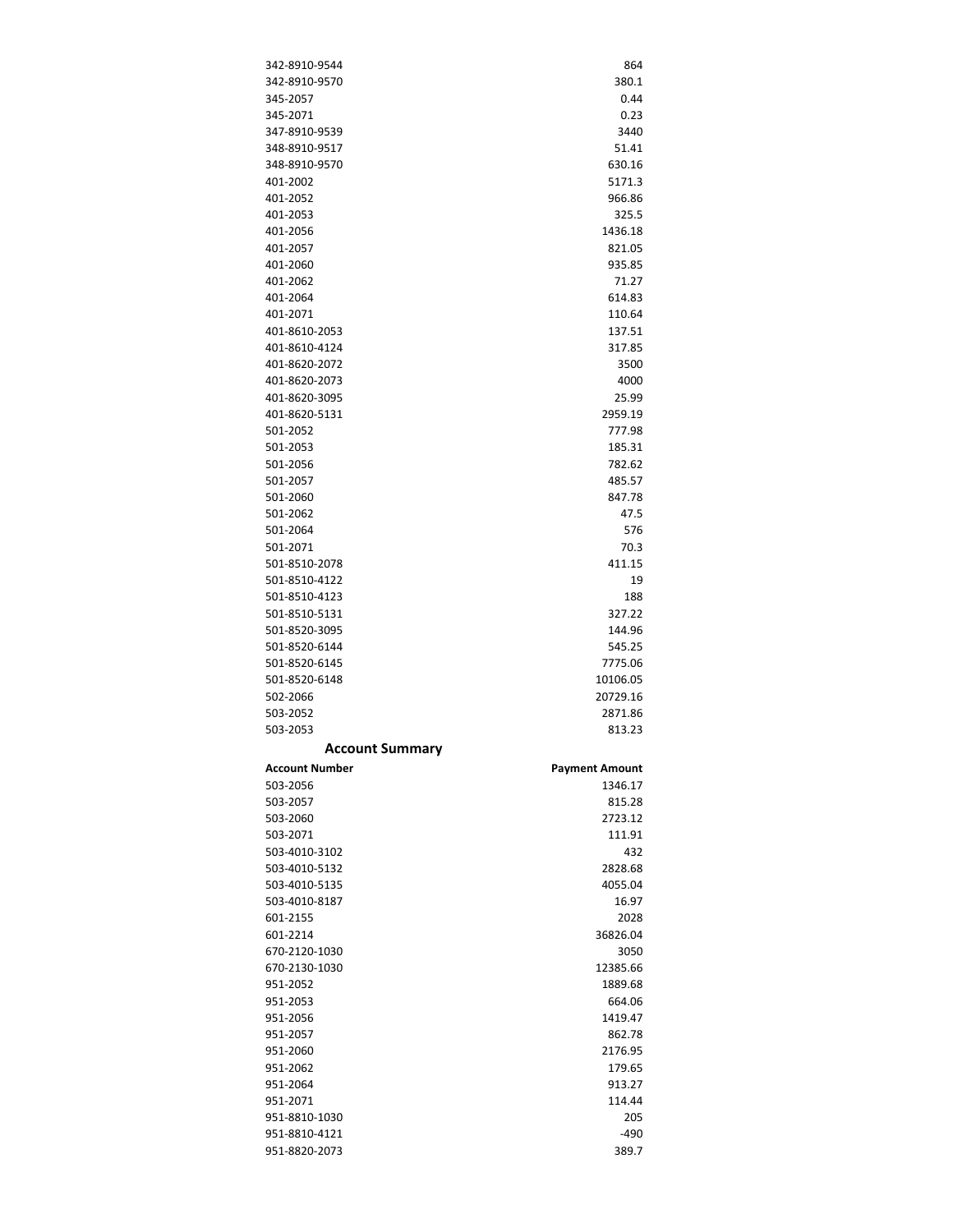| 342-8910-9544<br>342-8910-9570 |                       |
|--------------------------------|-----------------------|
|                                | 864                   |
|                                | 380.1                 |
| 345-2057                       | 0.44                  |
| 345-2071                       | 0.23                  |
| 347-8910-9539                  | 3440                  |
| 348-8910-9517                  | 51.41                 |
|                                |                       |
| 348-8910-9570                  | 630.16                |
| 401-2002                       | 5171.3                |
| 401-2052                       | 966.86                |
| 401-2053                       | 325.5                 |
| 401-2056                       | 1436.18               |
| 401-2057                       | 821.05                |
| 401-2060                       | 935.85                |
| 401-2062                       | 71.27                 |
|                                |                       |
| 401-2064                       | 614.83                |
| 401-2071                       | 110.64                |
| 401-8610-2053                  | 137.51                |
| 401-8610-4124                  | 317.85                |
| 401-8620-2072                  | 3500                  |
| 401-8620-2073                  | 4000                  |
| 401-8620-3095                  | 25.99                 |
| 401-8620-5131                  | 2959.19               |
|                                |                       |
| 501-2052                       | 777.98                |
| 501-2053                       | 185.31                |
| 501-2056                       | 782.62                |
| 501-2057                       | 485.57                |
| 501-2060                       | 847.78                |
| 501-2062                       | 47.5                  |
| 501-2064                       | 576                   |
| 501-2071                       | 70.3                  |
| 501-8510-2078                  | 411.15                |
|                                |                       |
| 501-8510-4122                  | 19                    |
| 501-8510-4123                  | 188                   |
| 501-8510-5131                  | 327.22                |
| 501-8520-3095                  | 144.96                |
| 501-8520-6144                  | 545.25                |
|                                |                       |
| 501-8520-6145                  | 7775.06               |
|                                |                       |
| 501-8520-6148                  | 10106.05              |
| 502-2066                       | 20729.16              |
| 503-2052                       | 2871.86               |
| 503-2053                       | 813.23                |
| <b>Account Summary</b>         |                       |
| Account Number                 | <b>Payment Amount</b> |
| 503-2056                       | 1346.17               |
|                                |                       |
| 503-2057                       | 815.28                |
| 503-2060                       | 2723.12               |
| 503-2071                       | 111.91                |
| 503-4010-3102                  | 432                   |
| 503-4010-5132                  | 2828.68               |
| 503-4010-5135                  | 4055.04               |
| 503-4010-8187                  | 16.97                 |
| 601-2155                       | 2028                  |
|                                |                       |
| 601-2214                       | 36826.04              |
| 670-2120-1030                  | 3050                  |
| 670-2130-1030                  | 12385.66              |
| 951-2052                       | 1889.68               |
| 951-2053                       | 664.06                |
| 951-2056                       | 1419.47               |
| 951-2057                       | 862.78                |
| 951-2060                       | 2176.95               |
| 951-2062                       | 179.65                |
|                                |                       |
| 951-2064                       | 913.27                |
| 951-2071                       | 114.44                |
| 951-8810-1030                  | 205                   |
| 951-8810-4121<br>951-8820-2073 | $-490$<br>389.7       |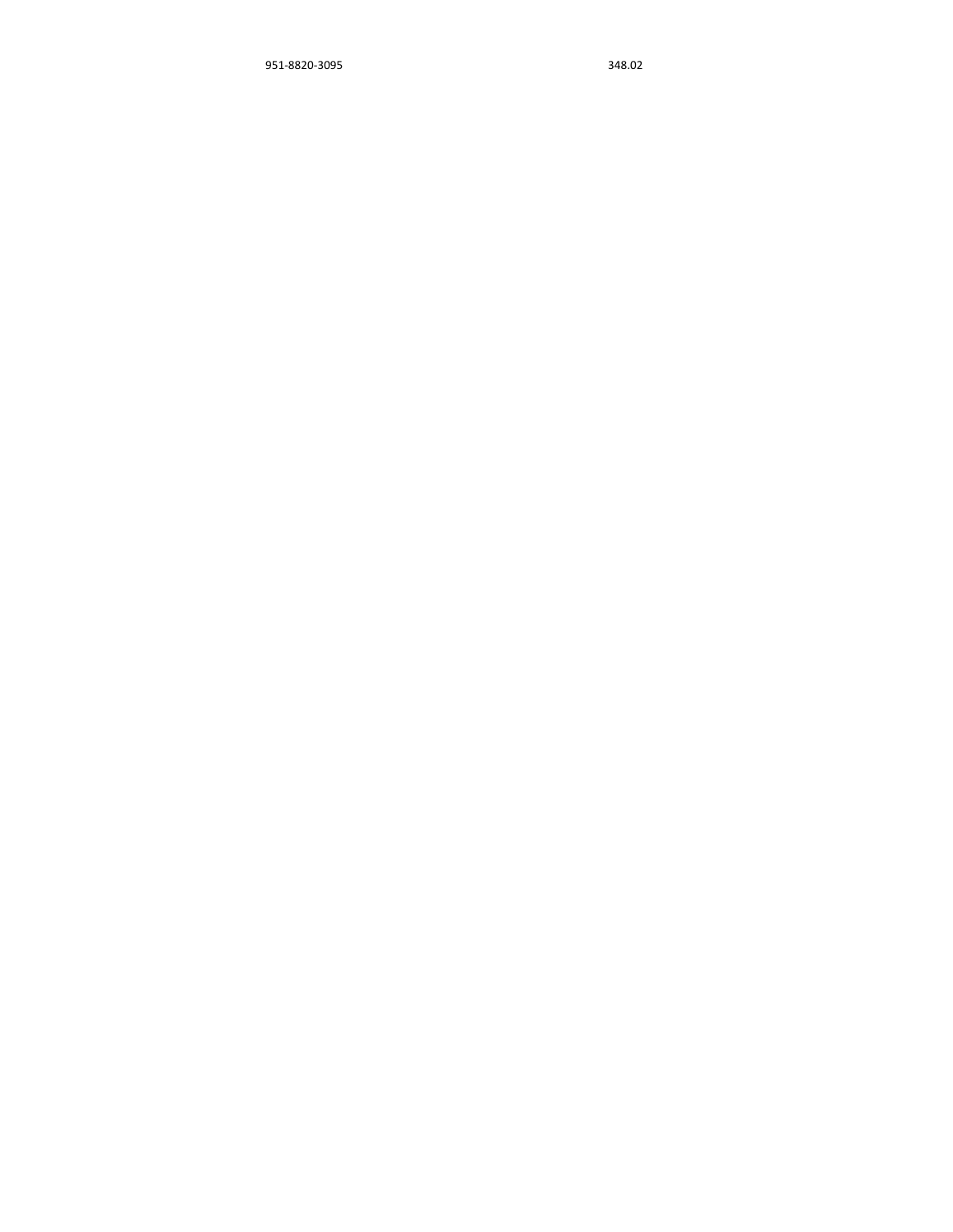‐8820‐3095 348.02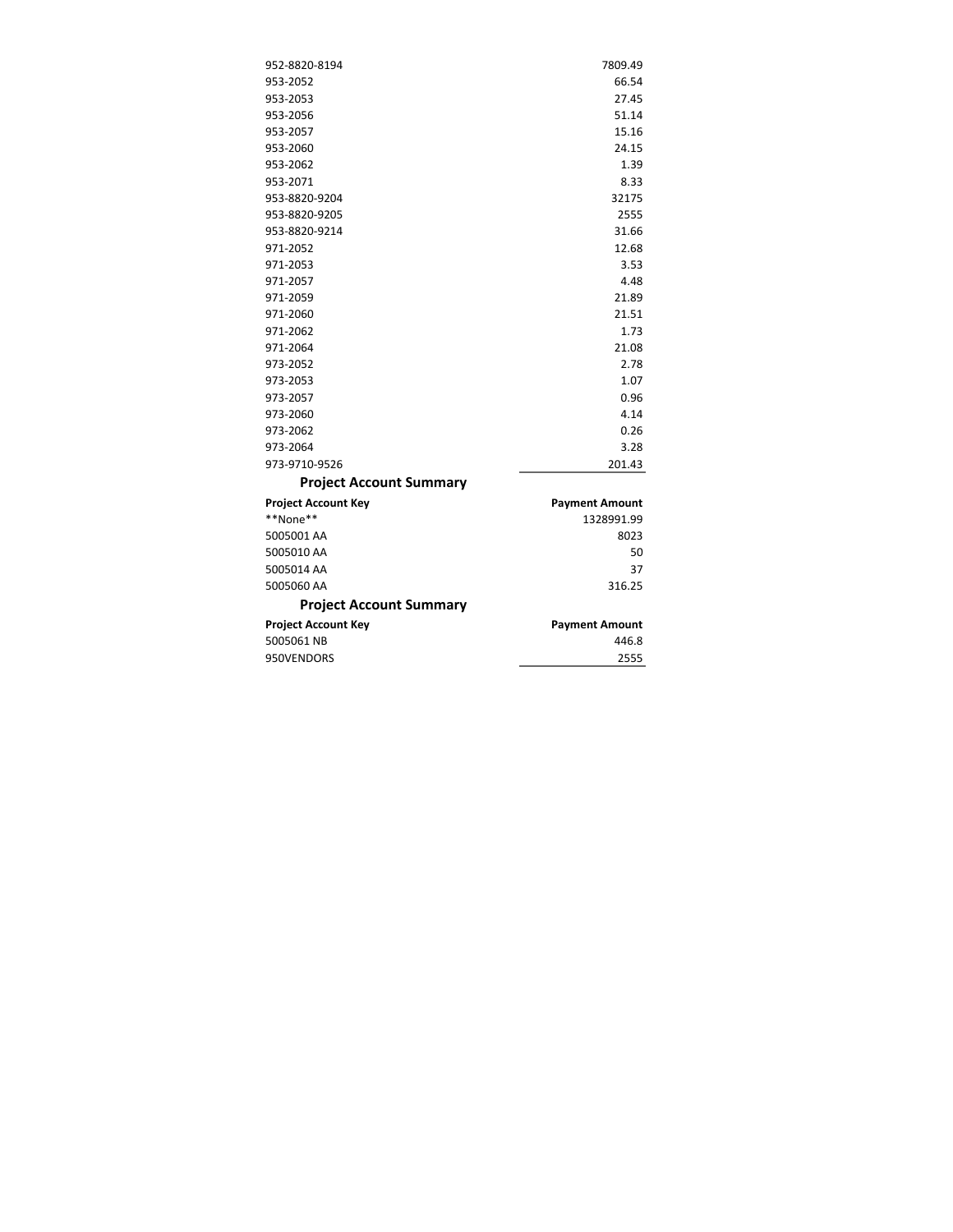| 952-8820-8194                  | 7809.49               |
|--------------------------------|-----------------------|
| 953-2052                       | 66.54                 |
| 953-2053                       | 27.45                 |
| 953-2056                       | 51.14                 |
| 953-2057                       | 15.16                 |
| 953-2060                       | 24.15                 |
| 953-2062                       | 1.39                  |
| 953-2071                       | 8.33                  |
| 953-8820-9204                  | 32175                 |
| 953-8820-9205                  | 2555                  |
| 953-8820-9214                  | 31.66                 |
| 971-2052                       | 12.68                 |
| 971-2053                       | 3.53                  |
| 971-2057                       | 4.48                  |
| 971-2059                       | 21.89                 |
| 971-2060                       | 21.51                 |
| 971-2062                       | 1.73                  |
| 971-2064                       | 21.08                 |
| 973-2052                       | 2.78                  |
| 973-2053                       | 1.07                  |
| 973-2057                       | 0.96                  |
| 973-2060                       | 4.14                  |
| 973-2062                       | 0.26                  |
| 973-2064                       | 3.28                  |
| 973-9710-9526                  | 201.43                |
| <b>Project Account Summary</b> |                       |
| <b>Project Account Key</b>     | <b>Payment Amount</b> |
| **None**                       | 1328991.99            |
| 5005001 AA                     | 8023                  |
| 5005010 AA                     | 50                    |
| 5005014 AA                     | 37                    |
| 5005060 AA                     | 316.25                |
| <b>Project Account Summary</b> |                       |
| <b>Project Account Key</b>     | <b>Payment Amount</b> |
| 5005061 NB                     | 446.8                 |

950VENDORS 2555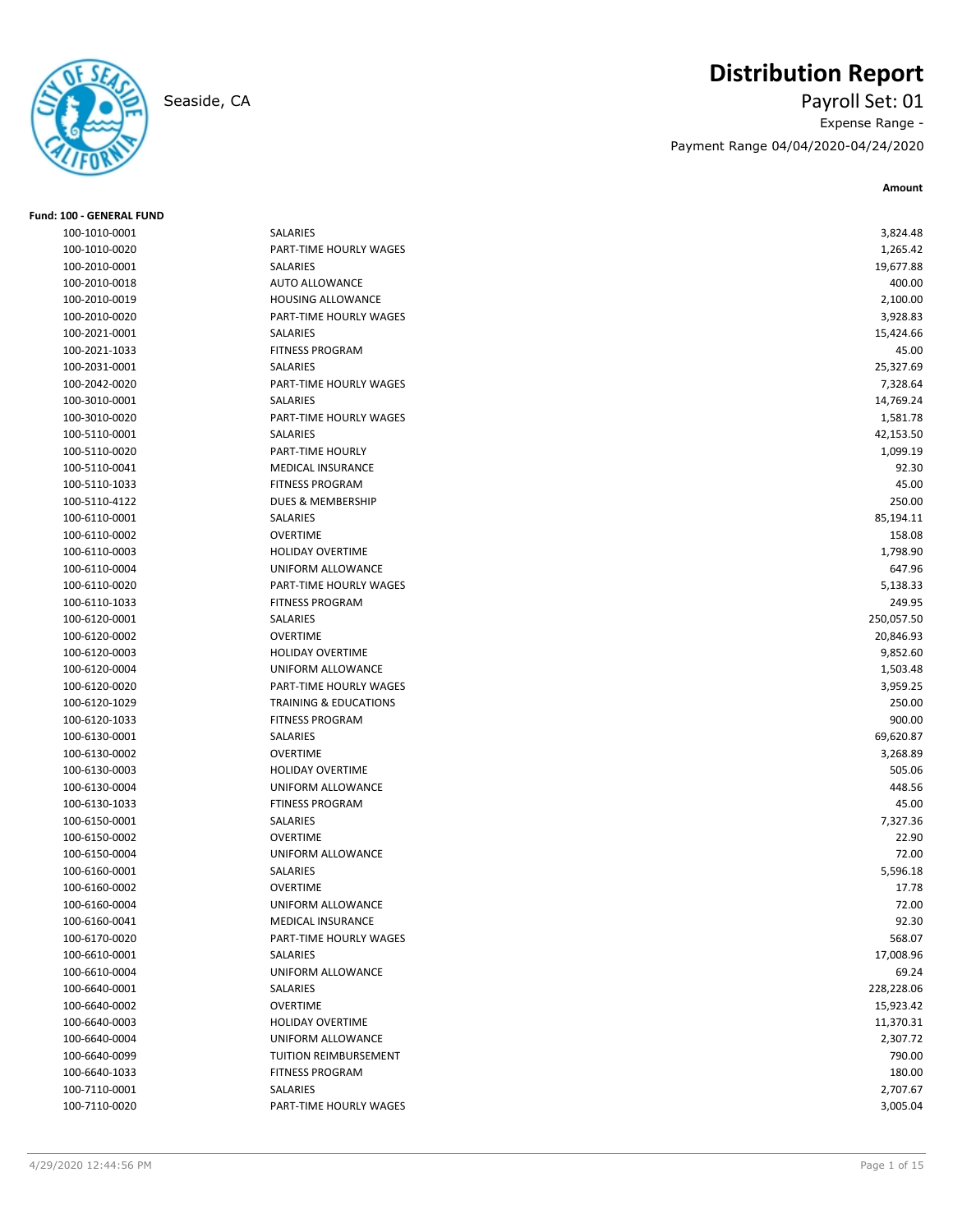

**Fund: 100 - GENERAL FUND**

# **Distribution Report**

Seaside, CA Payroll Set: 01 Expense Range - Payment Range 04/04/2020-04/24/2020

| 100-1010-0001 | SALARIES                         | 3,824.48   |
|---------------|----------------------------------|------------|
| 100-1010-0020 | PART-TIME HOURLY WAGES           | 1,265.42   |
| 100-2010-0001 | <b>SALARIES</b>                  | 19,677.88  |
| 100-2010-0018 | <b>AUTO ALLOWANCE</b>            | 400.00     |
| 100-2010-0019 | HOUSING ALLOWANCE                | 2,100.00   |
| 100-2010-0020 | PART-TIME HOURLY WAGES           | 3,928.83   |
| 100-2021-0001 | SALARIES                         | 15,424.66  |
| 100-2021-1033 | <b>FITNESS PROGRAM</b>           | 45.00      |
| 100-2031-0001 | SALARIES                         | 25,327.69  |
| 100-2042-0020 | PART-TIME HOURLY WAGES           | 7,328.64   |
| 100-3010-0001 | SALARIES                         | 14,769.24  |
| 100-3010-0020 | PART-TIME HOURLY WAGES           | 1,581.78   |
| 100-5110-0001 | <b>SALARIES</b>                  | 42,153.50  |
| 100-5110-0020 | PART-TIME HOURLY                 | 1,099.19   |
| 100-5110-0041 | MEDICAL INSURANCE                | 92.30      |
| 100-5110-1033 | <b>FITNESS PROGRAM</b>           | 45.00      |
| 100-5110-4122 | <b>DUES &amp; MEMBERSHIP</b>     | 250.00     |
| 100-6110-0001 | SALARIES                         | 85,194.11  |
| 100-6110-0002 | <b>OVERTIME</b>                  | 158.08     |
| 100-6110-0003 | <b>HOLIDAY OVERTIME</b>          | 1,798.90   |
| 100-6110-0004 | UNIFORM ALLOWANCE                | 647.96     |
| 100-6110-0020 | PART-TIME HOURLY WAGES           | 5,138.33   |
| 100-6110-1033 | <b>FITNESS PROGRAM</b>           | 249.95     |
| 100-6120-0001 | <b>SALARIES</b>                  | 250,057.50 |
| 100-6120-0002 | <b>OVERTIME</b>                  | 20,846.93  |
| 100-6120-0003 | <b>HOLIDAY OVERTIME</b>          | 9,852.60   |
| 100-6120-0004 | UNIFORM ALLOWANCE                | 1,503.48   |
| 100-6120-0020 | PART-TIME HOURLY WAGES           | 3,959.25   |
| 100-6120-1029 | <b>TRAINING &amp; EDUCATIONS</b> | 250.00     |
| 100-6120-1033 | <b>FITNESS PROGRAM</b>           | 900.00     |
| 100-6130-0001 | SALARIES                         | 69,620.87  |
| 100-6130-0002 | <b>OVERTIME</b>                  | 3,268.89   |
| 100-6130-0003 | <b>HOLIDAY OVERTIME</b>          | 505.06     |
| 100-6130-0004 | UNIFORM ALLOWANCE                | 448.56     |
| 100-6130-1033 | <b>FTINESS PROGRAM</b>           | 45.00      |
| 100-6150-0001 | SALARIES                         | 7,327.36   |
| 100-6150-0002 | <b>OVERTIME</b>                  | 22.90      |
| 100-6150-0004 | UNIFORM ALLOWANCE                | 72.00      |
| 100-6160-0001 | SALARIES                         | 5,596.18   |
| 100-6160-0002 | <b>OVERTIME</b>                  | 17.78      |
| 100-6160-0004 | UNIFORM ALLOWANCE                | 72.00      |
| 100-6160-0041 | MEDICAL INSURANCE                | 92.30      |
| 100-6170-0020 | PART-TIME HOURLY WAGES           | 568.07     |
| 100-6610-0001 | SALARIES                         | 17,008.96  |
| 100-6610-0004 | UNIFORM ALLOWANCE                | 69.24      |
| 100-6640-0001 | SALARIES                         | 228,228.06 |
| 100-6640-0002 | <b>OVERTIME</b>                  | 15,923.42  |
| 100-6640-0003 | <b>HOLIDAY OVERTIME</b>          | 11,370.31  |
| 100-6640-0004 | UNIFORM ALLOWANCE                | 2,307.72   |
| 100-6640-0099 | TUITION REIMBURSEMENT            | 790.00     |
| 100-6640-1033 | <b>FITNESS PROGRAM</b>           | 180.00     |
| 100-7110-0001 | SALARIES                         | 2,707.67   |
|               |                                  |            |
| 100-7110-0020 | PART-TIME HOURLY WAGES           | 3,005.04   |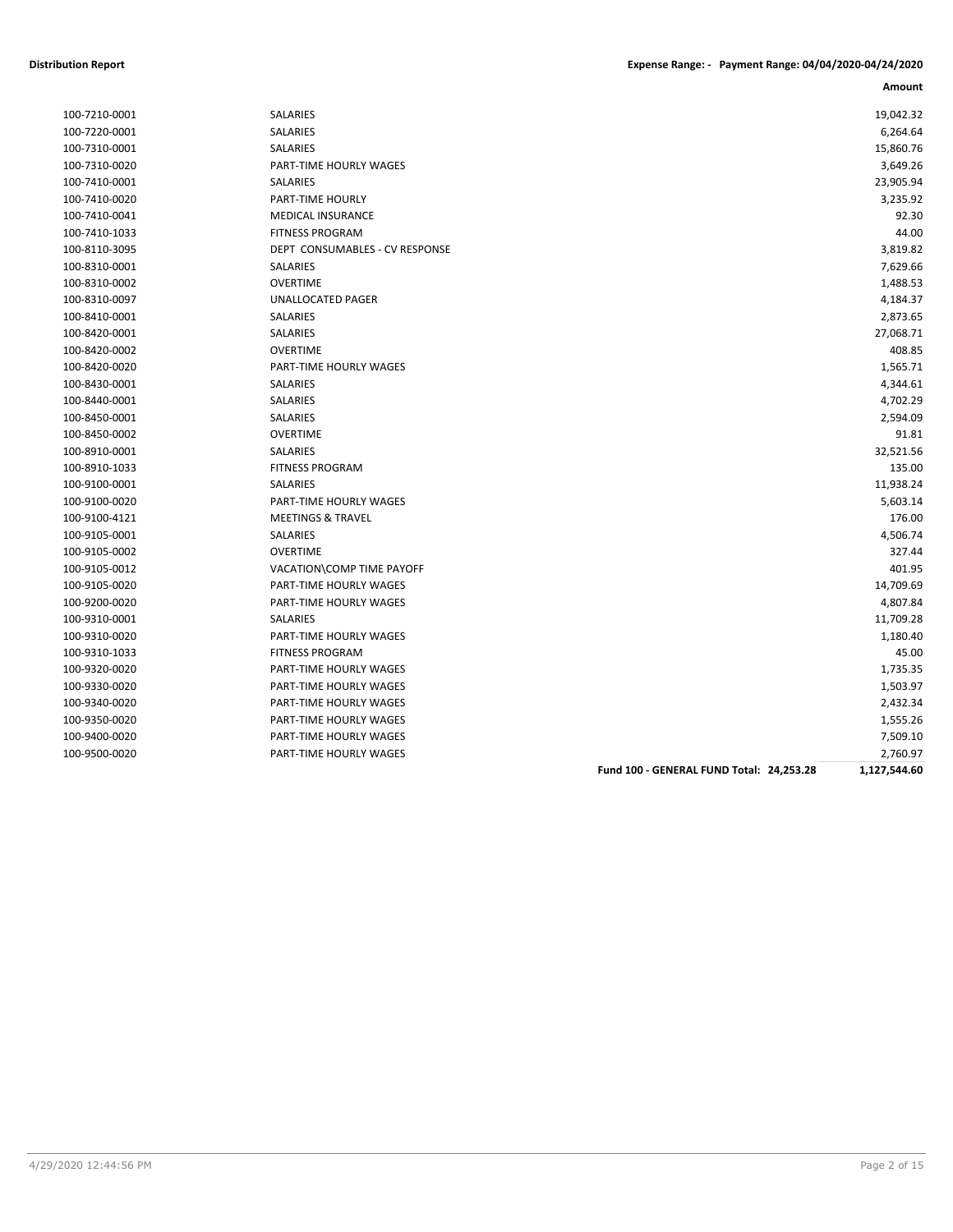| 100-7210-0001 | <b>SALARIES</b>                          | 19,042.32    |
|---------------|------------------------------------------|--------------|
| 100-7220-0001 | SALARIES                                 | 6,264.64     |
| 100-7310-0001 | SALARIES                                 | 15,860.76    |
| 100-7310-0020 | PART-TIME HOURLY WAGES                   | 3,649.26     |
| 100-7410-0001 | <b>SALARIES</b>                          | 23,905.94    |
| 100-7410-0020 | PART-TIME HOURLY                         | 3,235.92     |
| 100-7410-0041 | <b>MEDICAL INSURANCE</b>                 | 92.30        |
| 100-7410-1033 | <b>FITNESS PROGRAM</b>                   | 44.00        |
| 100-8110-3095 | DEPT CONSUMABLES - CV RESPONSE           | 3,819.82     |
| 100-8310-0001 | <b>SALARIES</b>                          | 7,629.66     |
| 100-8310-0002 | <b>OVERTIME</b>                          | 1,488.53     |
| 100-8310-0097 | UNALLOCATED PAGER                        | 4,184.37     |
| 100-8410-0001 | SALARIES                                 | 2,873.65     |
| 100-8420-0001 | SALARIES                                 | 27,068.71    |
| 100-8420-0002 | <b>OVERTIME</b>                          | 408.85       |
| 100-8420-0020 | PART-TIME HOURLY WAGES                   | 1,565.71     |
| 100-8430-0001 | SALARIES                                 | 4,344.61     |
| 100-8440-0001 | <b>SALARIES</b>                          | 4,702.29     |
| 100-8450-0001 | SALARIES                                 | 2,594.09     |
| 100-8450-0002 | <b>OVERTIME</b>                          | 91.81        |
| 100-8910-0001 | <b>SALARIES</b>                          | 32,521.56    |
| 100-8910-1033 | <b>FITNESS PROGRAM</b>                   | 135.00       |
| 100-9100-0001 | <b>SALARIES</b>                          | 11,938.24    |
| 100-9100-0020 | PART-TIME HOURLY WAGES                   | 5,603.14     |
| 100-9100-4121 | <b>MEETINGS &amp; TRAVEL</b>             | 176.00       |
| 100-9105-0001 | SALARIES                                 | 4,506.74     |
| 100-9105-0002 | <b>OVERTIME</b>                          | 327.44       |
| 100-9105-0012 | VACATION\COMP TIME PAYOFF                | 401.95       |
| 100-9105-0020 | <b>PART-TIME HOURLY WAGES</b>            | 14,709.69    |
| 100-9200-0020 | PART-TIME HOURLY WAGES                   | 4,807.84     |
| 100-9310-0001 | <b>SALARIES</b>                          | 11,709.28    |
| 100-9310-0020 | PART-TIME HOURLY WAGES                   | 1,180.40     |
| 100-9310-1033 | <b>FITNESS PROGRAM</b>                   | 45.00        |
| 100-9320-0020 | PART-TIME HOURLY WAGES                   | 1,735.35     |
| 100-9330-0020 | PART-TIME HOURLY WAGES                   | 1,503.97     |
| 100-9340-0020 | PART-TIME HOURLY WAGES                   | 2,432.34     |
| 100-9350-0020 | PART-TIME HOURLY WAGES                   | 1,555.26     |
| 100-9400-0020 | PART-TIME HOURLY WAGES                   | 7,509.10     |
| 100-9500-0020 | PART-TIME HOURLY WAGES                   | 2,760.97     |
|               | Fund 100 - GENERAL FUND Total: 24,253.28 | 1,127,544.60 |
|               |                                          |              |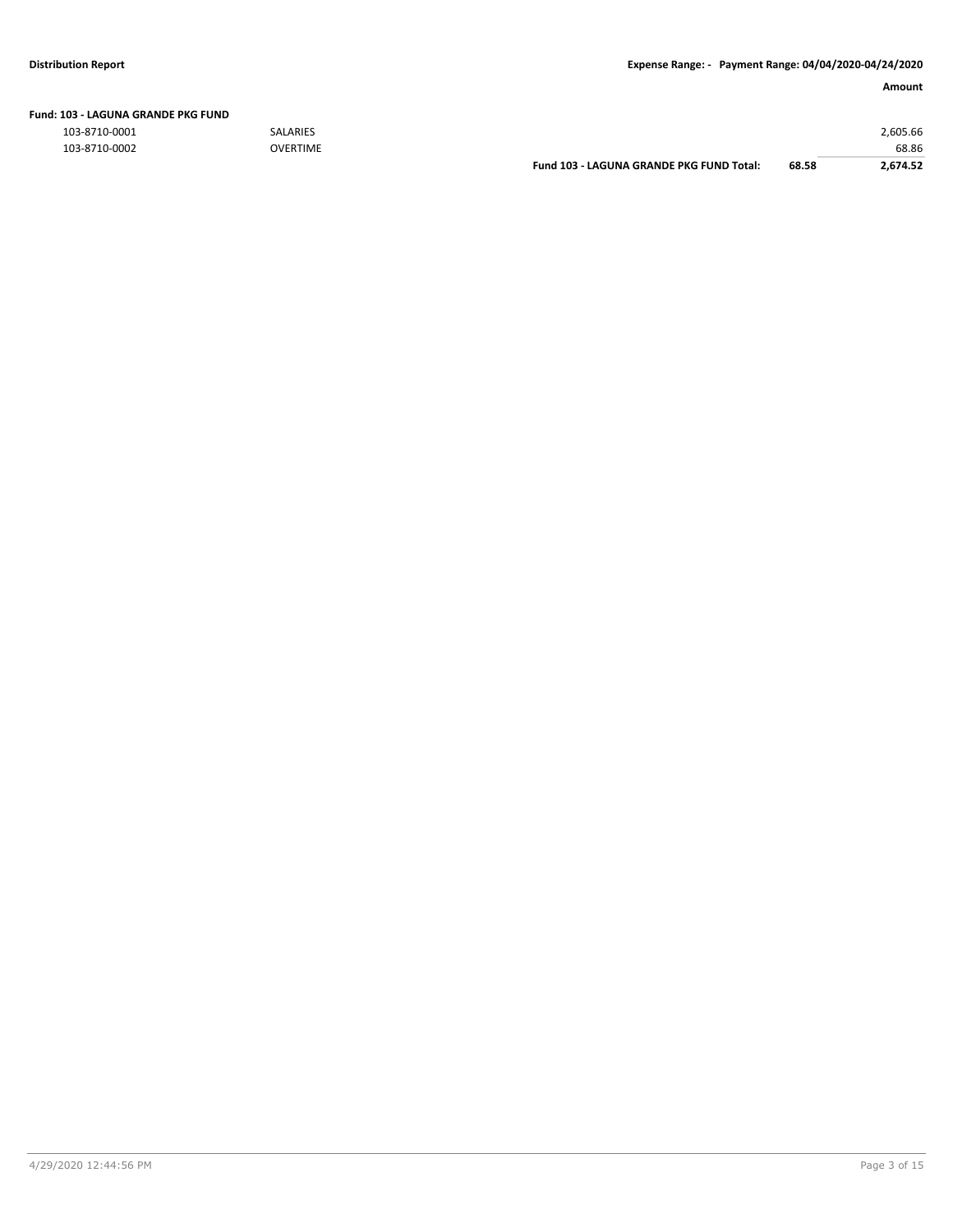| Fund: 103 - LAGUNA GRANDE PKG FUND |
|------------------------------------|
|                                    |

103-8710-0001 SALARIES 2,605.66

| 103-8710-0002 | <b>OVERTIME</b> |                                          |       | 68.86    |
|---------------|-----------------|------------------------------------------|-------|----------|
|               |                 | Fund 103 - LAGUNA GRANDE PKG FUND Total: | 68.58 | 4.674.52 |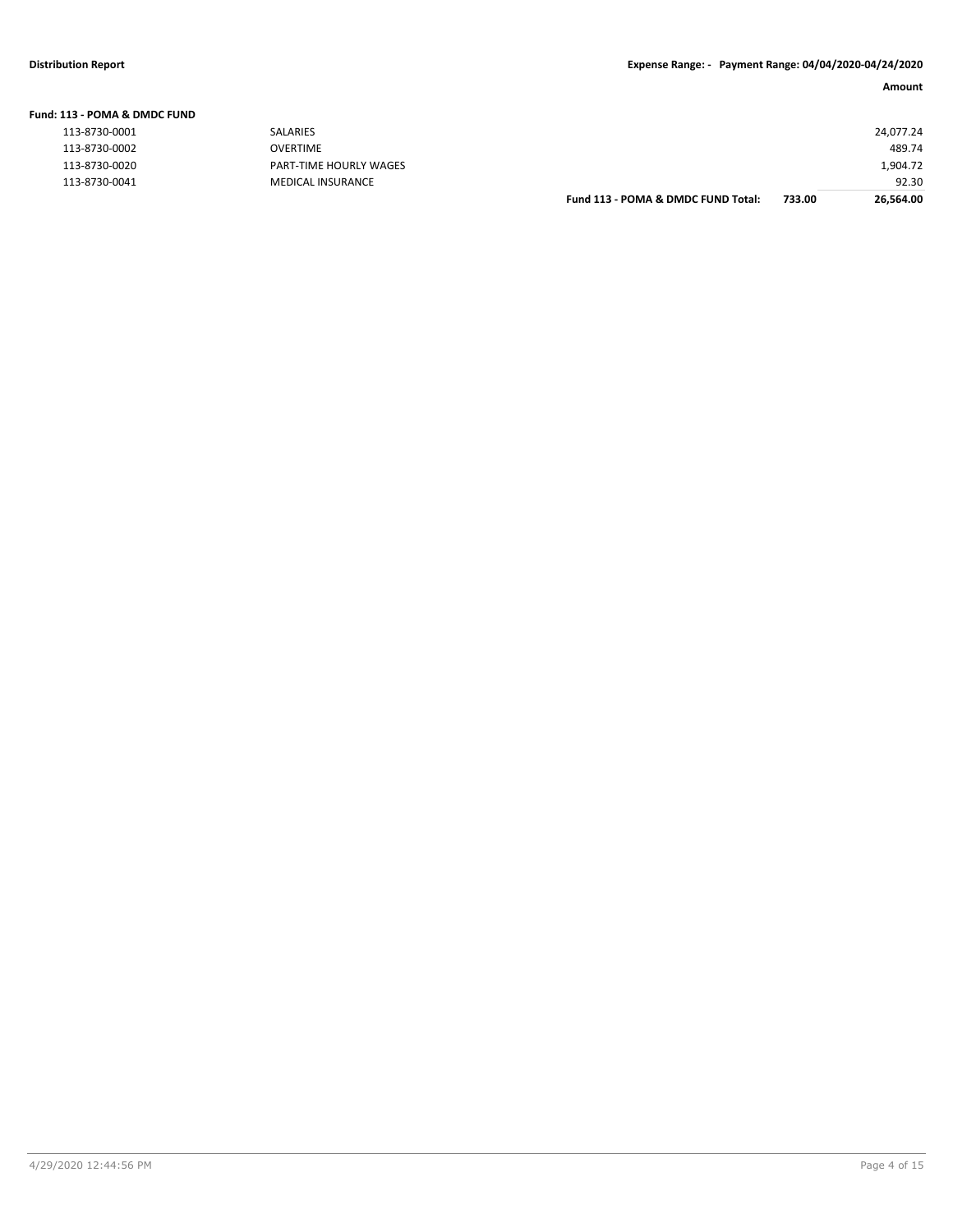**Fund: 113 - POMA & DMDC FUND**

| L13 - POMA & DMDC FUND |                               |                                    |        |           |
|------------------------|-------------------------------|------------------------------------|--------|-----------|
| 113-8730-0001          | SALARIES                      |                                    |        | 24,077.24 |
| 113-8730-0002          | OVERTIME                      |                                    |        | 489.74    |
| 113-8730-0020          | <b>PART-TIME HOURLY WAGES</b> |                                    |        | 1,904.72  |
| 113-8730-0041          | <b>MEDICAL INSURANCE</b>      |                                    |        | 92.30     |
|                        |                               | Fund 113 - POMA & DMDC FUND Total: | 733.00 | 26,564.00 |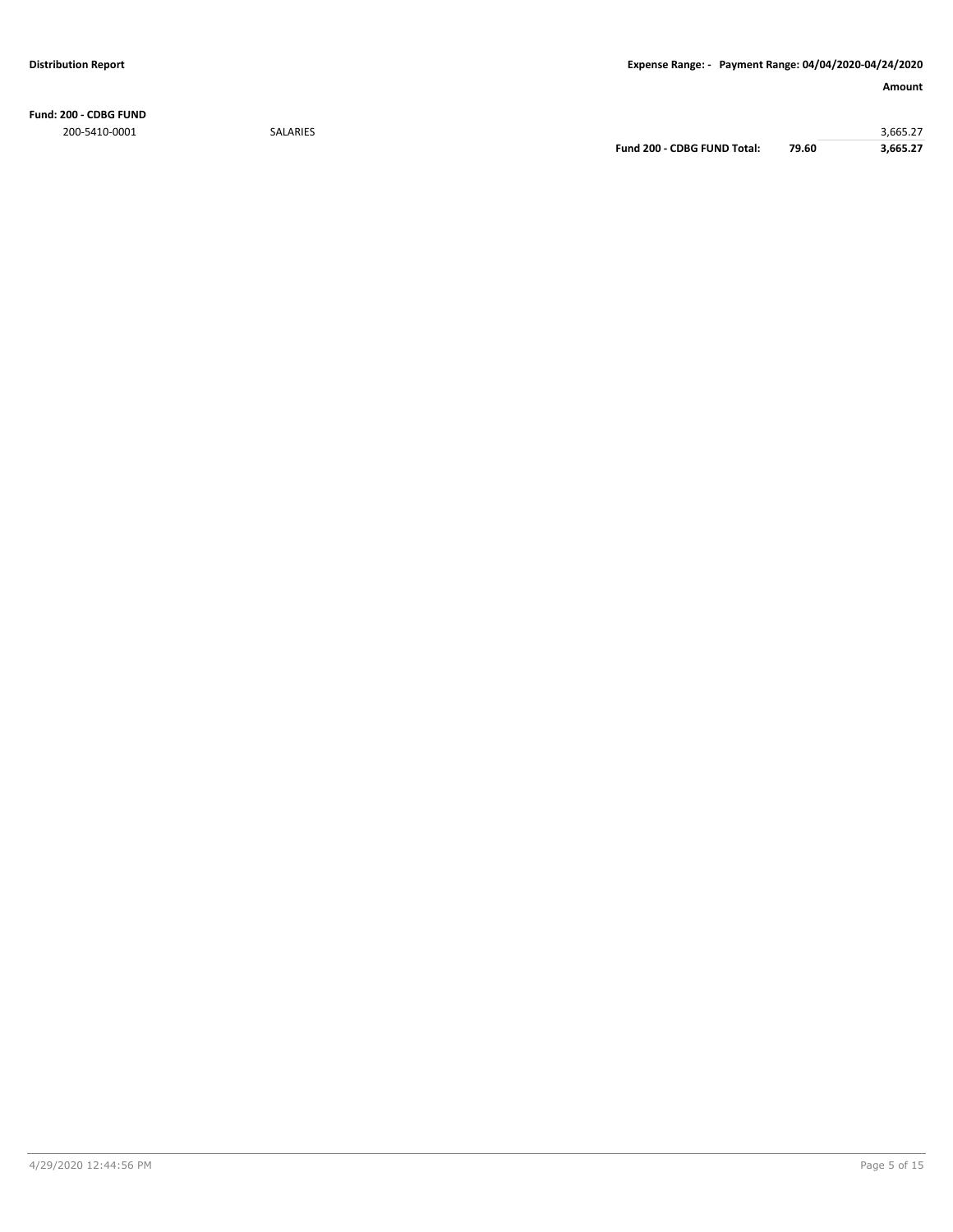**Fund: 200 - CDBG FUND** 200-5410-0001 SALARIES 3,665.27

**Fund 200 - CDBG FUND Total: 79.60 3,665.27**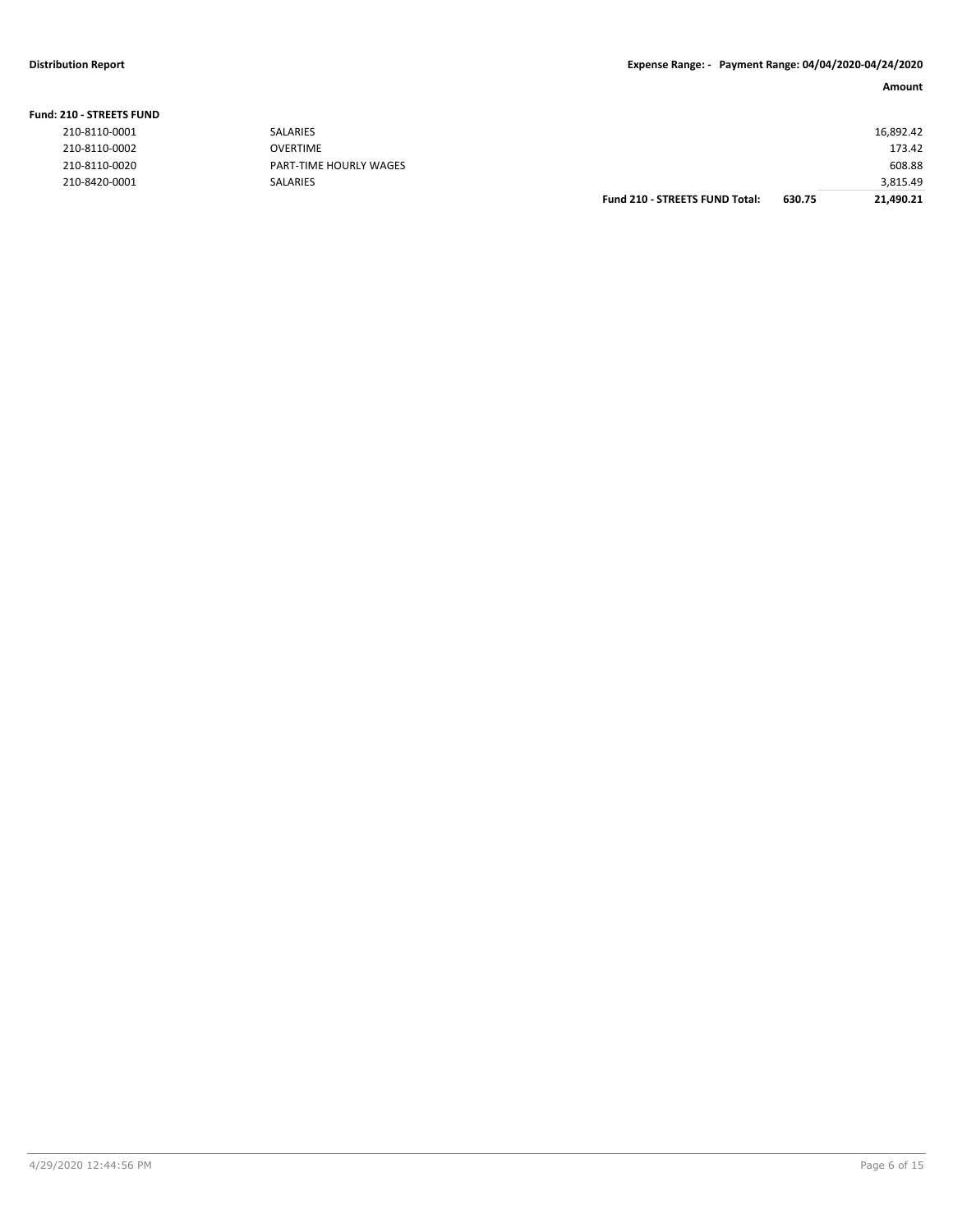| 210-8110-0002<br><b>OVERTIME</b><br>173.42 | 210-8420-0001      | SALARIES               |  | 3,815.49 |
|--------------------------------------------|--------------------|------------------------|--|----------|
|                                            | 210-8110-0020      | PART-TIME HOURLY WAGES |  | 608.88   |
|                                            |                    |                        |  |          |
|                                            |                    |                        |  |          |
|                                            | 210 - STREETS FUND |                        |  |          |

|  | <b>Fund: 210 - STREETS FUND</b> |  |
|--|---------------------------------|--|
|  |                                 |  |

| 210-8110-0001 |
|---------------|
| 210-8110-0002 |
| 210-8110-0020 |
| 210-8420-0001 |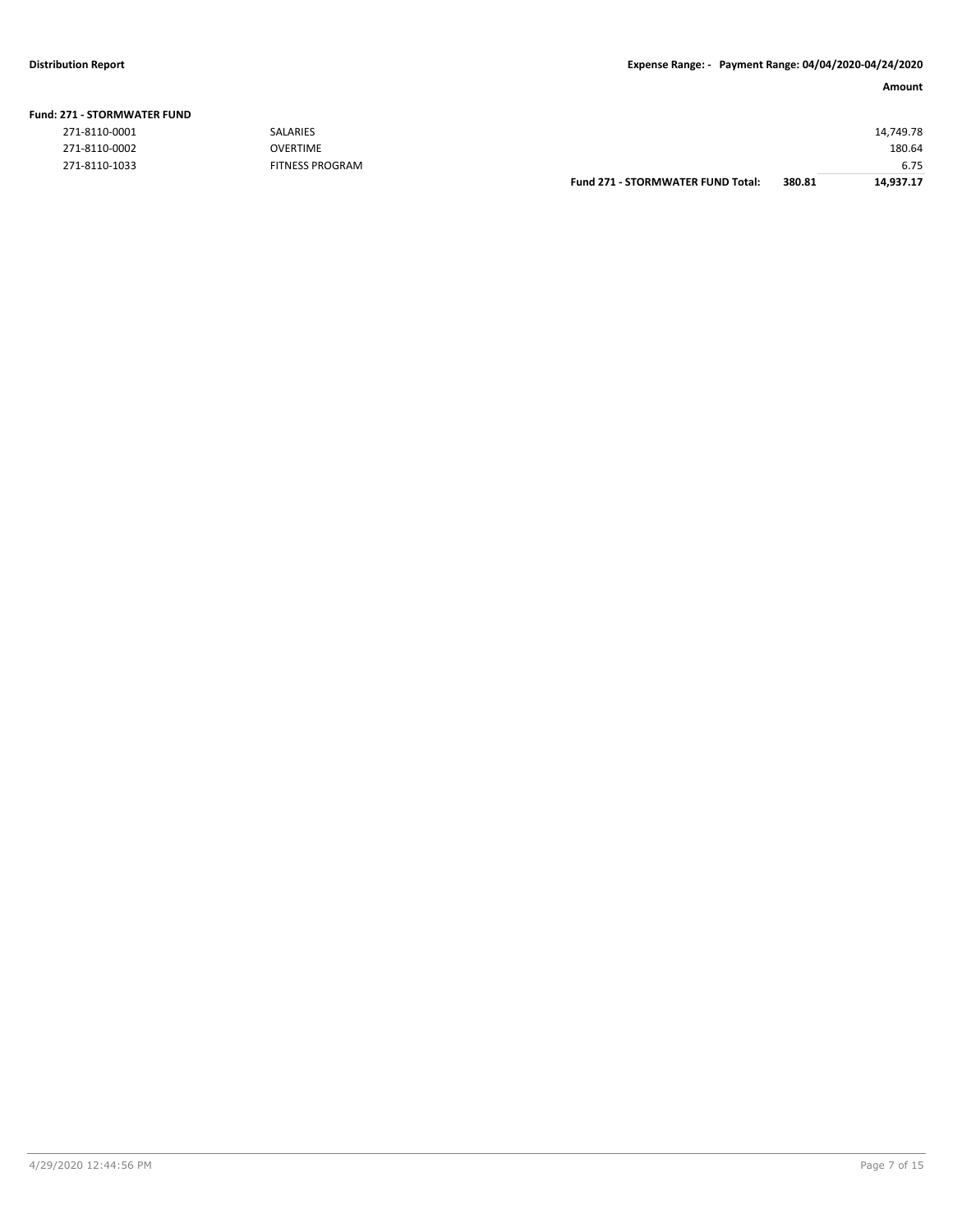| 271-8110-0001 | <b>SALARIES</b>        |                                          |        | 14,749.78 |
|---------------|------------------------|------------------------------------------|--------|-----------|
| 271-8110-0002 | <b>OVERTIME</b>        |                                          |        | 180.64    |
| 271-8110-1033 | <b>FITNESS PROGRAM</b> |                                          |        | 6.75      |
|               |                        | <b>Fund 271 - STORMWATER FUND Total:</b> | 380.81 | 14,937.17 |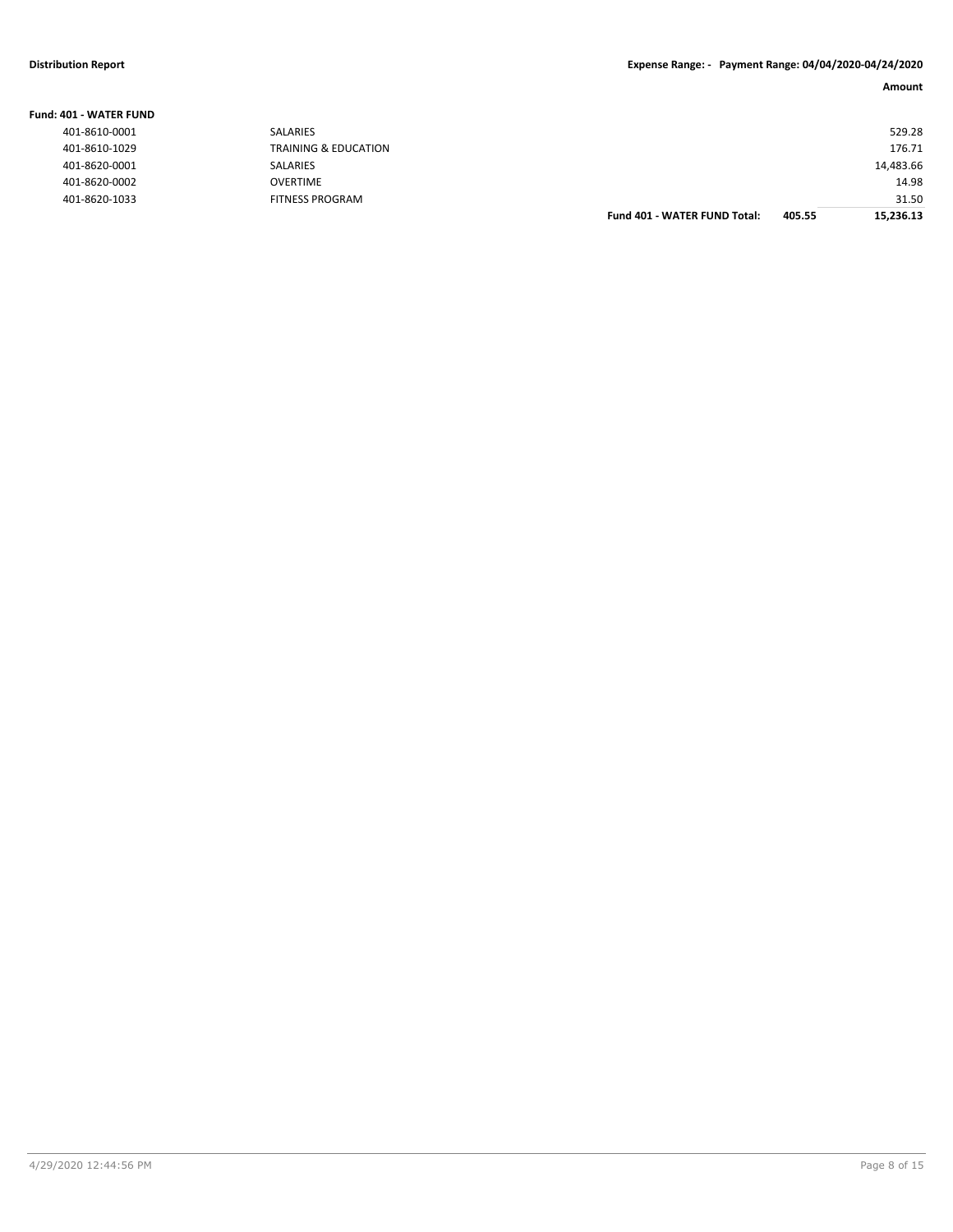| Fund: 401 - WATER FUND |                                 |                              |        |           |
|------------------------|---------------------------------|------------------------------|--------|-----------|
| 401-8610-0001          | SALARIES                        |                              |        | 529.28    |
| 401-8610-1029          | <b>TRAINING &amp; EDUCATION</b> |                              |        | 176.71    |
| 401-8620-0001          | SALARIES                        |                              |        | 14,483.66 |
| 401-8620-0002          | <b>OVERTIME</b>                 |                              |        | 14.98     |
| 401-8620-1033          | <b>FITNESS PROGRAM</b>          |                              |        | 31.50     |
|                        |                                 | Fund 401 - WATER FUND Total: | 405.55 | 15,236.13 |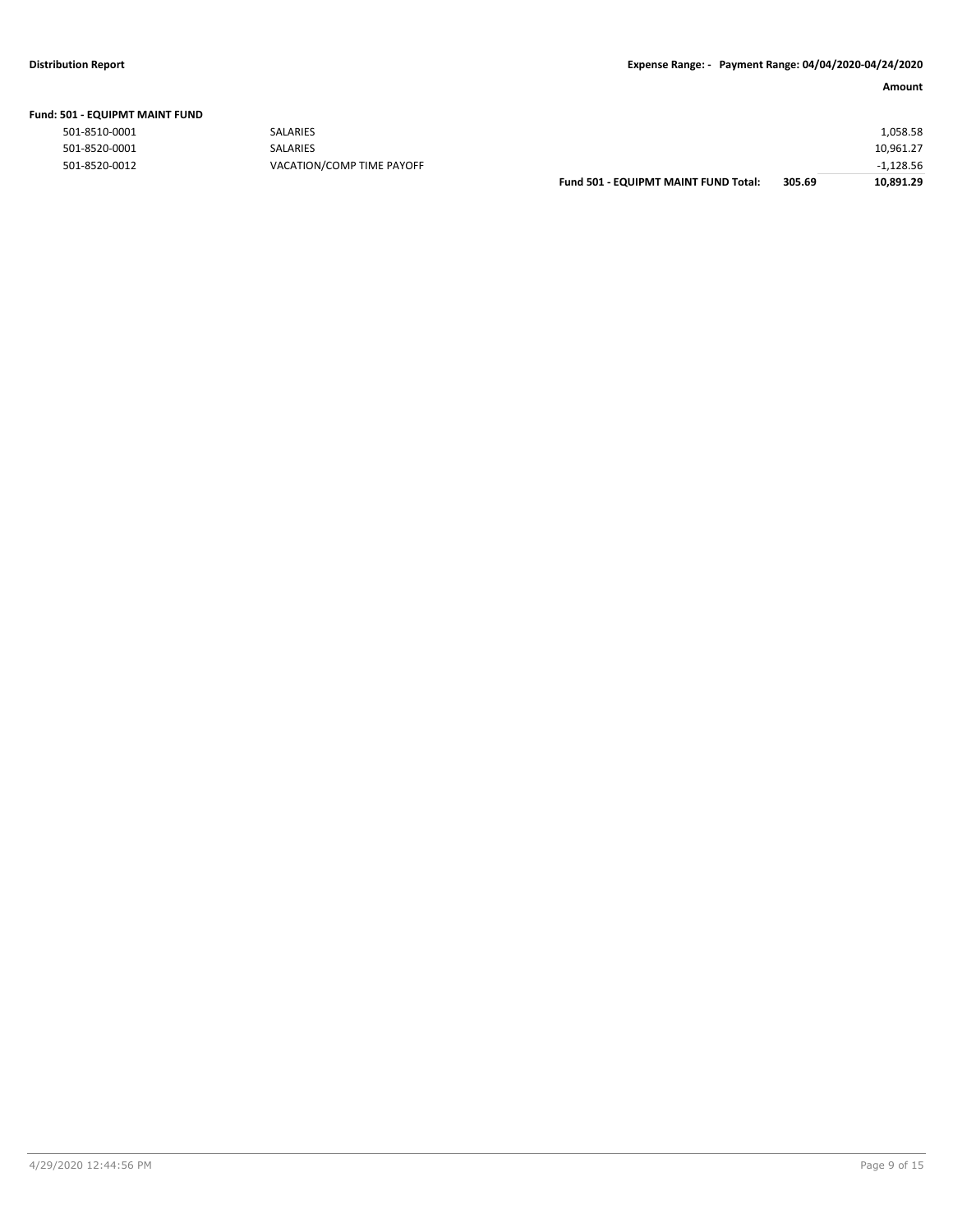|  | Fund: 501 - EQUIPMT MAINT FUND |  |
|--|--------------------------------|--|
|  |                                |  |

| 501-8510-0001 | <b>SALARIES</b>           |                                      |        | 1,058.58    |
|---------------|---------------------------|--------------------------------------|--------|-------------|
| 501-8520-0001 | <b>SALARIES</b>           |                                      |        | 10,961.27   |
| 501-8520-0012 | VACATION/COMP TIME PAYOFF |                                      |        | $-1,128.56$ |
|               |                           | Fund 501 - EQUIPMT MAINT FUND Total: | 305.69 | 10,891.29   |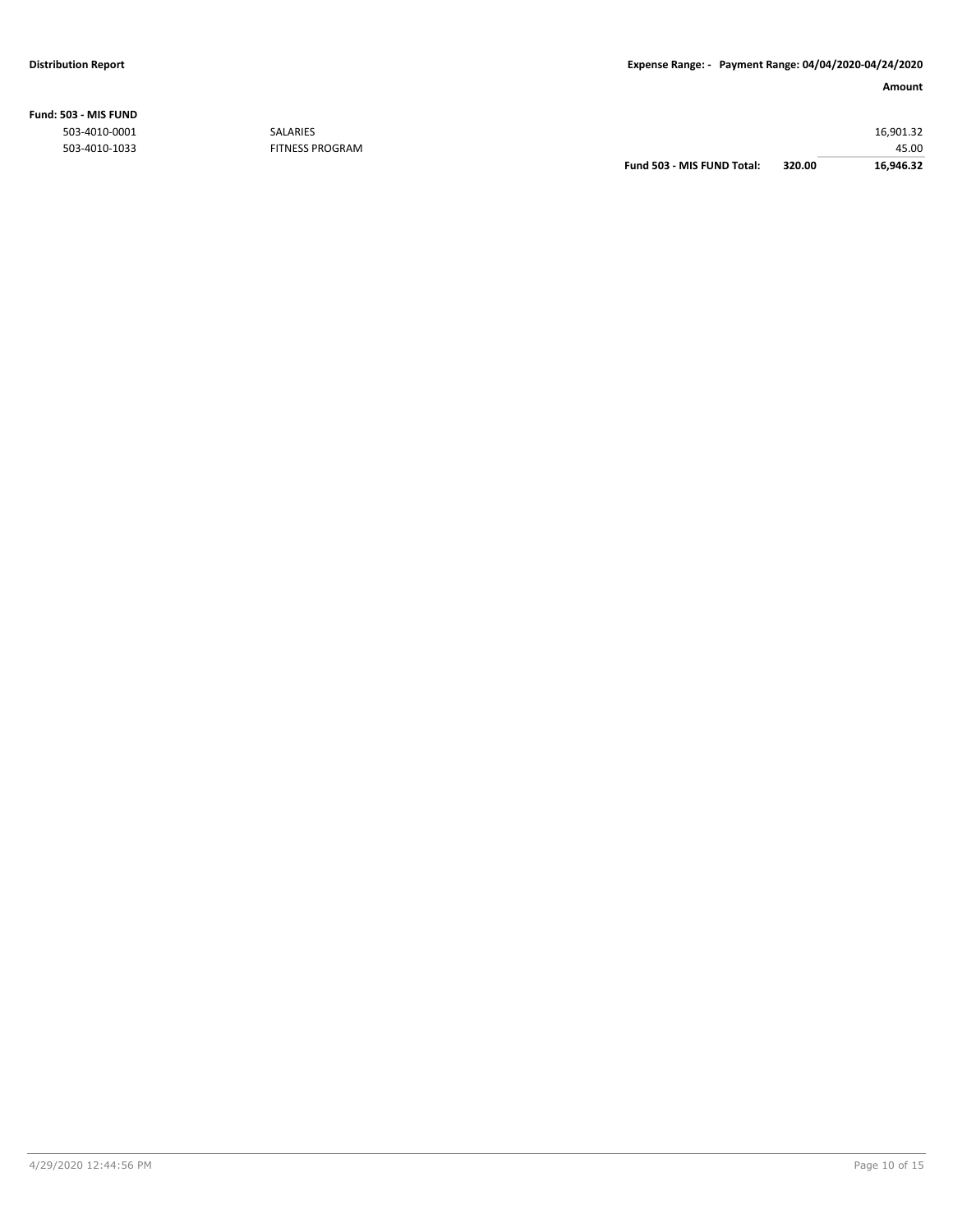### **Fund: 503 - MIS FUND**

|                        | Fund 503 - MIS FUND Total: | 320.00 | 16,946.32 |
|------------------------|----------------------------|--------|-----------|
| <b>FITNESS PROGRAM</b> |                            |        | 45.00     |
| <b>SALARIES</b>        |                            |        | 16,901.32 |
|                        |                            |        |           |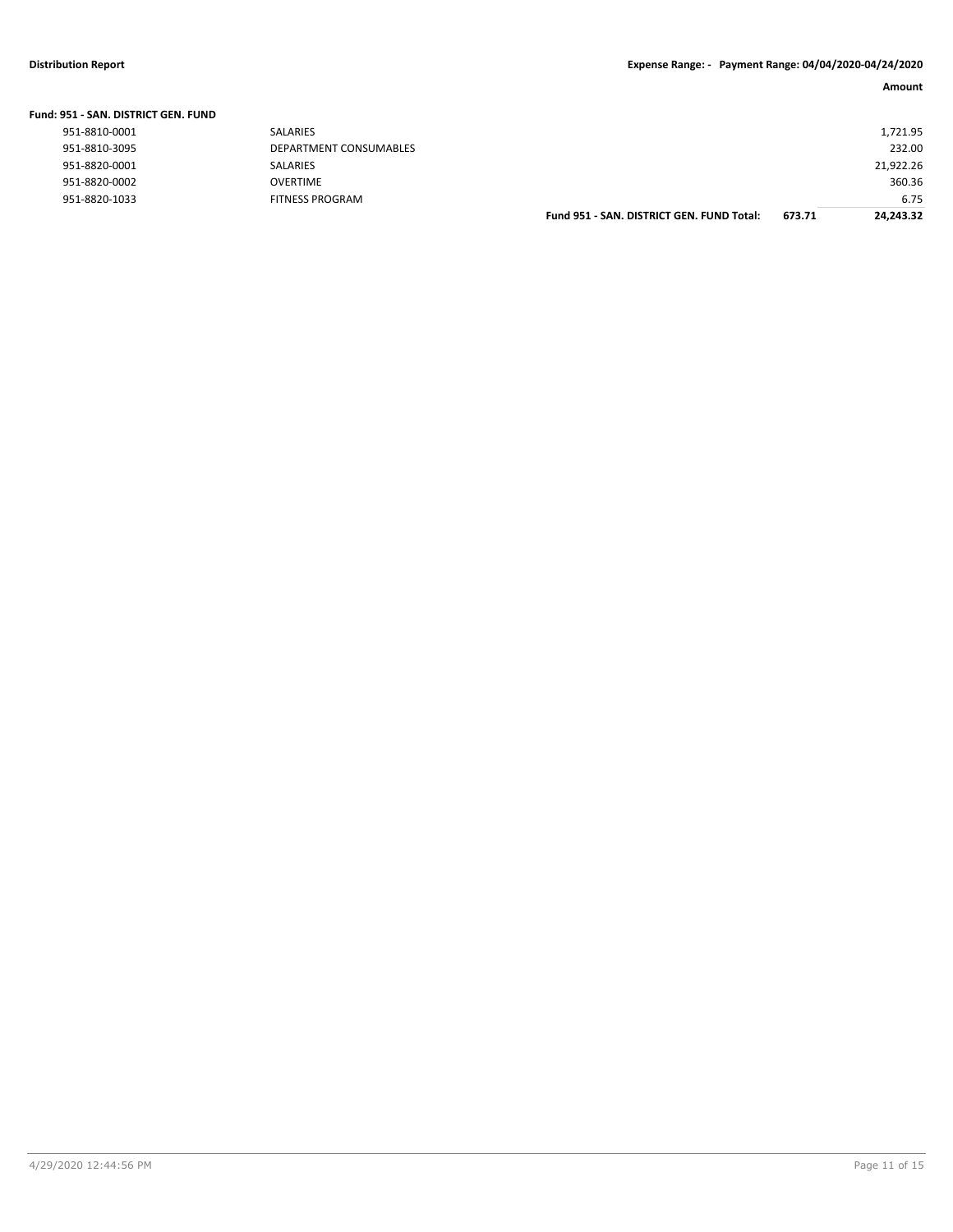| Fund: 951 - SAN. DISTRICT GEN. FUND |                        |                                           |        |           |
|-------------------------------------|------------------------|-------------------------------------------|--------|-----------|
| 951-8810-0001                       | <b>SALARIES</b>        |                                           |        | 1,721.95  |
| 951-8810-3095                       | DEPARTMENT CONSUMABLES |                                           |        | 232.00    |
| 951-8820-0001                       | SALARIES               |                                           |        | 21,922.26 |
| 951-8820-0002                       | <b>OVERTIME</b>        |                                           |        | 360.36    |
| 951-8820-1033                       | <b>FITNESS PROGRAM</b> |                                           |        | 6.75      |
|                                     |                        | Fund 951 - SAN, DISTRICT GEN, FUND Total: | 673.71 | 24.243.32 |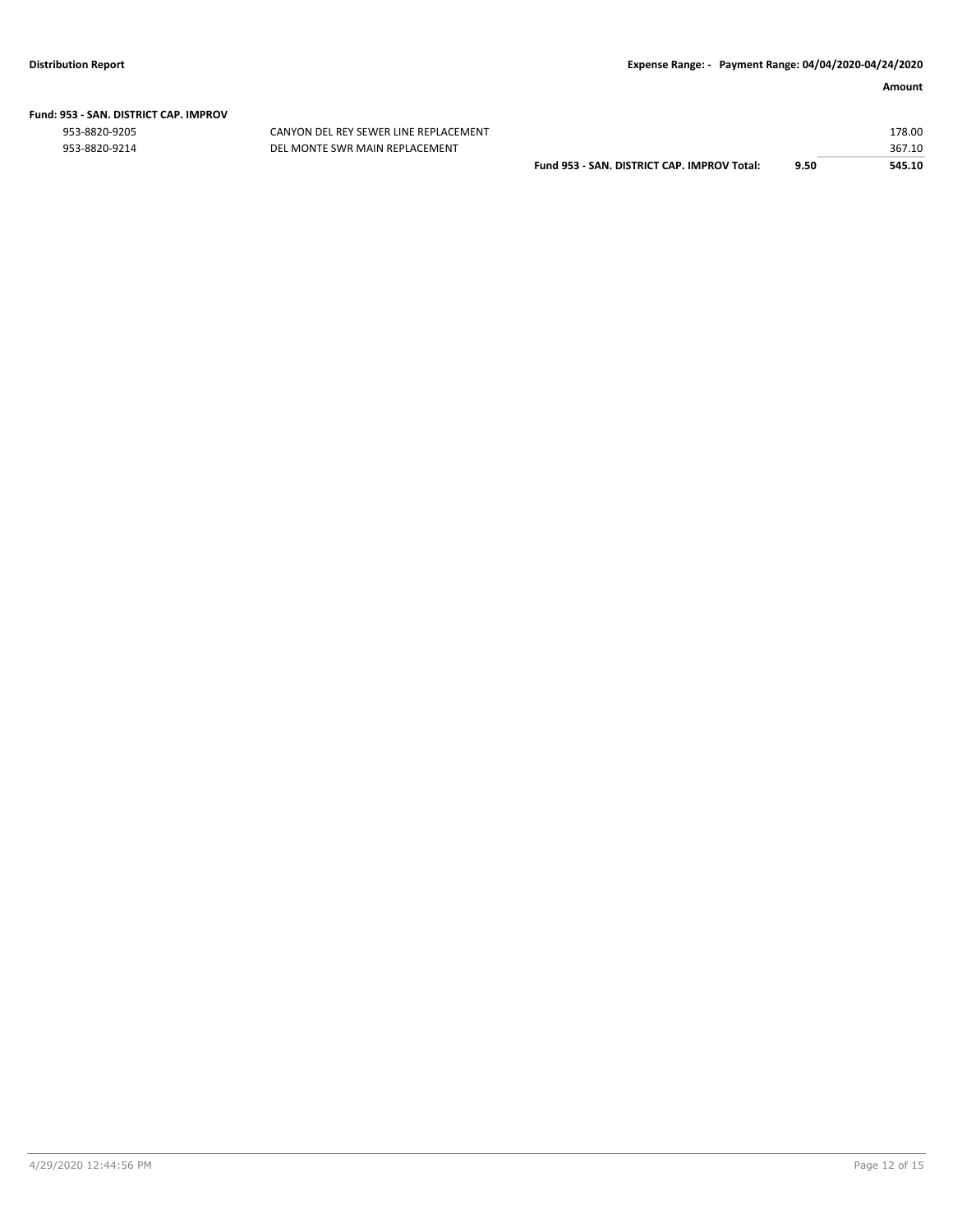# **Fund: 953 - SAN. DISTRICT CAP. IMPROV**

CANYON DEL REY SEWER LINE REPLACEMENT 953-8820-9214 DEL MONTE SWR MAIN REPLACEMENT

|                                             |      | 178.00 |
|---------------------------------------------|------|--------|
|                                             |      | 367.10 |
| Fund 953 - SAN, DISTRICT CAP, IMPROV Total: | 9.50 | 545.10 |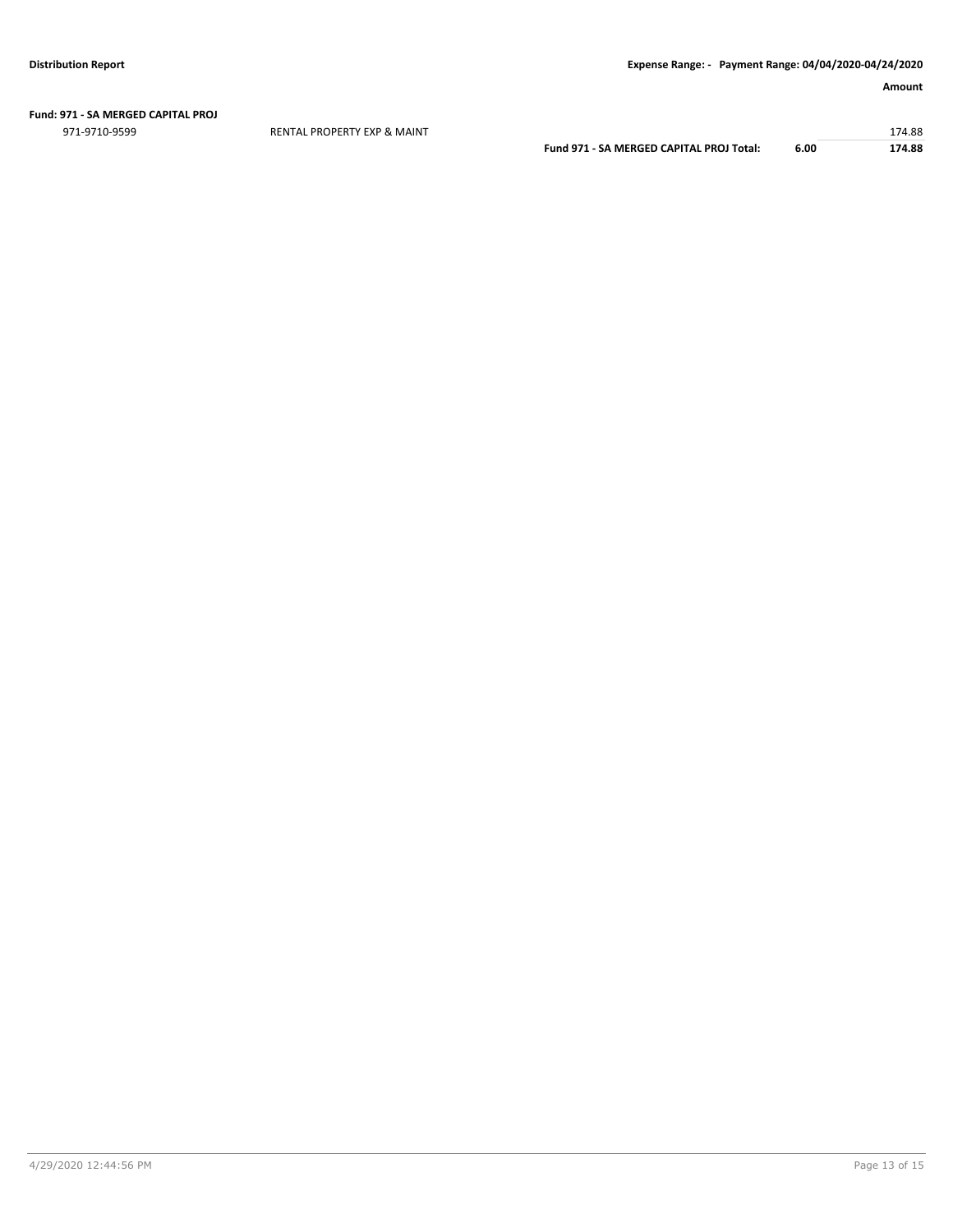#### **Fund: 971 - SA MERGED CAPITAL PROJ**

971-9710-9599 RENTAL PROPERTY EXP & MAINT 174.88

**Fund 971 - SA MERGED CAPITAL PROJ Total: 6.00 174.88**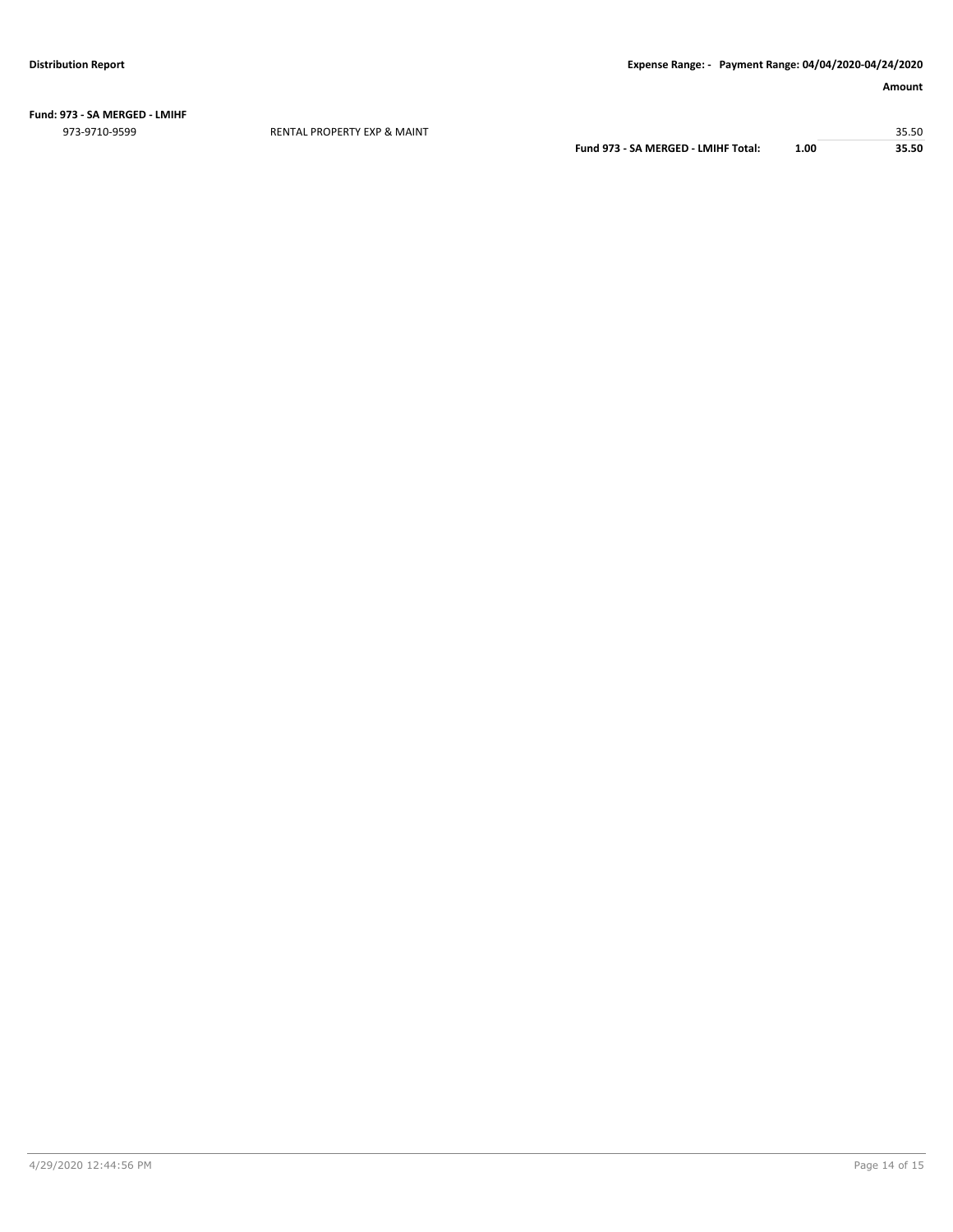**Fund: 973 - SA MERGED - LMIHF** 973-9710-9599 RENTAL PROPERTY EXP & MAINT 35.50

**Fund 973 - SA MERGED - LMIHF Total: 1.00 35.50**